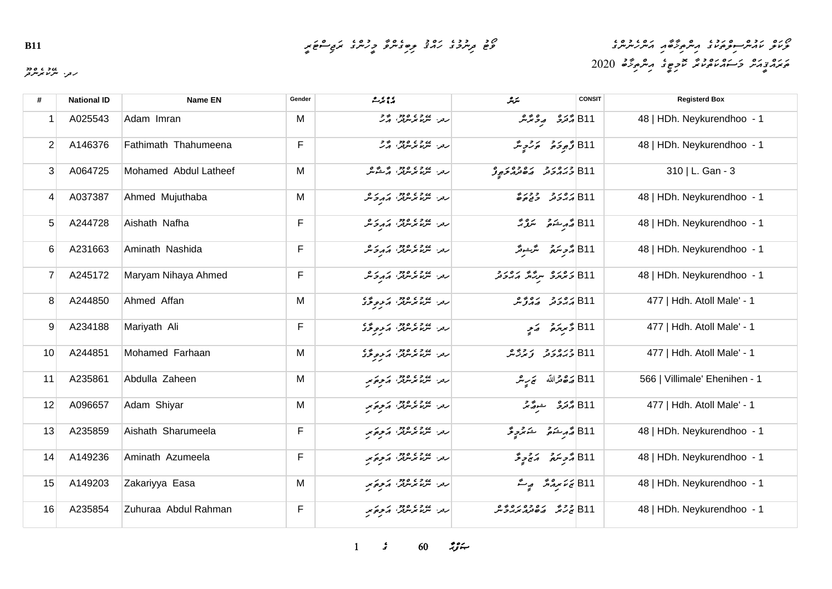*sCw7q7s5w7m< o<n9nOoAw7o< sCq;mAwBoEw7q<m; wBm;vB* م من المرة المرة المرة المرجع المراجع المراجع المراجع المراجع المراجع المراجع المراجع المراجع المراجع المراجع<br>مرين المراجع المراجع المرجع المراجع المراجع المراجع المراجع المراجع المراجع المراجع المراجع المراجع المراجع ال

| #              | <b>National ID</b> | Name EN               | Gender      | بروبره                                       | سرپر                                         | <b>CONSIT</b> | <b>Registerd Box</b>          |
|----------------|--------------------|-----------------------|-------------|----------------------------------------------|----------------------------------------------|---------------|-------------------------------|
| $\mathbf 1$    | A025543            | Adam Imran            | M           | رو، عام ورو به دم.<br>رو، سرما مرس ور        | B11 ا <i>مُ</i> ترى بەرمەمە                  |               | 48   HDh. Neykurendhoo - 1    |
| $\overline{2}$ | A146376            | Fathimath Thahumeena  | $\mathsf F$ | رفر سرما برود. مجم                           | B11 ۇ <sub>ج</sub> وڭ مۇرەپىگە               |               | 48   HDh. Neykurendhoo - 1    |
| 3              | A064725            | Mohamed Abdul Latheef | M           | رى ئەمەمەت ئەشھىر                            | B11 ديرورو پرووور و<br>B11 ديگه ديگه هغه دور |               | 310   L. Gan - 3              |
| 4              | A037387            | Ahmed Mujuthaba       | M           | رى مەد يەھ كەرگە                             | B11 كەبرو مەدە ھە                            |               | 48   HDh. Neykurendhoo - 1    |
| 5              | A244728            | Aishath Nafha         | F           | תנקי ותמו בי סרד ומות ביות                   | B11 مەم ئىقىمە ئىستىرىگە                     |               | 48   HDh. Neykurendhoo - 1    |
| $\,6$          | A231663            | Aminath Nashida       | $\mathsf F$ | رى مەد يەھ كەرگە                             | B11 مُرْحِ سَمْهُ مُسَّرَّسُة مَّ            |               | 48   HDh. Neykurendhoo - 1    |
| $\overline{7}$ | A245172            | Maryam Nihaya Ahmed   | $\mathsf F$ | رى ئەدەمەت كەركى                             | B11  5 يُرْمَرُ جَمْرَ مُدَوَّمَرِ           |               | 48   HDh. Neykurendhoo - 1    |
| 8              | A244850            | Ahmed Affan           | M           | رد. عرد ۱۶۵۲ م.<br>رد. شرد برسربر، مرد و تری | B11 كەبرو بەرەپە ھ                           |               | 477   Hdh. Atoll Male' - 1    |
| 9              | A234188            | Mariyath Ali          | $\mathsf F$ | رد. عرد ۱۶۵۲ م. د و د                        | B11 <i>جُمبرمَةْ مَبْرِ</i>                  |               | 477   Hdh. Atoll Male' - 1    |
| 10             | A244851            | Mohamed Farhaan       | M           | رى دە دە ھەر كەرگەن                          | B11 <i>ۋىزەدى قىردى</i> ر                    |               | 477   Hdh. Atoll Male' - 1    |
| 11             | A235861            | Abdulla Zaheen        | M           | رو. عربه برسري، مرکزه بر                     | B11  صَرْحَة قَرْاللَّه – مَحْرِ مَثَر       |               | 566   Villimale' Ehenihen - 1 |
| 12             | A096657            | Adam Shiyar           | M           | رو. مرد برود. كرونج بر                       | B11 مُرْتَرَدٌ بِ بِمَدْتِرٌ                 |               | 477   Hdh. Atoll Male' - 1    |
| 13             | A235859            | Aishath Sharumeela    | F           | رو. من ده وده. د وه د                        | B11 مُەرشەم شەمرەپە گ                        |               | 48   HDh. Neykurendhoo - 1    |
| 14             | A149236            | Aminath Azumeela      | $\mathsf F$ | رد. شرا برسرس کرده بر                        | B11 مَّ صِنَعْهُ مَنْ مِرْقَمَ               |               | 48   HDh. Neykurendhoo - 1    |
| 15             | A149203            | Zakariyya Easa        | M           | رو. عدد ۱۶۵۶ مرکز کرد                        | B11 ئى ئىرىم بىر ھەت ب                       |               | 48   HDh. Neykurendhoo - 1    |
| 16             | A235854            | Zuhuraa Abdul Rahman  | $\mathsf F$ | رد. شرا برسرتر، مرکز بر                      | B11 يوجو بره وه بره و مر                     |               | 48   HDh. Neykurendhoo - 1    |

*rgg*<br>مر<sub>قو</sub>، *سم ما بوسر ق*ر

*1 s* 60 *if*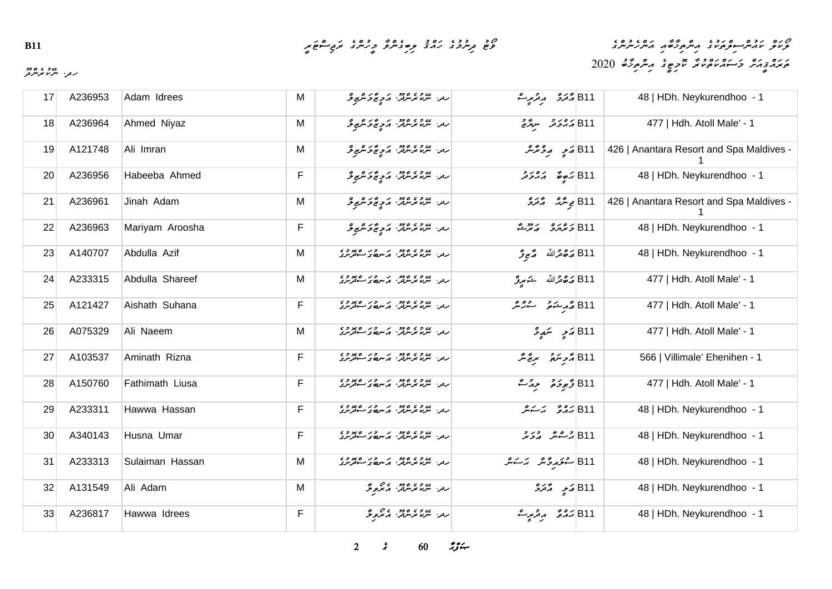*sCw7q7s5w7m< o<n9nOoAw7o< sCq;mAwBoEw7q<m; wBm;vB* م من المسجد المسجد المسجد المسجد المسجد العام 2020<br>مسجد المسجد المسجد المسجد المسجد المسجد المسجد المسجد المسجد ال

| 17              | A236953 | Adam Idrees     | M | געי ישע זרים פרי ה'ק ובי הארי של ה                                     | B11 ا <i>رکنرڈ او</i> ر <i>پر</i>             | 48   HDh. Neykurendhoo - 1               |
|-----------------|---------|-----------------|---|------------------------------------------------------------------------|-----------------------------------------------|------------------------------------------|
| 18              | A236964 | Ahmed Niyaz     | M | رى مەدەبەدە كەر ئەركىرى                                                | B11  كەبۇ ئەرەتقى ئىس ئەس ئىس ئ               | 477   Hdh. Atoll Male' - 1               |
| 19              | A121748 | Ali Imran       | M |                                                                        | B11  رَمِ مِرْمَمْسْ                          | 426   Anantara Resort and Spa Maldives - |
| 20              | A236956 | Habeeba Ahmed   | F | رى سرە مەدە بەلىر ئەرگە بىر                                            | B11 بَرَصِرَة بِرَبِّرْدَتْر                  | 48   HDh. Neykurendhoo - 1               |
| 21              | A236961 | Jinah Adam      | M | גיב בי סמיד בי הקבוצים בי<br>הבני "ייקט זנייתים, "הקבוצים בייתוץ ב     | B11  بے <i>سگ</i> ٹ گرمگر تحر                 | 426   Anantara Resort and Spa Maldives - |
| 22              | A236963 | Mariyam Aroosha | F | رى سرە مەدە كەر ئەر ھىج ئ                                              | B11 كابر برد كابر بينية كابر                  | 48   HDh. Neykurendhoo - 1               |
| 23              | A140707 | Abdulla Azif    | M | رتر، عروج 200 مربوع دي.<br>رتر، شريا مرس                               | B11 كەھىراللە گەيى تو                         | 48   HDh. Neykurendhoo - 1               |
| 24              | A233315 | Abdulla Shareef | M | رور، عاد ۲۵ ه.د. د. د در ۲۵ ه.د. د.<br>رور، شریر برسرفر، برسرچار سوترس | B11 صَرْحَة مِرْاللَّه شَمَعِيقُ              | 477   Hdh. Atoll Male' - 1               |
| 25              | A121427 | Aishath Suhana  | F | رور، عاد ۲۵ ه.و.<br>رور، شریع مرسوفر، <sub>ا</sub> ز سرحاوی سوفرس      | B11 مەم ئىر ئىش قىرىشىتى ئىش                  | 477   Hdh. Atoll Male' - 1               |
| 26              | A075329 | Ali Naeem       | M | رور، عاد ۲۵ ه.د. د. د در ۲۵ ه.د. د.<br>رور، شریر برسرفر، برسرچار سوترس | B11 کرم س <i>مد</i> ی                         | 477   Hdh. Atoll Male' - 1               |
| 27              | A103537 | Aminath Rizna   | F | رتر، عاد 2000 - در 2000 مورخ<br>رتر، شریر موسوفر، 4 سوچاک – قرس        | B11 مَرْحِ سَمَعْ مَسِيحَ سَّرَ               | 566   Villimale' Ehenihen - 1            |
| 28              | A150760 | Fathimath Liusa | F | رور، عروج و وو.<br>رور، شرید برسرفر، بر سرجدی سوفرس                    | B11 وَجِوَدَةٌ مِهْرَسَّةٌ                    | 477   Hdh. Atoll Male' - 1               |
| 29              | A233311 | Hawwa Hassan    | F | رور، عام و د و د از د د د د و د د د<br>رور، شریر برسرفر، برسرچار سوترس | B11 بَرْدُوَّ بَرَسَرْر                       | 48   HDh. Neykurendhoo - 1               |
| 30 <sup>°</sup> | A340143 | Husna Umar      | F | رور، عاد ۲۵ ه.د. د. د در ۲۵ ه.د. د.<br>رور، شریر برسرفر، برسرچار سوترس | B11 برحيمٌ په چې پر                           | 48   HDh. Neykurendhoo - 1               |
| 31              | A233313 | Sulaiman Hassan | M | رور، عاد ۲۵ ه.و.<br>رور، شریع مرسوفر، <sub>ا</sub> ز سرحدی سوترس       | B11 يەنز <sub>ىر</sub> ۇش ب <sub>ە</sub> سكىل | 48   HDh. Neykurendhoo - 1               |
| 32              | A131549 | Ali Adam        | M | رى مەد يەھ يەم<br>رى شرىي بىر سرچى بىر بىر بىر ق                       | B11 كەي گەترى                                 | 48   HDh. Neykurendhoo - 1               |
| 33              | A236817 | Hawwa Idrees    | F | رو. بیرو و و و و و ه<br>رو. شرما مرسولو، از مرونگ                      | B11  ئەۋەتقە بەرتىرىپە شە                     | 48   HDh. Neykurendhoo - 1               |

*r@w7s8q;t7 .@5*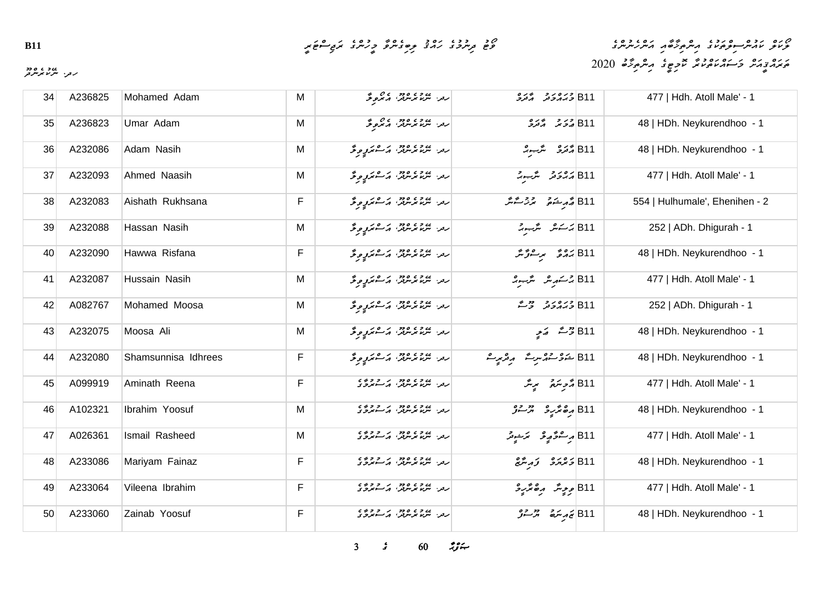*sCw7q7s5w7m< o<n9nOoAw7o< sCq;mAwBoEw7q<m; wBm;vB* م من المسجد المسجد المسجد المسجد المسجد العام 2020<br>مسجد المسجد المسجد المسجد المسجد المسجد المسجد المسجد المسجد ال

| 34 | A236825 | Mohamed Adam        | M | رد. شرم برسربو، از مرد ع                                    | B11 <i>ڈیزونڈ م</i> یوو                              | 477   Hdh. Atoll Male' - 1     |
|----|---------|---------------------|---|-------------------------------------------------------------|------------------------------------------------------|--------------------------------|
| 35 | A236823 | Umar Adam           | M | رى ئەمەمەدە ئەھمى ئە                                        | B11 ړ <i>ی پر په پرو</i> ژ                           | 48   HDh. Neykurendhoo - 1     |
| 36 | A232086 | Adam Nasih          | M | رد. شرا بر سور بر ۱۵ در برگر                                | B11 پژنرو گرس <i>ت</i> ر                             | 48   HDh. Neykurendhoo - 1     |
| 37 | A232093 | Ahmed Naasih        | M | رىر شرىرە مەھرىر قىرىمى بولۇ                                | B11 كەبرى قىلى ئىسىدى كىلىدى بىر                     | 477   Hdh. Atoll Male' - 1     |
| 38 | A232083 | Aishath Rukhsana    | F | رى سىم دە ھەم بەر ھەمرىي بوڭ                                | B11 <sub>م</sub> ەم يەم ئەرجى ئەشر                   | 554   Hulhumale', Ehenihen - 2 |
| 39 | A232088 | Hassan Nasih        | M | رد. بره دوره که شهرونگ                                      | B11 پرسک مگرسد <sup>م</sup> ے                        | 252   ADh. Dhigurah - 1        |
| 40 | A232090 | Hawwa Risfana       | F | رى سىم دەھەر كەشىر ئەھمىگە ئە                               | B11 بَرْدُوَّ مِ مِرْدُوَّ مَّر                      | 48   HDh. Neykurendhoo - 1     |
| 41 | A232087 | Hussain Nasih       | M | رى سىم دە ھەم بەر ھەمرىي بوڭ                                | B11 پر کے میر شریب مگر ہے۔<br>ا                      | 477   Hdh. Atoll Male' - 1     |
| 42 | A082767 | Mohamed Moosa       | M | رد. سره بروه در ۲۵ دروگر                                    | B11 كەبروكى تەسىم                                    | 252   ADh. Dhigurah - 1        |
| 43 | A232075 | Moosa Ali           | M | رد. سر، برسور، برگ بروگر                                    | B11 فخرشہ ک <sup>ہ</sup> یو                          | 48   HDh. Neykurendhoo - 1     |
| 44 | A232080 | Shamsunnisa Idhrees | F | رد. شر، بر در ۱۵ در ۲۵ گروه گر                              | B11 خۇرقەمبرىگە بەترىرىگە                            | 48   HDh. Neykurendhoo - 1     |
| 45 | A099919 | Aminath Reena       | F | رد. سربا مرد و د د د د د د                                  | B11 مَرْحِ سَمَرَ مَسِرَّر                           | 477   Hdh. Atoll Male' - 1     |
| 46 | A102321 | Ibrahim Yoosuf      | M | رو. ۶۶۵ و ده.<br>رو. شریا برسرفر، برگسویوری                 | B11 مەھمگەيز ھەمبىر تۈ                               | 48   HDh. Neykurendhoo - 1     |
| 47 | A026361 | Ismail Rasheed      | M | رد. ۶۶۵ و ده در ۶۶۶ و در ۶۶<br>رد. سرما مرسوبي، بر شمروري   | B11 م <sub>ە</sub> ستىۋەر تىم تىرىنى <sub>دى</sub> ر | 477   Hdh. Atoll Male' - 1     |
| 48 | A233086 | Mariyam Fainaz      | F | رتر، سی د ده د د د د د د د د<br>رتر، سرد برسرتر، بر سوبرو د | B11 د برجری وَ بر برچ                                | 48   HDh. Neykurendhoo - 1     |
| 49 | A233064 | Vileena Ibrahim     | F | رتر، سی د ده د د د د د د د د<br>رتر، سرد برسرتر، بر سوبرو د | B11 موجِسَّر مِرْهُ مَّرِدْ                          | 477   Hdh. Atoll Male' - 1     |
| 50 | A233060 | Zainab Yoosuf       | F | ري ده ده ده در دوه د<br>ري سربا برسويس که سوبرو د           | B11 ئ <sub>ے م</sub> ریکھ مرتسو                      | 48   HDh. Neykurendhoo - 1     |

*3 sC 60 nNw?mS*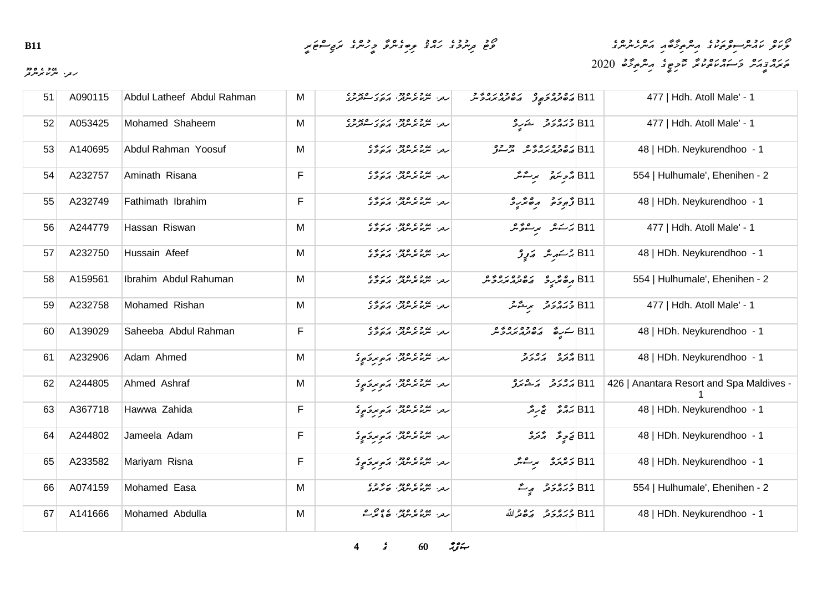*sCw7q7s5w7m< o<n9nOoAw7o< sCq;mAwBoEw7q<m; wBm;vB* م من المرة المرة المرة المرجع المراجع المراجع المراجع المراجع المراجع المراجع المراجع المراجع المراجع المراجع<br>مرين المراجع المراجع المرجع المراجع المراجع المراجع المراجع المراجع المراجع المراجع المراجع المراجع المراجع ال

| 51 | A090115 | Abdul Latheef Abdul Rahman | M            |                                                                                | B11 <i>בסתח ב<sub>וק</sub> כ" הסינח יה ב</i> ית     | 477   Hdh. Atoll Male' - 1               |
|----|---------|----------------------------|--------------|--------------------------------------------------------------------------------|-----------------------------------------------------|------------------------------------------|
| 52 | A053425 | Mohamed Shaheem            | M            | راور است و ده ده برابر برابر و پر و د<br>براور اسرین مربوبی اور اور است مربوبی | B11 <i>وُبَرُوْدَة مُسَرِوْ</i>                     | 477   Hdh. Atoll Male' - 1               |
| 53 | A140695 | Abdul Rahman Yoosuf        | M            | رد. بروی وجود برابرای<br>برد. شریا مرسوبی، برابرای                             | B11   د ۱۳۵۵ د ۱۳۵۸ م. د مورو                       | 48   HDh. Neykurendhoo - 1               |
| 54 | A232757 | Aminath Risana             | $\mathsf{F}$ | رو. عود ۱۵ در ۱۵۶۰<br>رو. شرد برس برابر ۱۵ در                                  | B11 مَرْجِبَتِهُ مِ سِنَّتَبَر                      | 554   Hulhumale', Ehenihen - 2           |
| 55 | A232749 | Fathimath Ibrahim          | $\mathsf F$  | رد. ۵۶۶۵ ورو در ۶۶<br>رد. شرد برسربر، مروری                                    | B11 زَّ <sub>ج</sub> ودَة <sub>ُ م</sub> ِهْتَرِيدُ | 48   HDh. Neykurendhoo - 1               |
| 56 | A244779 | Hassan Riswan              | M            | رد. عدد ده در در ده د<br>رد. شرد برسربر، ماه و د                               | B11 كەسەمىر بىرىش <i>ۇ</i> نىر                      | 477   Hdh. Atoll Male' - 1               |
| 57 | A232750 | Hussain Afeef              | M            | رد. عدد و دود از داد و د<br>رد. شریا مرسربر، مرد و د                           | B11 پرستمبر بھ تھا۔<br>ا                            | 48   HDh. Neykurendhoo - 1               |
| 58 | A159561 | Ibrahim Abdul Rahuman      | M            | رد. ۶۵ و ده در ده د<br>رد. ش د دسرس                                            | B11 رەئمرىرى بەمەرە دەر                             | 554   Hulhumale', Ehenihen - 2           |
| 59 | A232758 | Mohamed Rishan             | M            |                                                                                | B11 <i>ڈبزون</i> وٹر برے ٹر                         | 477   Hdh. Atoll Male' - 1               |
| 60 | A139029 | Saheeba Abdul Rahman       | $\mathsf F$  | رو. ۶۵ و ده در ده د<br>رو. شرد برس در موری                                     | B11 كىرى <i>گە مەھەرمەمدە ش</i> ر                   | 48   HDh. Neykurendhoo - 1               |
| 61 | A232906 | Adam Ahmed                 | M            | رد. مرد و و و و و د کرد برگرم و ک                                              | B11 پژتر <i>ی پژو</i> تر                            | 48   HDh. Neykurendhoo - 1               |
| 62 | A244805 | Ahmed Ashraf               | M            | رد. مرد در دود.<br>دو. شرد مرس در کرم مرکزم د                                  | B11 كەبروتىر كەشلىرتى                               | 426   Anantara Resort and Spa Maldives - |
| 63 | A367718 | Hawwa Zahida               | $\mathsf F$  | رد. عروج ودو.<br>رد. عرو برسرتر، مرکز برگرمی                                   | B11  يَرْدُمَّ گَمْ رِمَّرُ                         | 48   HDh. Neykurendhoo - 1               |
| 64 | A244802 | Jameela Adam               | F            | ردر عروم و دو.<br>ردر شرم مرسرتر، مرکز مرکز کو د                               | B11 تح وٍ تَحْرَ مَرْدَة وَ الْمَدَدَّ              | 48   HDh. Neykurendhoo - 1               |
| 65 | A233582 | Mariyam Risna              | $\mathsf F$  | رد. عروم و ده.<br>رد. شرد برسرتر، کم برگرم د                                   | B11 دىمەدە بىرىش <i>ى</i> گە                        | 48   HDh. Neykurendhoo - 1               |
| 66 | A074159 | Mohamed Easa               | M            | رور، شروع ورو در دره و د<br>رور، شریع مرسوفر، قصر مرد                          | B11 دېرورو په په                                    | 554   Hulhumale', Ehenihen - 2           |
| 67 | A141666 | Mohamed Abdulla            | M            | رد. برده ده ده ۵۵۵ و.                                                          | B11 وَبَرُومِوْ بِرَهْ مِرْاللّهِ                   | 48   HDh. Neykurendhoo - 1               |

*r@w7s8q;t7 .@5*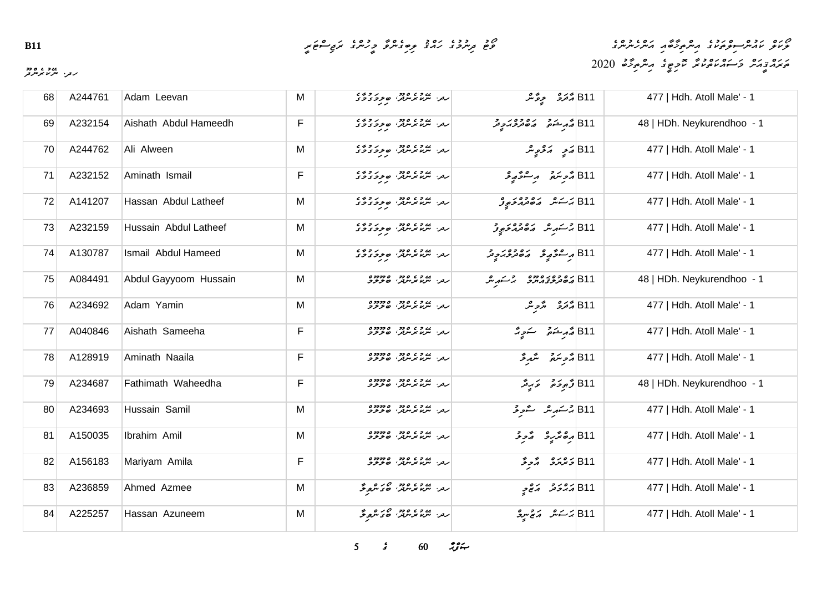*sCw7q7s5w7m< o<n9nOoAw7o< sCq;mAwBoEw7q<m; wBm;vB* م من المسجد المسجد المسجد المسجد المسجد العام 2020<br>مسجد المسجد المسجد المسجد المسجد المسجد المسجد المسجد المسجد ال

| 68 | A244761 | Adam Leevan           | M | رور عروم و دور دور و دور<br>  رور عرم برسربر المحور و دور        | B11  پژتر <sup>و</sup> م <sub>ح</sub> وَّش     | 477   Hdh. Atoll Male' - 1 |
|----|---------|-----------------------|---|------------------------------------------------------------------|------------------------------------------------|----------------------------|
| 69 | A232154 | Aishath Abdul Hameedh | F | رور سربر و ده و د و د و د<br>رور سربر برسربر، صوبر و و د         | B11 مەم شەھ مەھىر <i>ۋە دو</i> ر               | 48   HDh. Neykurendhoo - 1 |
| 70 | A244762 | Ali Alween            | M | رد. عاوج ودو.<br>رد. شرد برسرتر، جامز و داد و                    | B11   تەمچە - تەنىم ئىر                        | 477   Hdh. Atoll Male' - 1 |
| 71 | A232152 | Aminath Ismail        | F | رو. ده و ده وده.<br>رو. شرد برسربر، جامع و د و و د               | B11 مَّجِسَمَۃُ مِسْتَوَّمِيڈُ                 | 477   Hdh. Atoll Male' - 1 |
| 72 | A141207 | Hassan Abdul Latheef  | M | رو. عاو د وه وو.<br>رو. شر <i>يا برس</i> رتر، ص <i>و و ی</i> و ی | B11 ئەسەمىر بەھ <i>قەم قەبۇ ق</i>              | 477   Hdh. Atoll Male' - 1 |
| 73 | A232159 | Hussain Abdul Latheef | M | رو. عاوج ووو.<br>رو. ش ترس برسرفر، ص بر و و ی                    | B11 يُرْسَمَ مِنْ مَدَّة مِنْ مَرْدَوْ مِنْ وَ | 477   Hdh. Atoll Male' - 1 |
| 74 | A130787 | Ismail Abdul Hameed   | M | رو. عدد ۲۵۵ ورو.<br>دو. شرید مرسرتر، ن <i>و بر و و ی</i>         | B11 مِ صُوَّمِ مُوَ مُصْرُوْبَةٍ مِّدَ         | 477   Hdh. Atoll Male' - 1 |
| 75 | A084491 | Abdul Gayyoom Hussain | M | געי ישקע מדי סממס<br>געי יי <i>קט זק</i> ייקט וסי <i>ביב</i> ב   | B11 رە دەبرەددە ب <sub>ە</sub> ر مەر           | 48   HDh. Neykurendhoo - 1 |
| 76 | A234692 | Adam Yamin            | M | גע גור בגר ספר ספרדס<br>געי ניקט <i>אנייק</i> ט שי <i>ביב</i> ר  | B11 ا <i>مَّة ترَّدَّ مُرَّدِ</i> مُرَّ        | 477   Hdh. Atoll Male' - 1 |
| 77 | A040846 | Aishath Sameeha       | F | גע ישני בא ספר ספרדס<br>געי ייקט זקייקט, וסיביביב                | B11 ۾ پرڪو ڪوپڙ                                | 477   Hdh. Atoll Male' - 1 |
| 78 | A128919 | Aminath Naaila        | F | גנ. הוכנים כדי ספרפס<br>גנק. התעית התנהלתי וסיביביב              | B11  مَّرِسَمْ سَمْدِتَر                       | 477   Hdh. Atoll Male' - 1 |
| 79 | A234687 | Fathimath Waheedha    | F | رد. بروه ودوده<br>رد. سربا برسرد. ه و و و                        | B11 <i>وُّجِ دَمْ</i> کَمَ پِسٌ                | 48   HDh. Neykurendhoo - 1 |
| 80 | A234693 | Hussain Samil         | M | געי ישקע מדי סממס<br>געי יי <i>קט זק</i> ייקט וסי <i>ביב</i> ב   | B11 پژشمبرنٹر کے یوتی                          | 477   Hdh. Atoll Male' - 1 |
| 81 | A150035 | Ibrahim Amil          | м | رد. بره ده ودوده<br>رد. سربا برسرد. موجود                        | B11 م <i>وڭ ئۇر</i> ق ھەرقى                    | 477   Hdh. Atoll Male' - 1 |
| 82 | A156183 | Mariyam Amila         | F | ردر به دره در دوره در دره<br>ردر شرد برسربر، ص <sup>و</sup> رور  | B11 كەبىر بىر ئەرگە                            | 477   Hdh. Atoll Male' - 1 |
| 83 | A236859 | Ahmed Azmee           | M | رو. شرم برسرو. ٢٥ مره و مح                                       | B11 كەبرى قىر كەنتى بىر بىر ئال                | 477   Hdh. Atoll Male' - 1 |
| 84 | A225257 | Hassan Azuneem        | M | رى بەرە ەەدە بەر ھەم                                             | B11 برسكى مركة مريع                            | 477   Hdh. Atoll Male' - 1 |

*5 sC 60 nNw?mS*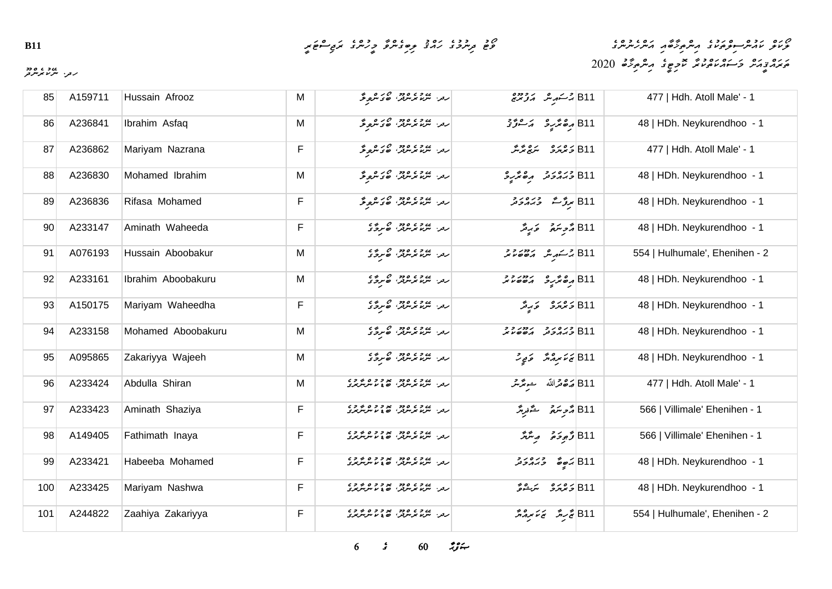*sCw7q7s5w7m< o<n9nOoAw7o< sCq;mAwBoEw7q<m; wBm;vB* م من المسجد المسجد المسجد المسجد المسجد العام 2020<br>مسجد المسجد المسجد المسجد المسجد المسجد المسجد المسجد المسجد ال

| 85  | A159711 | Hussain Afrooz     | M           | رو. شرما برسربو، نام در هر ش                                                                | B11 پرسکو پیر محرم پر پر ج             | 477   Hdh. Atoll Male' - 1     |
|-----|---------|--------------------|-------------|---------------------------------------------------------------------------------------------|----------------------------------------|--------------------------------|
| 86  | A236841 | Ibrahim Asfaq      | M           | رو. شرما برسربو، نام در هر ش                                                                | B11 مەھمگىر بۇ مەمگىرى قىلغا           | 48   HDh. Neykurendhoo - 1     |
| 87  | A236862 | Mariyam Nazrana    | $\mathsf F$ | رور سر عدد و در ده د عمر ده د                                                               | B11  <i>وَبُرْدُوْ مَنْ</i> جُمُّدَّ   | 477   Hdh. Atoll Male' - 1     |
| 88  | A236830 | Mohamed Ibrahim    | M           | رو. شرم برسرو. ٢٥ مره و مح                                                                  | B11 <i>\$نەۋەقە م</i> ەھ <i>رى</i> رۇ  | 48   HDh. Neykurendhoo - 1     |
| 89  | A236836 | Rifasa Mohamed     | F           | رو. شرم بر سرو. ص د هر ش                                                                    | B11 بروَّے وَرَدُونَز                  | 48   HDh. Neykurendhoo - 1     |
| 90  | A233147 | Aminath Waheeda    | F           | גוב בשיר ש מידה יש מישי.<br>הובני "ישמו ממידה מידה מידה ב                                   | B11 مَّ <i>جِسَمَ</i> مَ يِعَّر        | 48   HDh. Neykurendhoo - 1     |
| 91  | A076193 | Hussain Aboobakur  | M           | رتر به دورو می دو.<br>رتر شر <i>نا بر</i> سرتر صوری                                         | B11 بر مشهد مقصوم بر                   | 554   Hulhumale', Ehenihen - 2 |
| 92  | A233161 | Ibrahim Aboobakuru | M           | גב <sub>ע</sub> בי 200 סידור בין 2<br>גב <sub>ע</sub> ה <i>בטו בניינ</i> בעי פו <i>בי</i> ב | B11 مەھگرىرى مەھەمىر                   | 48   HDh. Neykurendhoo - 1     |
| 93  | A150175 | Mariyam Waheedha   | F           | גב <sub>ע</sub> בי בי בי פרד - 2 יביב<br>גב <sub>ע</sub> - מ <i>קט בי מ</i> בע              | B11   <i>5 بر برگر</i> گلبار میگر      | 48   HDh. Neykurendhoo - 1     |
| 94  | A233158 | Mohamed Aboobakuru | M           | رتر به دورو می دو.<br>رتر شر <i>نا بر</i> سرتر صوری                                         | $2222$ $2222$ $811$                    | 48   HDh. Neykurendhoo - 1     |
| 95  | A095865 | Zakariyya Wajeeh   | M           | גב <sub>ע</sub> בי 200 סידור בין 2<br>גב <sub>ע</sub> ה <i>בטו בניינ</i> בעי פו <i>בי</i> ב | B11 ئ <i>ى ئەمبەد ئەڭ بۇ</i> ر         | 48   HDh. Neykurendhoo - 1     |
| 96  | A233424 | Abdulla Shiran     | м           | رور، عروب و دو به دوره و در د<br>رور، عروبر سربر، ص                                         | B11 #چەقراللە ھوم <i>گى</i> تر         | 477   Hdh. Atoll Male' - 1     |
| 97  | A233423 | Aminath Shaziya    | F           | ے وے مجر بروج وہ ہے وے<br>ریں اس برس برس کی باس س                                           | B11 مَّ حِسَمَة مُصَّنِّرةً            | 566   Villimale' Ehenihen - 1  |
| 98  | A149405 | Fathimath Inaya    | F           | ر تر د ده ده پرووه پروه<br>رتر سرد برسرتر، هغه سرس                                          | B11 رَّج <i>وحَمْ پِسَمَّدَ</i> ّ      | 566   Villimale' Ehenihen - 1  |
| 99  | A233421 | Habeeba Mohamed    | F           | ده ده ده ده ده ده ده ده ده ده ده دارد.<br>مادر اسراء برسرفران های ما سرسربرد                | B11 بَرَصِرَةً وَبَرْدُونَرْ           | 48   HDh. Neykurendhoo - 1     |
| 100 | A233425 | Mariyam Nashwa     | F           | ران کرد که ده است و د ه و د د کار<br>رانس شریع موسوفی اصلاح ما سویس پیری                    | B11  <i>5 پر<sub>ا</sub>رو پرڪو</i> گا | 48   HDh. Neykurendhoo - 1     |
| 101 | A244822 | Zaahiya Zakariyya  | F           | رور، عدد ده ده در برد ده و د د<br>رور، سریر برسربر، ه و بر سرسربری                          | B11 تج سِهْرٌ تج تَأْمُورِ مَهْرٌ      | 554   Hulhumale', Ehenihen - 2 |

*rgg*<br>مر<sub>قو</sub>، *سم ما بوسر ق*ر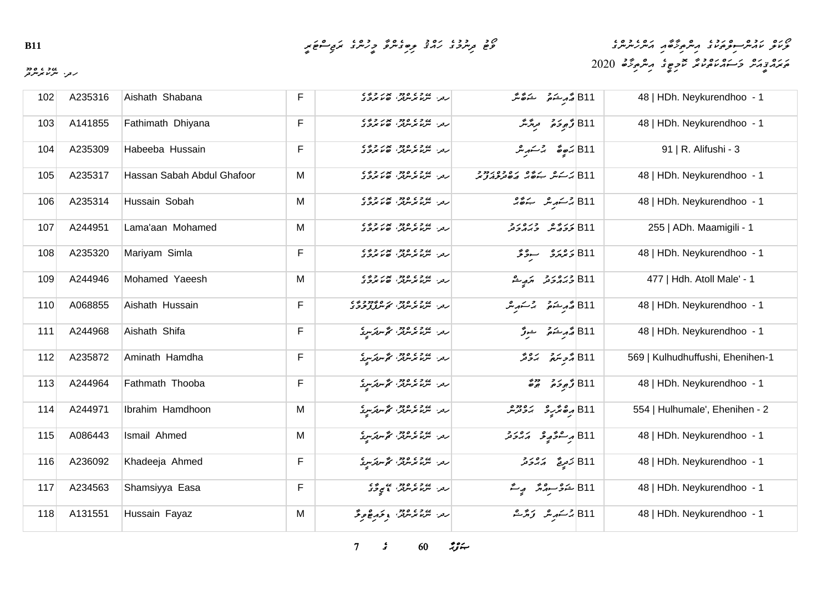*sCw7q7s5w7m< o<n9nOoAw7o< sCq;mAwBoEw7q<m; wBm;vB* م من المرة المرة المرة المرجع المراجع المراجع المراجع المراجع المراجع المراجع المراجع المراجع المراجع المراجع<br>مرين المراجع المراجع المرجع المراجع المراجع المراجع المراجع المراجع المراجع المراجع المراجع المراجع المراجع ال

| 102 | A235316 | Aishath Shabana            | F |                                                                                 | B11 <i>  مُّ مِ</i> حَبَّ مُّ مُّ مُّرَ      | 48   HDh. Neykurendhoo - 1       |
|-----|---------|----------------------------|---|---------------------------------------------------------------------------------|----------------------------------------------|----------------------------------|
| 103 | A141855 | Fathimath Dhiyana          | F |                                                                                 | B11 تَرْجِوحَة مِتَرَسَّرَ                   | 48   HDh. Neykurendhoo - 1       |
| 104 | A235309 | Habeeba Hussain            | F | גובה המכניס בבי בין בימים.<br>הבני ייתמים בייתובני וסיטיים ביבי                 | B11 بَرَصِرَة بِمَسْتَمَدِيْثَر              | 91   R. Alifushi - 3             |
| 105 | A235317 | Hassan Sabah Abdul Ghafoor | M | رور، عدد و دور، مدر و ده و.<br>رور، مرد مرموفر، قائم مروای                      | B11 ټريکر به څره پر ده ورود و                | 48   HDh. Neykurendhoo - 1       |
| 106 | A235314 | Hussain Sobah              | M |                                                                                 | B11 برسکرمبر سکھ بر                          | 48   HDh. Neykurendhoo - 1       |
| 107 | A244951 | Lama'aan Mohamed           | M | رد. در ۲۶۵ ورو، در ۲۶۶<br>ردر سربا برسربر، تقابل بروی                           | B11 كۇرگەش دېرەرد                            | 255   ADh. Maamigili - 1         |
| 108 | A235320 | Mariyam Simla              | F | גובה המכניס בבי בין בימים.<br>הבני ייתמים בייתובני וסיטיים ביבי                 | B11 <i>5 پر<sub>پ</sub>ری س</i> وگ           | 48   HDh. Neykurendhoo - 1       |
| 109 | A244946 | Mohamed Yaeesh             | M | رور است داره دور بر دارداد و دارد.<br>ارور اسر با بر سرفران اصل برای دار        | B11 <i>وُبَرُوْدَوْ پَرَ<sub>م</sub>ِ</i> يْ | 477   Hdh. Atoll Male' - 1       |
| 110 | A068855 | Aishath Hussain            | F | הבני המכשים בדי הם מכבירים מידיריים.<br>הבני ייתוח זנייתים ואי אמינות אליפריים. | B11 مۇمەيئەت <sub>ە م</sub> ەركىتەرىكە       | 48   HDh. Neykurendhoo - 1       |
| 111 | A244968 | Aishath Shifa              | F | رد. عربر برسری گرستگرس                                                          | B11 مُگهرِشَمُ مُشْرِرٌ                      | 48   HDh. Neykurendhoo - 1       |
| 112 | A235872 | Aminath Hamdha             | F | رد. عروج وود. گرس دسر                                                           | B11 مَّ جِسَمَ بِرَوْمَّ                     | 569   Kulhudhuffushi, Ehenihen-1 |
| 113 | A244964 | Fathmath Thooba            | F | رد. عروج وود. گرس دسر                                                           | B11 رُج <i>وح</i> ۾ جو ص                     | 48   HDh. Neykurendhoo - 1       |
| 114 | A244971 | Ibrahim Hamdhoon           | M | رد. عروج وود.<br>رد. شرم مرسربر، گوش برگرس                                      | B11 بر <i>ەنگەر ئىمەدەر بىر</i>              | 554   Hulhumale', Ehenihen - 2   |
| 115 | A086443 | <b>Ismail Ahmed</b>        | M | رو. عربر دوره گرستگرس                                                           | B11 مرڪو <i>گھي</i> و <i>م</i> جھومر         | 48   HDh. Neykurendhoo - 1       |
| 116 | A236092 | Khadeeja Ahmed             | F | رو. عروج وود. گرستگرس                                                           | B11  زَمرِيحٌ     دَرُدُوَ تَرْ              | 48   HDh. Neykurendhoo - 1       |
| 117 | A234563 | Shamsiyya Easa             | F | رور به دره دود به دره<br>رور شرح مرس برخ                                        | B11 خۇسەر ئەرگە                              | 48   HDh. Neykurendhoo - 1       |
| 118 | A131551 | Hussain Fayaz              | M | رىر. شرىرىرىدىن بو ئەرھ ئەتى                                                    | B11 پرستمبر تر تر تر شد                      | 48   HDh. Neykurendhoo - 1       |

*7 sC 60 nNw?mS*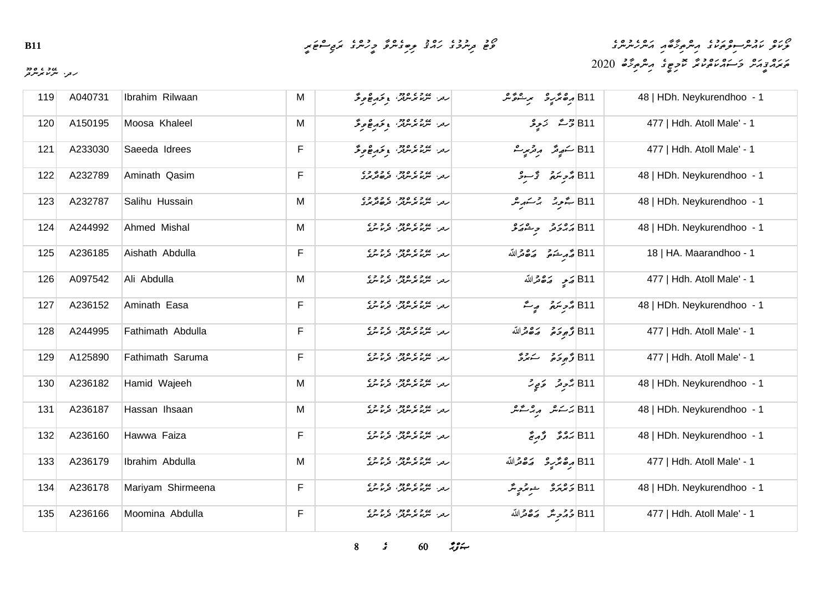*sCw7q7s5w7m< o<n9nOoAw7o< sCq;mAwBoEw7q<m; wBm;vB* م من المسجد المسجد المسجد المسجد المسجد العام 2020<br>مسجد المسجد المسجد المسجد المسجد المسجد المسجد المسجد المسجد ال

| 119 | A040731 | Ibrahim Rilwaan   | M           | رىر. شرىرىرىدى ئۆرھ ئۇ                                             | B11 مەھەر بەر مەسىر قىلىر                 | 48   HDh. Neykurendhoo - 1 |
|-----|---------|-------------------|-------------|--------------------------------------------------------------------|-------------------------------------------|----------------------------|
| 120 | A150195 | Moosa Khaleel     | M           | رىر. شرە برسرىن ، ئەرھ ئ                                           | B11  جُرْمُ کَوِنْزُ                      | 477   Hdh. Atoll Male' - 1 |
| 121 | A233030 | Saeeda Idrees     | F           | رىر. شرىرىرىدى ئەجەم ھەم ئ                                         | B11 سَهِيعٌ مِعْرَمٍيْتُ                  | 477   Hdh. Atoll Male' - 1 |
| 122 | A232789 | Aminath Qasim     | F           | رتر، عروج وجود المروج والمراجع.<br>رتر، سریر مرسوبتر، ترجاتر مرو   | B11 مَّ حِسَمَ تَحْ سِوْ                  | 48   HDh. Neykurendhoo - 1 |
| 123 | A232787 | Salihu Hussain    | м           | ده ده و ده ود ده و ده و د<br>ردر سربا برسربر، در مادری             | B11 سگور پر پر شهر بر                     | 48   HDh. Neykurendhoo - 1 |
| 124 | A244992 | Ahmed Mishal      | M           | رور، عروج و و و و و و و و و و<br>روز، عروج مرس                     | B11   <i>גژونز وحش</i> مگ                 | 48   HDh. Neykurendhoo - 1 |
| 125 | A236185 | Aishath Abdulla   | F           | رور، عربر بروره در در در در در در با<br>روز، عربر برمزنز، فرنز مری | B11 صَّمِرْ شَمَّعْ صَرْحَة مِّدَاللَّه   | 18   HA. Maarandhoo - 1    |
| 126 | A097542 | Ali Abdulla       | M           | رور، عرد و و و و و و و و و و و و<br>رور، عرد مرسوفر، فرد سرو       | B11 صَعِي <i>ٰ صَرْحُ</i> قَرَاللّه       | 477   Hdh. Atoll Male' - 1 |
| 127 | A236152 | Aminath Easa      | F           | رور، عروبره دوره دوره دوره<br>رور، عر <i>وبر پر سر</i> ور، فرم سرو | B11 مَّ مِتَمَعْ مِيسَّ                   | 48   HDh. Neykurendhoo - 1 |
| 128 | A244995 | Fathimath Abdulla | $\mathsf F$ | رور، عروج وروم دور وروم<br>روز، عروج مربوبر، فرم سری               | B11 وَجِعَة صَدَّاللَّه                   | 477   Hdh. Atoll Male' - 1 |
| 129 | A125890 | Fathimath Saruma  | $\mathsf F$ | رو. عرو و و و و و و و و و و<br>رو. متورا موسوفر، فرنا سری          | B11 ۇ <sub>ج</sub> وڭ ئىرگە               | 477   Hdh. Atoll Male' - 1 |
| 130 | A236182 | Hamid Wajeeh      | M           | روز، عروج و و و و و و و و و و و<br>روز، عروج مرسوبتر، افراد سری    | B11 گرونر ک <i>ون</i> و ک                 | 48   HDh. Neykurendhoo - 1 |
| 131 | A236187 | Hassan Ihsaan     | M           | رور، عروج و و و و و و و و و و و و و ا                              | B11  تەسىر مەرجىقىر                       | 48   HDh. Neykurendhoo - 1 |
| 132 | A236160 | Hawwa Faiza       | F           | رور، شرح عام 2012 و 2<br>روز، شرح مرس                              | B11 يَرْدُمَّ تَرْمِيَّ                   | 48   HDh. Neykurendhoo - 1 |
| 133 | A236179 | Ibrahim Abdulla   | M           | رو. عرو و و و و و و و و و و<br>رو. متورا موسوفر، فرنا سری          | B11 م <i>وڭ مَدَّرِ \$ مَ</i> هُمَّاللَّه | 477   Hdh. Atoll Male' - 1 |
| 134 | A236178 | Mariyam Shirmeena | F           | رور، عروبر و و و و و و و و و و و<br>رور، عروبر عرضوی از فرم سری    | B11 <i>وَبُرْمَرْدْ</i> مُعْرِمِّرِيْتَر  | 48   HDh. Neykurendhoo - 1 |
| 135 | A236166 | Moomina Abdulla   | F           | رو. عرو و و و و و و و و و و و و<br>رو. متورا موسوفر، فورا سری      | B11 <i>55 جي ش</i> ه تمالله               | 477   Hdh. Atoll Male' - 1 |

*rgg*<br>مر<sub>قو</sub>، *سم ما بوسر ق*ر

**8** *s* **60** *f f s*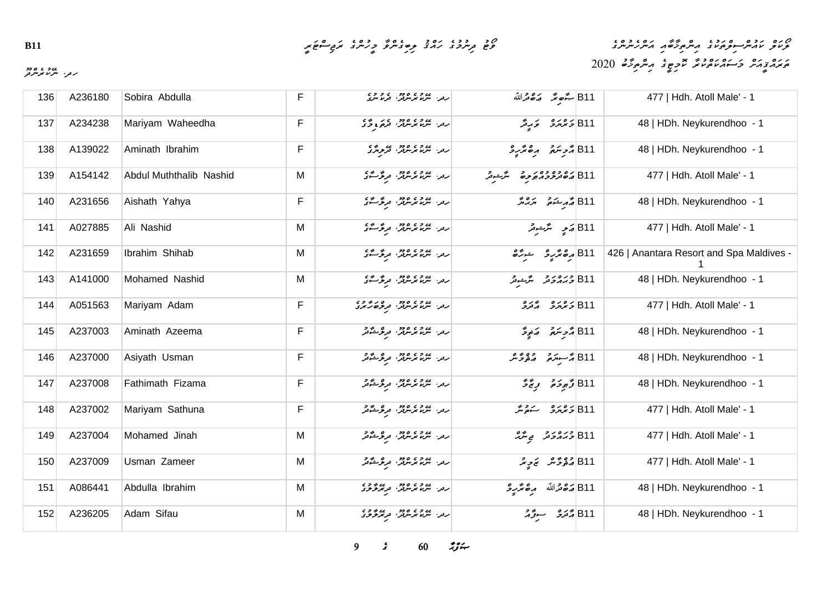*sCw7q7s5w7m< o<n9nOoAw7o< sCq;mAwBoEw7q<m; wBm;vB* م من المرة المرة المرة المرجع المراجع المراجع المراجع المراجع المراجع المراجع المراجع المراجع المراجع المراجع<br>مرين المراجع المراجع المرجع المراجع المراجع المراجع المراجع المراجع المراجع المراجع المراجع المراجع المراجع ال

| 136 | A236180 | Sobira Abdulla          | F | رور، عروج و و و و و و و و و<br>رور، عرب مرسرفر، فرنم سری                     | B11  جَو <i>جدٌ مَ</i> هُ قُراللّه    | 477   Hdh. Atoll Male' - 1               |
|-----|---------|-------------------------|---|------------------------------------------------------------------------------|---------------------------------------|------------------------------------------|
| 137 | A234238 | Mariyam Waheedha        | F | رور سربر بره ده در برای باشد.<br>روز شربر برسربر، ترج و تر بر                | B11  <i>5 بەيىرى _ جەب</i> ىر         | 48   HDh. Neykurendhoo - 1               |
| 138 | A139022 | Aminath Ibrahim         | F | رتر به دره دود به دره<br>رتر شرد برسرتر ترویزی                               | B11 مُجرِسَمُ مِصْرَبِرْدِ            | 48   HDh. Neykurendhoo - 1               |
| 139 | A154142 | Abdul Muththalib Nashid | M |                                                                              | B11 رەمەدە دەر جەنبەتى ئىشىدىمە       | 477   Hdh. Atoll Male' - 1               |
| 140 | A231656 | Aishath Yahya           | F | رى مەد ، مەد ئەر ئەر ئەر<br>رى شرىر بىرسەن ئىرقۇسىمى                         | B11 مَدْمِرْ شَدَّةَ مَرْسُدَّةً      | 48   HDh. Neykurendhoo - 1               |
| 141 | A027885 | Ali Nashid              | M |                                                                              | B11  کەمچە     ئگرىشونگر              | 477   Hdh. Atoll Male' - 1               |
| 142 | A231659 | Ibrahim Shihab          | M | رى مەد ، مەد ئەر ئەر ئەر<br>رى شرىر بىرسەن ئىرقۇسىمى                         | B11 م <i>ەھترى</i> ھەرمە              | 426   Anantara Resort and Spa Maldives - |
| 143 | A141000 | Mohamed Nashid          | M | رى مەد ، مەد ئەر ئەر ئەر<br>رى شرىر بىرسەن ئىرقۇسىمى                         | B11 <i>ڈیز مگریٹر سگرش</i> وٹر        | 48   HDh. Neykurendhoo - 1               |
| 144 | A051563 | Mariyam Adam            | F | ے وے وہ صوبے وے دی۔<br>ریں اسریہ برسریں اقدامی مربی                          | B11 <i>5 پر<sub>پ</sub>رو پر پ</i> رو | 477   Hdh. Atoll Male' - 1               |
| 145 | A237003 | Aminath Azeema          | F | ری به ده وده و در در د                                                       | B11 مَرْحِ سَمَعَ     مَنْ حَمَّ      | 48   HDh. Neykurendhoo - 1               |
| 146 | A237000 | Asiyath Usman           | F |                                                                              | B11 <sub>م</sub> سورتر مقرونگر        | 48   HDh. Neykurendhoo - 1               |
| 147 | A237008 | Fathimath Fizama        | F |                                                                              | B11 وَّجِوَدَةَ وِيَّ وَّ             | 48   HDh. Neykurendhoo - 1               |
| 148 | A237002 | Mariyam Sathuna         | F | ری به ده وده و ده و د<br>ری شرح مرس بر و شگانر                               | B11 ئ <i>ۈچرى سىۋىتى</i>              | 477   Hdh. Atoll Male' - 1               |
| 149 | A237004 | Mohamed Jinah           | M | ری به ده وده و ده و د<br>ری شرح مرس بر و شگانر                               | B11 <i>5222 ب</i> حديثر ع             | 477   Hdh. Atoll Male' - 1               |
| 150 | A237009 | Usman Zameer            | M | ری مصرف مصرفر اور مسیح دید.<br>ری شرح مرس                                    | B11 ۾ پُروڻر <sub>پچو</sub> بر        | 477   Hdh. Atoll Male' - 1               |
| 151 | A086441 | Abdulla Ibrahim         | M | رو. عروج و و و د عدو و ع<br>رو. شر <i>ما برس</i> ربر، تری <del>ز و و</del> د | B11  رَحْمَدالله مِرْحَمَّرِ وَ       | 48   HDh. Neykurendhoo - 1               |
| 152 | A236205 | Adam Sifau              | M | رو. عروج و دو.<br>رو. شر <i>ما برس</i> رتر، تربرترتری                        | B11 ا <i>مَّ</i> ترو سِوَّرْتَمُ      | 48   HDh. Neykurendhoo - 1               |

*9 s* 60 *i*<sub>s</sub> $\approx$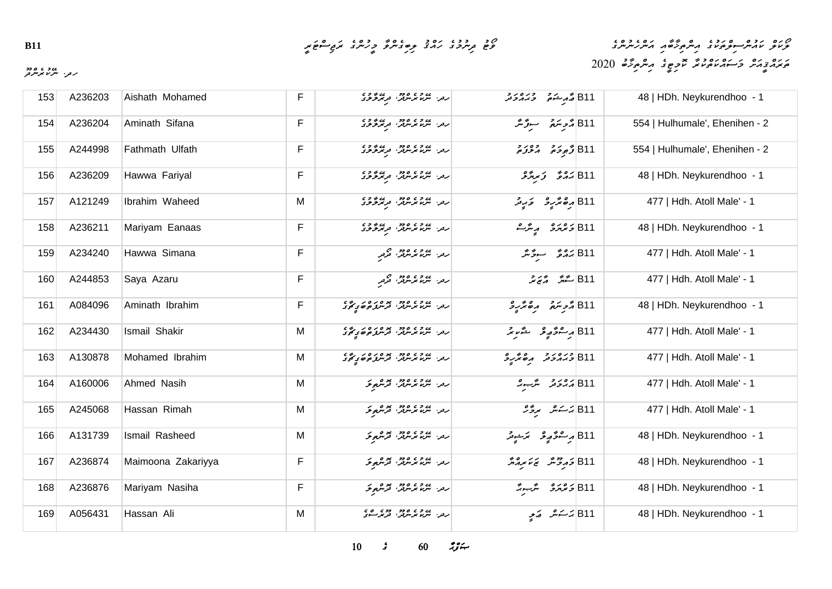*sCw7q7s5w7m< o<n9nOoAw7o< sCq;mAwBoEw7q<m; wBm;vB* م من المرة المرة المرة المرجع المراجع المراجع المراجع المراجع المراجع المراجع المراجع المراجع المراجع المراجع<br>مرين المراجع المراجع المرجع المراجع المراجع المراجع المراجع المراجع المراجع المراجع المراجع المراجع المراجع ال

| 153 | A236203 | Aishath Mohamed    | F           | رو. عوره و دو.<br>رو. عر <i>يا برس</i> رير، تر <i>برتو</i> نو و                                                | B11 مُەمشىم ئەمەدىر                         | 48   HDh. Neykurendhoo - 1     |
|-----|---------|--------------------|-------------|----------------------------------------------------------------------------------------------------------------|---------------------------------------------|--------------------------------|
| 154 | A236204 | Aminath Sifana     | F           | رور، عروج و دو.<br>رور، عر <i>ی</i> م برمربر، تریمر <del>ی</del> ویوی                                          | B11 مَّ حِ سَعَةٍ مَسورٌ مَثَر              | 554   Hulhumale', Ehenihen - 2 |
| 155 | A244998 | Fathmath Ulfath    | F           | رتر به و ده دو.<br>رتر شرد برسرتر انریز و د                                                                    | B11 وَجِعَة مَعْرَفَة                       | 554   Hulhumale', Ehenihen - 2 |
| 156 | A236209 | Hawwa Fariyal      | F           | رتر، عدد و و و و.<br>رتر، شرید برسرتر، ترتر و و و                                                              | B11  يَرْدُمُّ _ وَمِيتَرْنَوْ              | 48   HDh. Neykurendhoo - 1     |
| 157 | A121249 | Ibrahim Waheed     | M           | رو. عروج ه دو.<br>رو. ش <i>ریا بر</i> سربر، تریمز <del>ی</del> روی                                             | B11  م <i>وڭ بگرى</i> ئۇم <sub>ي</sub> ىتر  | 477   Hdh. Atoll Male' - 1     |
| 158 | A236211 | Mariyam Eanaas     | $\mathsf F$ | رور، عروج و دو.<br>رور، عر <i>ی</i> م برمربر، تریمر <del>ی</del> ویوی                                          | B11  دَيْرْيَرْدْ - مِيرْبْ                 | 48   HDh. Neykurendhoo - 1     |
| 159 | A234240 | Hawwa Simana       | F           | ری به ده ود می<br>ری شر <i>یا بر</i> سربر، ترتی <sub>ر</sub>                                                   | B11 بَرْدُوَّ سِوَّىدَ                      | 477   Hdh. Atoll Male' - 1     |
| 160 | A244853 | Saya Azaru         | $\mathsf F$ | ریں سے وہ وہ ج<br>ریں شرح مرسومی تومی                                                                          | B11 گەنگە قەتبى ئىر                         | 477   Hdh. Atoll Male' - 1     |
| 161 | A084096 | Aminath Ibrahim    | F           | در در دو بره در در در د<br>رد شرم برس در ترس و ه د کرد                                                         | B11 مُ <i>جِسَعْهِ مِنْ مُ</i> دَرِدْ       | 48   HDh. Neykurendhoo - 1     |
| 162 | A234430 | Ismail Shakir      | M           | رو. ده ده ده ده ده ده د ده د<br>رو. سرد برسرفر، فرسرفون و محمد                                                 | B11 م <i>ېرىشۇمۇ</i> ھەمبەتر                | 477   Hdh. Atoll Male' - 1     |
| 163 | A130878 | Mohamed Ibrahim    | M           | رور ده و ده ده ده ده د ده د<br>رور سربر برسرور، فرسرو ده و می                                                  | B11 <i>وبروبو م</i> ەم <i>گرى</i> ۋ         | 477   Hdh. Atoll Male' - 1     |
| 164 | A160006 | Ahmed Nasih        | M           | رد. عربه برسربر، ترسمبرتر                                                                                      | B11 <i>دَ بُرْدَ تَرْبِيرُ</i>              | 477   Hdh. Atoll Male' - 1     |
| 165 | A245068 | Hassan Rimah       | M           | رىر. شرىر برەدە بىرە بىرى<br>رىر. شرىر بىر بىرى تىر شھوق                                                       | B11  پَرَسَسُ گَروُرُ ا                     | 477   Hdh. Atoll Male' - 1     |
| 166 | A131739 | Ismail Rasheed     | M           | رد. عدد و ده در بره در بر                                                                                      | B11 مرڪو <i>گھي</i> و - مر <sub>شو</sub> مر | 48   HDh. Neykurendhoo - 1     |
| 167 | A236874 | Maimoona Zakariyya | $\mathsf F$ | رى شەھ يەھ بىر ئەھمى ئىسكى ئىسكى ئىسكى ئىسكى ئىسكى ئىسكى ئىسكى ئىسكى ئىسكى ئىسكى ئىسكى ئىسكى ئىسكى ئىسكى ئىسكى | B11 <i>خەرق ئى ئىم ئىرە ئاڭ</i>             | 48   HDh. Neykurendhoo - 1     |
| 168 | A236876 | Mariyam Nasiha     | F           | رى مەد يەھەر بوھىمى كە                                                                                         | B11   <i>وَيُرْدَّرْ - بَدَّبِ</i> يْرُ     | 48   HDh. Neykurendhoo - 1     |
| 169 | A056431 | Hassan Ali         | M           | رور، عروج وروبر ووج و د و د<br>روز، عربا مرسوفر، فرمز سوی                                                      | B11   پرسکش کی مو                           | 48   HDh. Neykurendhoo - 1     |

 $10$  *s* 60 *i*<sub>3</sub> *s*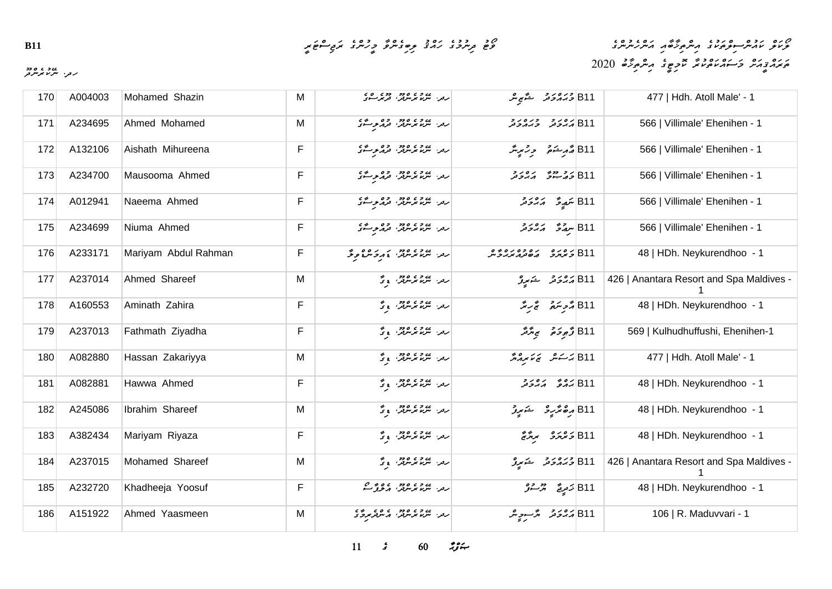*sCw7q7s5w7m< o<n9nOoAw7o< sCq;mAwBoEw7q<m; wBm;vB* م من المرة المرة المرة المرجع المراجع المراجع المراجع المراجع المراجع المراجع المراجع المراجع المراجع المراجع<br>مرين المراجع المراجع المرجع المراجع المراجع المراجع المراجع المراجع المراجع المراجع المراجع المراجع المراجع ال

| 170 | A004003 | Mohamed Shazin       | M           | روز، عروج و و و و و و و و ع<br>روز، عربا مرسوبل، فرمز سوی               | B11 <i>ۇرۇدۇتى</i> ش <sub>ى</sub> م ش               | 477   Hdh. Atoll Male' - 1               |
|-----|---------|----------------------|-------------|-------------------------------------------------------------------------|-----------------------------------------------------|------------------------------------------|
| 171 | A234695 | Ahmed Mohamed        | M           | رد. سرد برمرد. وه وسره و                                                | B11 ג' ג' בג' ביטיב                                 | 566   Villimale' Ehenihen - 1            |
| 172 | A132106 | Aishath Mihureena    | $\mathsf F$ | رور سربر برسرور وه<br>رور سربر برسرور، فرمر و سنر                       | B11  مَدْرِسْدَهْ _ وِرْمِرِسَّر                    | 566   Villimale' Ehenihen - 1            |
| 173 | A234700 | Mausooma Ahmed       | F           | رو. عدد و ده و و و د و .<br>رو. شرید مرسرفر، فرورموستوی                 | B11 كەرجىسى بەر ئەر                                 | 566   Villimale' Ehenihen - 1            |
| 174 | A012941 | Naeema Ahmed         | F           | رو. عدد و ده و و و د و.<br>رو. شرد برسربر، ترو و سو                     | B11 سَمِيعٌ - رَ <sup>م</sup> ِرْدَتْرُ             | 566   Villimale' Ehenihen - 1            |
| 175 | A234699 | Niuma Ahmed          | $\mathsf F$ | رو. عام و عام ده ده مورد و عام و ده د.<br>رو. شریع موسوفر، افزار موسسوی | B11 سرچ که پروتر                                    | 566   Villimale' Ehenihen - 1            |
| 176 | A233171 | Mariyam Abdul Rahman | F           | رى دە دەھەر دەھەرى.<br>رىس شرىر مرسرىس غام قاسىغا ئوغ                   | B11 د وړو د دوه د وو.<br>B11 د بربرو ډه تربربربروبر | 48   HDh. Neykurendhoo - 1               |
| 177 | A237014 | Ahmed Shareef        | M           | ري به د د ه ود .<br>ري سرد برسري الا ي                                  | B11 كەبرى ھەمبەتى                                   | 426   Anantara Resort and Spa Maldives - |
| 178 | A160553 | Aminath Zahira       | F           | ري سي و ۽ ه وو.<br>ري سي مرس بن                                         | B11 مَّ مِسَعَمٍ تَجَ سِمَّد                        | 48   HDh. Neykurendhoo - 1               |
| 179 | A237013 | Fathmath Ziyadha     | F           | رور - 2000 وه.<br>رور - سرما بوسرفر - 2 ي                               | B11 گەجەڭ ئىم ئارتىگە                               | 569   Kulhudhuffushi, Ehenihen-1         |
| 180 | A082880 | Hassan Zakariyya     | M           | رور - 2000 وه.<br>مرفر - سرما مرسوفر - 2 ی                              | B11   يَرْسَدْ مَنْ مَرِيْرِيْرْ                    | 477   Hdh. Atoll Male' - 1               |
| 181 | A082881 | Hawwa Ahmed          | F           | رور سرما بر دود.<br>رور سرما بر سربل المال                              | B11 يَرْدُمُّ - يَرْدُونْر                          | 48   HDh. Neykurendhoo - 1               |
| 182 | A245086 | Ibrahim Shareef      | M           | رور - 2000 وه.<br>مرفر - سرما مرسوفر - 2 ی                              | B11 مەھەر بۇ ھەمرۇ                                  | 48   HDh. Neykurendhoo - 1               |
| 183 | A382434 | Mariyam Riyaza       | F           | رور، سرما برسوبو، المحالي.<br>مرفود: سوما بوسوبو، المحالي.              | B11 كەبۇر <i>ۇ بىر ئۇن</i> ج                        | 48   HDh. Neykurendhoo - 1               |
| 184 | A237015 | Mohamed Shareef      | M           | ري به د د ه ود .<br>ري سرد برسري الا ي                                  | B11  <i>وبروب</i> وتر ش <i>مبوث</i>                 | 426   Anantara Resort and Spa Maldives - |
| 185 | A232720 | Khadheeja Yoosuf     | F           | ر پر د ده ده د ده د م<br>ربر شرد برسربر، مرفز ک                         | B11 كَتَمِيعٌ مَرْتَمَتْرُ                          | 48   HDh. Neykurendhoo - 1               |
| 186 | A151922 | Ahmed Yaasmeen       | M           | ے وے ہجو ہے وہ کے لیے<br>رقب شریع موسیق اوسوفونوں                       | B11   پرچوتر - مرَّسوچِ مَر                         | 106   R. Maduvvari - 1                   |

 $11$  *s* 60  $\frac{2}{3}$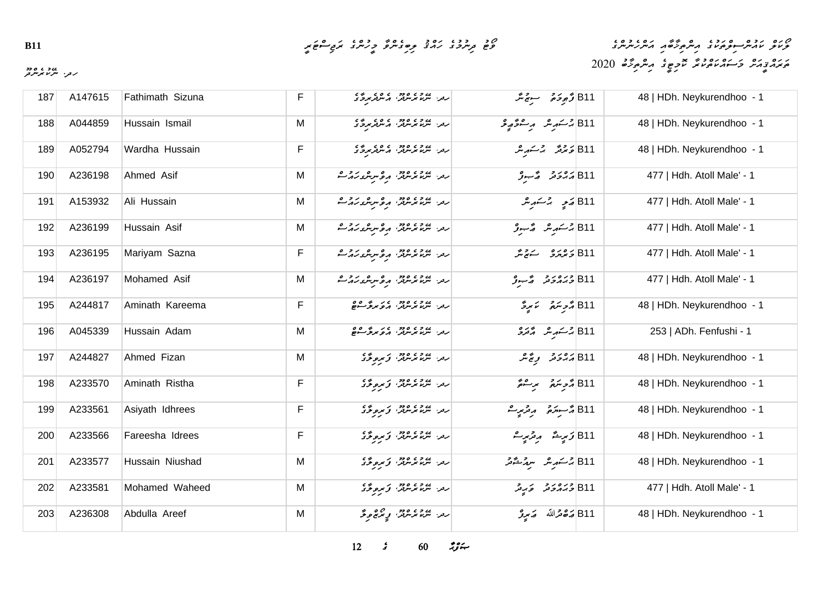*sCw7q7s5w7m< o<n9nOoAw7o< sCq;mAwBoEw7q<m; wBm;vB* م من المرة المرة المرة المرجع المراجع المراجع المراجع المراجع المراجع المراجع المراجع المراجع المراجع المراجع<br>مرين المراجع المراجع المرجع المراجع المراجع المراجع المراجع المراجع المراجع المراجع المراجع المراجع المراجع ال

| 187 | A147615 | Fathimath Sizuna | F           |                                                                           | B11 ۇ <sub>جو</sub> رَة مەسبى مىگە                      | 48   HDh. Neykurendhoo - 1 |
|-----|---------|------------------|-------------|---------------------------------------------------------------------------|---------------------------------------------------------|----------------------------|
| 188 | A044859 | Hussain Ismail   | M           | رور عروم ورود و و و د و و<br>رور شرما مرس بر اگر مرفر مرفر و              | B11 يُرْسَمبِ شَرْمَ مِرْسُوَّ مِرْوْ                   | 48   HDh. Neykurendhoo - 1 |
| 189 | A052794 | Wardha Hussain   | $\mathsf F$ | رو. سربا برس و د د د د د د<br>رو. سربا برس و ، د سربر برو د               | B11 <i>ق ترتگ بر شهر ب</i> ر                            | 48   HDh. Neykurendhoo - 1 |
| 190 | A236198 | Ahmed Asif       | M           | رد. سره برسری مروسرس در در ه                                              | B11 كەردى قەسىرى                                        | 477   Hdh. Atoll Male' - 1 |
| 191 | A153932 | Ali Hussain      | M           | תבני מתו מתוכני תפיתיות בתרים                                             | B11 <i>ھَ۔ ج</i> ڪھيھ                                   | 477   Hdh. Atoll Male' - 1 |
| 192 | A236199 | Hussain Asif     | M           | תבני יותמי מתבני וקים ייתולה באת הם                                       | B11 برسەر بىر گەسبۇ                                     | 477   Hdh. Atoll Male' - 1 |
| 193 | A236195 | Mariyam Sazna    | F           | תבני מתו מתוכני תפיתיות בתרים                                             | B11 كەندىرى سەنى ئىگە                                   | 477   Hdh. Atoll Male' - 1 |
| 194 | A236197 | Mohamed Asif     | M           | גוני יותמי מינור וקים ייתול גורים.<br>גועי יותמי מינורי וקים ייתול גורים. | B11 <i>ۋېزون ۋىبى</i> ۋ                                 | 477   Hdh. Atoll Male' - 1 |
| 195 | A244817 | Aminath Kareema  | $\mathsf F$ | رى سى دە دە دە دە دە دە                                                   | B11 مَّ مِسَمَّى يَسْمِرَّ                              | 48   HDh. Neykurendhoo - 1 |
| 196 | A045339 | Hussain Adam     | M           | رد. سره بر دود به در به ده<br>رد. سره برسرد. برو بروگ                     | B11 پڑے پہ پھر محمد محمد ال                             | 253   ADh. Fenfushi - 1    |
| 197 | A244827 | Ahmed Fizan      | M           | رىر. شەم بەرەم كەيروگۇتى                                                  | B11 كەبرى قىر بويىچە ئىر                                | 48   HDh. Neykurendhoo - 1 |
| 198 | A233570 | Aminath Ristha   | $\mathsf F$ | رىر. شەم تەرەپ كەيرە ئۇنجا                                                | B11 مَّ حِسَمَ <sub>ّة م</sub> ِ سَقَّ                  | 48   HDh. Neykurendhoo - 1 |
| 199 | A233561 | Asiyath Idhrees  | F           | رىر. شرە برىرى كەيرە ئۇي                                                  | B11 مُرْسِ <i>مَرْهْ بِهِ مِ</i> تْرَمِيْ <sup>مْ</sup> | 48   HDh. Neykurendhoo - 1 |
| 200 | A233566 | Fareesha Idrees  | F           | رىر. شرە برىرى كەيرە ئۇي                                                  | B11 زَمِيشَہ پرتَرْمِي <sup>ث</sup>                     | 48   HDh. Neykurendhoo - 1 |
| 201 | A233577 | Hussain Niushad  | M           | رىر. شەم تەرەپ كەيرە ئۇنجا                                                | B11 بر سَمبر مَّر سِمْر مَشْعَر                         | 48   HDh. Neykurendhoo - 1 |
| 202 | A233581 | Mohamed Waheed   | M           | رىر. شرە برەرى كەيرە ئۇي                                                  | B11 <i>ڈیزہ ڈی ق</i> ریتر                               | 477   Hdh. Atoll Male' - 1 |
| 203 | A236308 | Abdulla Areef    | M           | رى شەھ يەھ بەھ بەھ بىرى بولىقى                                            | B11  صَرْحَة مِّلاً  تَدَّمَّ مِرْجَمِعِيْلِ            | 48   HDh. Neykurendhoo - 1 |

 $12$  *s* 60  $\frac{1}{2}$  *s*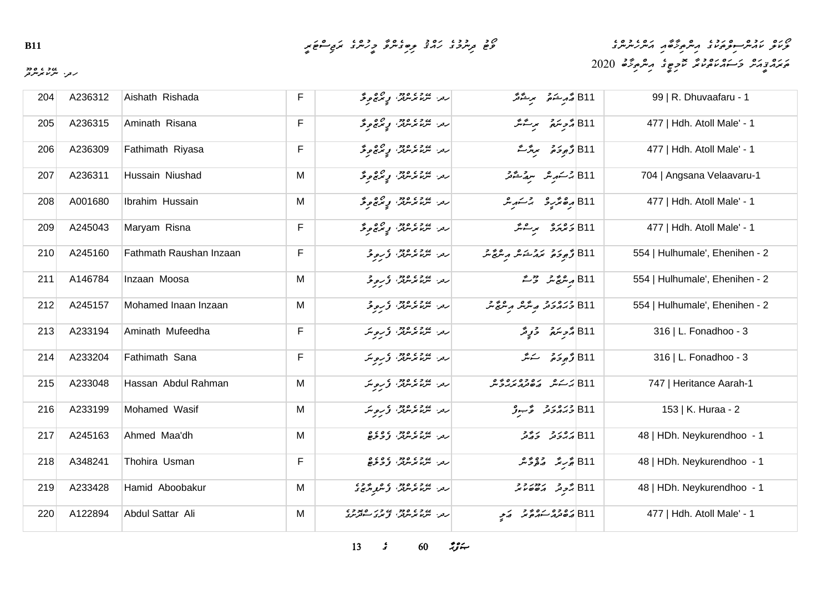*sCw7q7s5w7m< o<n9nOoAw7o< sCq;mAwBoEw7q<m; wBm;vB* م من المرة المرة المرة المرجع المراجع المراجع المراجع المراجع المراجع المراجع المراجع المراجع المراجع المراجع<br>مرين المراجع المراجع المرجع المراجع المراجع المراجع المراجع المراجع المراجع المراجع المراجع المراجع المراجع ال

| 204 | A236312 | Aishath Rishada         | F           | رىر. شرىر مەدە بەرگە بولۇ                                                     | B11 صَّەبِسْتَمَّةً مِّ سَّمَّةً                    | 99   R. Dhuvaafaru - 1         |
|-----|---------|-------------------------|-------------|-------------------------------------------------------------------------------|-----------------------------------------------------|--------------------------------|
| 205 | A236315 | Aminath Risana          | F           | رى شەم دەم بورگە بول                                                          | B11 مَّ حِسَمَ مِ سَمَّسَّ                          | 477   Hdh. Atoll Male' - 1     |
| 206 | A236309 | Fathimath Riyasa        | F           | رى شەم دەم بورگە بول                                                          | B11 ژَّجِرَةَ مِتَرَسَّةَ                           | 477   Hdh. Atoll Male' - 1     |
| 207 | A236311 | Hussain Niushad         | M           | رى شرە بوھۇس بولىرى ئولى                                                      | B11 پر کے <sub>می</sub> ر میں سرچ شوٹر              | 704   Angsana Velaavaru-1      |
| 208 | A001680 | Ibrahim Hussain         | M           | رى سىم دە مەددە ئەس ئەس ئىلىمى ئەس                                            | B11 بر <i>ەنڈر ب</i> و میں شرید                     | 477   Hdh. Atoll Male' - 1     |
| 209 | A245043 | Maryam Risna            | $\mathsf F$ | رو. عدد ۱۵۵۵ و. ۵۵<br>رو. شرا مرس ترکم و مربع و م                             | B11 5عەدى برىش <i>ى</i> گ                           | 477   Hdh. Atoll Male' - 1     |
| 210 | A245160 | Fathmath Raushan Inzaan | F           | رىر. شرىق دەچەر ئەرەپچە                                                       | B11 <i>أَدْوِدَهْ مَدْيَسْوَمْه مِ</i> سْمَةً مِّرَ | 554   Hulhumale', Ehenihen - 2 |
| 211 | A146784 | Inzaan Moosa            | M           | رى ئەدەبەي ئەرە                                                               | B11 مريم پھڻ ھيڪ                                    | 554   Hulhumale', Ehenihen - 2 |
| 212 | A245157 | Mohamed Inaan Inzaan    | M           | رى ئەمەمەت كېرىدۇ.                                                            | B11 <i>دېمم</i> ونه <sub>م</sub> ېتر مرسمځمر        | 554   Hulhumale', Ehenihen - 2 |
| 213 | A233194 | Aminath Mufeedha        | F           | رىر. شرىدىرىدى. ۋىرەپتر                                                       | B11 مَّ مِسَمَّى تَحْرِمَّدُ                        | 316   L. Fonadhoo - 3          |
| 214 | A233204 | Fathimath Sana          | F           | رىر. شرىدىرىدى. ۋىرەپتر                                                       | B11 <i>وُّهِ دَهْ</i> سَکَّر                        | 316   L. Fonadhoo - 3          |
| 215 | A233048 | Hassan Abdul Rahman     | M           | رە. شەم بەرە ئۇرۇش                                                            | B11 ئەسەھ مەھ <i>ەرەمەر ۋە</i> ر                    | 747   Heritance Aarah-1        |
| 216 | A233199 | Mohamed Wasif           | M           | رە. شەم بەرە ئۇرۇش                                                            | B11 <i>ۋېزودىق</i> قرىبور                           | 153   K. Huraa - 2             |
| 217 | A245163 | Ahmed Maa'dh            | M           | رد. مرد و و و و و و و و<br>رد. مرد برمردن و و و و                             | B11 كەبرى قىر ئەرگەنگە                              | 48   HDh. Neykurendhoo - 1     |
| 218 | A348241 | Thohira Usman           | F           | رد. مورد ورود و و و و و و<br>رد. مورد برس در و و و و                          | B11 پُرِيرٌ پِرُ وُچُرَ پُر                         | 48   HDh. Neykurendhoo - 1     |
| 219 | A233428 | Hamid Aboobakur         | M           | رد. عروم ۱۶۵ و و ۶۶<br>رد. شر <i>ما بر</i> سربر، ک <i>ر</i> سرپرسی            | B11 بَرْحِ مَدْ 1947 بَرْ                           | 48   HDh. Neykurendhoo - 1     |
| 220 | A122894 | Abdul Sattar Ali        | M           | راور، ان و و و و و و و و و و و و و و<br>اراور، اسریما مرسولگر، انج مری سولترس | B11 كەھەرمەم كەم                                    | 477   Hdh. Atoll Male' - 1     |

*rgg*<br>مر<sub>قو</sub>، *سم ما بوسر ق*ر

 $13$  *s* 60  $23$   $\div$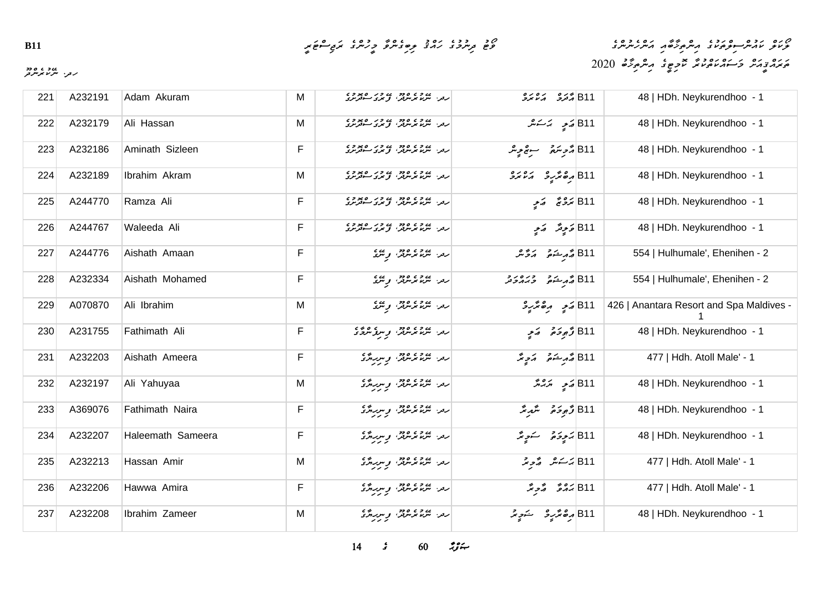*sCw7q7s5w7m< o<n9nOoAw7o< sCq;mAwBoEw7q<m; wBm;vB* م من المسجد المسجد المسجد المسجد المسجد العام 2020<br>مسجد المسجد المسجد المسجد المسجد المسجد المسجد المسجد المسجد ال

## *rgg*<br>مر<sub>قو</sub>، *سم ما بوسر ق*ر

| 221 | A232191 | Adam Akuram       | M            | ر اور ۱۶۵۰ تا ۶۶۵۰ تا ۶۶ در ۲۶۵۰ تا ۶۶<br>راور امریز مرسرون از مرد سوترس                                           | B11 څخه د مشتر <del>و</del>                          | 48   HDh. Neykurendhoo - 1               |
|-----|---------|-------------------|--------------|--------------------------------------------------------------------------------------------------------------------|------------------------------------------------------|------------------------------------------|
| 222 | A232179 | Ali Hassan        | M            | ے وے مودے ہے وہ مصوبے<br>مرتب: شریع موسوفین کو مودے سنوفیزیوری                                                     | B11  كەبىي - ئەس <i>ەنل</i> ى                        | 48   HDh. Neykurendhoo - 1               |
| 223 | A232186 | Aminath Sizleen   | F            | ران - شهر و ده - ده و در ان در و د و د<br>- در اند اند در اند به سرگر در اند اند بران اند اند بران و در اند بران و | B11  مُرْحِسَمُ مِسْتَمْحِيشُ                        | 48   HDh. Neykurendhoo - 1               |
| 224 | A232189 | Ibrahim Akram     | M            | ے وے ہ وہ ہے وہ ہے وہ ہو وے<br>برقر: اس ماہ مرس قرائم کی مرکز سندھرس                                               | B11 مەھەمگەيى ئەممىدى B11                            | 48   HDh. Neykurendhoo - 1               |
| 225 | A244770 | Ramza Ali         | F            |                                                                                                                    | B11  ترویج کامی                                      | 48   HDh. Neykurendhoo - 1               |
| 226 | A244767 | Waleeda Ali       | $\mathsf{F}$ | ے وے ہ وو ہے ور ہے وے وہ<br>برقر: اس لا موسوقر) او مور اسوقرس                                                      | B11  <sub>حکم</sub> وتر ک <i>ے ی</i>                 | 48   HDh. Neykurendhoo - 1               |
| 227 | A244776 | Aishath Amaan     | F            | رو. 2010 و ده.<br>رو. سرما برسرفر، و سری                                                                           | B11 مەم ئىق ئەرگە بىر                                | 554   Hulhumale', Ehenihen - 2           |
| 228 | A232334 | Aishath Mohamed   | $\mathsf{F}$ | رو. عدد ۲۵ وو.<br>رو. سرما مرس تر                                                                                  | B11 مُصِيمَة وَيَدْوَمَرْ                            | 554   Hulhumale', Ehenihen - 2           |
| 229 | A070870 | Ali Ibrahim       | M            | رو. عربر و و و و د د د و ع<br>رو. سربر برسربر، و سرو                                                               | B11  ر <sub>َح</sub> م په محرکت ک                    | 426   Anantara Resort and Spa Maldives - |
| 230 | A231755 | Fathimath Ali     | F            | رد. عدد دی وجود و سره و دی<br>رد. شر <i>ه برس</i> رد. و سرو سر <i>و</i> د                                          | B11 <i>وُجوحَ</i> هُ صَعِ                            | 48   HDh. Neykurendhoo - 1               |
| 231 | A232203 | Aishath Ameera    | $\mathsf F$  | رد. عربه برسری و سربرگری                                                                                           | B11 مَگْرِسْتَمْ مَرْحِبَّدُ                         | 477   Hdh. Atoll Male' - 1               |
| 232 | A232197 | Ali Yahuyaa       | M            | رد. عربه برسری و سربرگری                                                                                           | B11 کھیے میر پڑھ                                     | 48   HDh. Neykurendhoo - 1               |
| 233 | A369076 | Fathimath Naira   | F            | رد. عروج وود. و سربرگری                                                                                            | B11 <i>وَّج</i> وحَ <sup>مِ</sup> سَمَدِيَّر         | 48   HDh. Neykurendhoo - 1               |
| 234 | A232207 | Haleemath Sameera | $\mathsf{F}$ | رد. عرد دور ود.<br>دو. شرد برس و سربرگر                                                                            | B11 كەمچە ئەھرىگە                                    | 48   HDh. Neykurendhoo - 1               |
| 235 | A232213 | Hassan Amir       | M            | رد. عرد و و و و سربرگری                                                                                            | B11   پرستر می محب جری                               | 477   Hdh. Atoll Male' - 1               |
| 236 | A232206 | Hawwa Amira       | $\mathsf F$  | رد. عروج وود. و سربرگری                                                                                            | B11 بَرْدُوَّ مَّ حِبَّرَ                            | 477   Hdh. Atoll Male' - 1               |
| 237 | A232208 | Ibrahim Zameer    | M            | رد. عروج وود. و سربرگری                                                                                            | B11 بر <i>ے پڑر ب</i><br>11 بر <i>ے پڑر</i> و سکوپٹر | 48   HDh. Neykurendhoo - 1               |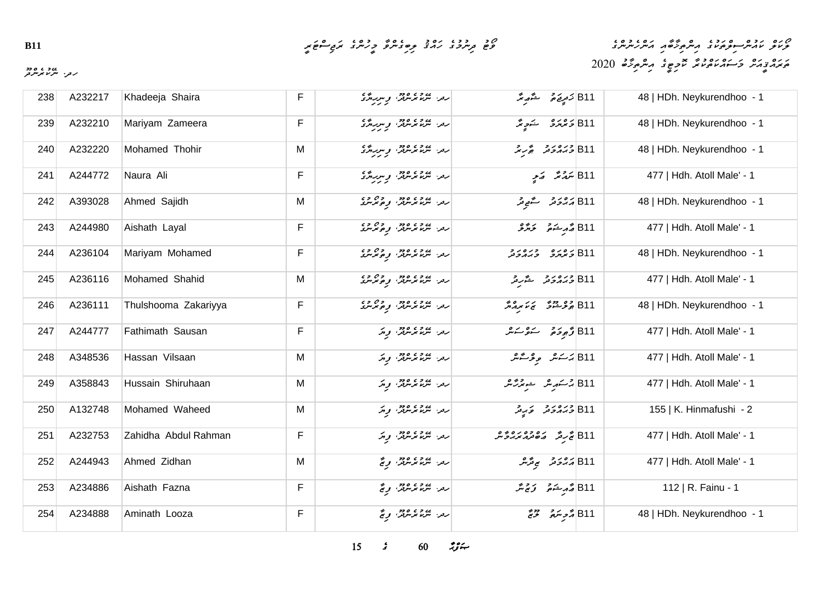*sCw7q7s5w7m< o<n9nOoAw7o< sCq;mAwBoEw7q<m; wBm;vB 2020<sup>, م</sup>وسر در مدد مدرج به مدرم مقرم قرار 2020*<br>موسر المستقرم المستقرم المستقرم المستقرم المستقرم المستقرم المستقرم المستقرم المستقرم المستقرم المستقرم المستقر

| 238 | A232217 | Khadeeja Shaira      | F           | رىر. ئىزر ئەدە يەر ئەر ئەر                                                            | B11 كَمَعِيضَ هُمْ - مُشْهَمَدِ مُدَّ           | 48   HDh. Neykurendhoo - 1 |
|-----|---------|----------------------|-------------|---------------------------------------------------------------------------------------|-------------------------------------------------|----------------------------|
| 239 | A232210 | Mariyam Zameera      | $\mathsf F$ | رد. عرد ۱۶۵۲ و سربرگری                                                                | B11   <i>5 بُرْہُ ڈُ</i> سُجِ بُرُ              | 48   HDh. Neykurendhoo - 1 |
| 240 | A232220 | Mohamed Thohir       | M           | رو. عام ۱۵۵۶ و.<br>رو. شر، برسرفر، و سربرمرد                                          | B11  <i>وبروونز پي پ</i> ر                      | 48   HDh. Neykurendhoo - 1 |
| 241 | A244772 | Naura Ali            | F           | رد. عروج وود.<br>رد. عرو برسرتر، و سربر برد                                           | B11  سَمَ <i>دُ مَدَّ وَ</i> ح                  | 477   Hdh. Atoll Male' - 1 |
| 242 | A393028 | Ahmed Sajidh         | M           | رو. ۶۵ و ۶ و ۶۵ و ۶<br>رو. شرد برس و کو برس                                           | B11 كەثرى قىر سىگە يەتر                         | 48   HDh. Neykurendhoo - 1 |
| 243 | A244980 | Aishath Layal        | $\mathsf F$ | رور عاده ده ده ده وران<br>رور شرد برس در و مرس                                        | B11 مَگْرِسْتَمْ وَمَرَوْ                       | 477   Hdh. Atoll Male' - 1 |
| 244 | A236104 | Mariyam Mohamed      | F           | رو. عروج و و و و و و ع<br>رو. شر <i>و برس</i> ربر، ت <sub>ر</sub> م برسر <sub>ک</sub> | B11 كەبەر بەرگە دىر بەر                         | 48   HDh. Neykurendhoo - 1 |
| 245 | A236116 | Mohamed Shahid       | M           | رو. عربه و ده و و و و و د<br>رو. شربه برسربر، و و برسرد                               | B11 <i>وُبَرُهُ وَبَوْ</i> سُنَّمَ <i>رِيلُ</i> | 477   Hdh. Atoll Male' - 1 |
| 246 | A236111 | Thulshooma Zakariyya | F           | رد. عاده ده دو ده ده.<br>رد. شرد برس د                                                | B11 <sub>جۇ</sub> رىيىتى تەرىكىدىگە             | 48   HDh. Neykurendhoo - 1 |
| 247 | A244777 | Fathimath Sausan     | $\mathsf F$ | رد. به ده ۱۶۵ و.<br>رد. سرد برسربر، و پر                                              | B11 ۇ <sub>جو</sub> رَى <sub>م</sub> سَوْسَىش   | 477   Hdh. Atoll Male' - 1 |
| 248 | A348536 | Hassan Vilsaan       | M           | رد. عدد ۱۶۵۲.<br>رد. سرد برسربر، و پر                                                 | B11   پرسکان <sub>جا</sub> ثوسائیس              | 477   Hdh. Atoll Male' - 1 |
| 249 | A358843 | Hussain Shiruhaan    | M           | رد. عدد ۱۶۵۲.<br>رد. سرد برسربر، و پر                                                 | B11 پرڪيريش جو <i>پرنڙينل</i>                   | 477   Hdh. Atoll Male' - 1 |
| 250 | A132748 | Mohamed Waheed       | M           | رد. برده ۵۶۵ ور                                                                       | B11 <i>وُبَرُوْدَوْ کَهِ بِ</i> تْر             | 155   K. Hinmafushi - 2    |
| 251 | A232753 | Zahidha Abdul Rahman | F           | رىد. شەم بەرىسى بەرگە                                                                 | B11 تج بەنگە ئەھەرمەمەر قىش                     | 477   Hdh. Atoll Male' - 1 |
| 252 | A244943 | Ahmed Zidhan         | M           | رى سى دى ەدە بەنج                                                                     | B11 كەش <sup>ى</sup> قىر سى تەرىش               | 477   Hdh. Atoll Male' - 1 |
| 253 | A234886 | Aishath Fazna        | F           | رد. بیروه ودو                                                                         | B11 مَگْرِسْتَعْرِ كَرْمِيْرَ                   | 112   R. Fainu - 1         |
| 254 | A234888 | Aminath Looza        | F           | رو. سرد برود. ویچ                                                                     | B11 مَّ مِسَمَّدٍ مَحَمَّ                       | 48   HDh. Neykurendhoo - 1 |

 $15$  *s* 60  $\frac{2}{3}$   $\frac{2}{3}$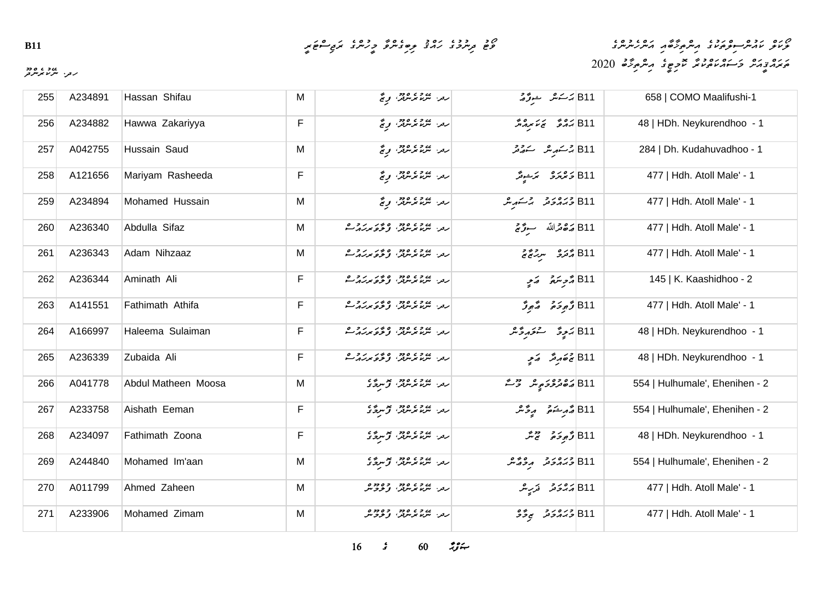*sCw7q7s5w7m< o<n9nOoAw7o< sCq;mAwBoEw7q<m; wBm;vB* م من المرة المرة المرة المرجع المراجع المراجع المراجع المراجع المراجع المراجع المراجع المراجع المراجع المراجع<br>مرين المراجع المراجع المرجع المراجع المراجع المراجع المراجع المراجع المراجع المراجع المراجع المراجع المراجع ال

| 255 | A234891 | Hassan Shifau       | M | رو. م <i>ی و ه وو.</i><br>رو. مرد برمرود. و بخ                     | B11 بَرَسَہْ مُس <i>وَّة</i>             | 658   COMO Maalifushi-1        |
|-----|---------|---------------------|---|--------------------------------------------------------------------|------------------------------------------|--------------------------------|
| 256 | A234882 | Hawwa Zakariyya     | F | رو. سره برسوو. و چ                                                 | B11 بَرْدَةَ بِيَ مَدِرْدَّ              | 48   HDh. Neykurendhoo - 1     |
| 257 | A042755 | Hussain Saud        | м | رو. سره بره ود.<br>رو. سره برسربر، ونج                             | B11 پر کے مدار دیے ج                     | 284   Dh. Kudahuvadhoo - 1     |
| 258 | A121656 | Mariyam Rasheeda    | F | رد. بیره ۵۶۵ ور                                                    | B11  <i>وَ بُرْدَة</i> كَرَسُوِيْرُ      | 477   Hdh. Atoll Male' - 1     |
| 259 | A234894 | Mohamed Hussain     | M | رو. سره برسرو. و پر<br>رو. سره برسرو. و پخ                         | B11  <i>جەمەدەرىكە بەسەمبەنل</i> ە       | 477   Hdh. Atoll Male' - 1     |
| 260 | A236340 | Abdulla Sifaz       | M | رور، سربا بره دور، دوره در دوره<br>رور، سربا برسرفر، فرخره بربر در | B11  بَرْحْدَثَرْاللَّهُ بِ مِوَّجْ      | 477   Hdh. Atoll Male' - 1     |
| 261 | A236343 | Adam Nihzaaz        | M | رى يەد ، ەەد ەسىرىدە ھ                                             | B11 ۾ ترو سرچيني                         | 477   Hdh. Atoll Male' - 1     |
| 262 | A236344 | Aminath Ali         | F | رد. عدد دور و در در د و<br>رد. شرید مرس بر و برخ مرتزار ب          | B11  مَّرْسِتَهُ * مَرْمٍ                | 145   K. Kaashidhoo - 2        |
| 263 | A141551 | Fathimath Athifa    | F | رور، سربا بره دور، دوره در دوره<br>رور، سربا برسرفر، فرخره بربر در | B11 زَّجِ دَمَ صَّج رَّ                  | 477   Hdh. Atoll Male' - 1     |
| 264 | A166997 | Haleema Sulaiman    | F | رى سى د ، ە د ، ە ئەر بەر د ھ                                      | B11  يَروِدَّ         يَرْ يَروِدَّ بْرُ | 48   HDh. Neykurendhoo - 1     |
| 265 | A236339 | Zubaida Ali         | F | رى شەھ يەھ ھەم بەر بەر بەر                                         | B11 تج <i>ھوتڈ مک</i> ج                  | 48   HDh. Neykurendhoo - 1     |
| 266 | A041778 | Abdul Matheen Moosa | M | رى مەدەبەدە بىر دە<br>رى شرىر بىرلىرى كەسرىگەن                     | B11 رَەمزىر تورىش تۇرىم                  | 554   Hulhumale', Ehenihen - 2 |
| 267 | A233758 | Aishath Eeman       | F | رتر به دوه بر ده.<br>رتر شر <i>نا بر</i> سرتر و سر <i>و</i> ک      | B11 مَگرِ مِشَمَّ – رِگَ مَر             | 554   Hulhumale', Ehenihen - 2 |
| 268 | A234097 | Fathimath Zoona     | F | رىر. شرىر برەدە. بولىرى ئ                                          | B11 <i>وَّج</i> وحو مَح مَّرَ            | 48   HDh. Neykurendhoo - 1     |
| 269 | A244840 | Mohamed Im'aan      | M | رو. برنام و ده ده به در دارد.<br>رو. شریا مرس در از سرچ ک          | B11 <i>ڈیزویز بوڈنگ</i>                  | 554   Hulhumale', Ehenihen - 2 |
| 270 | A011799 | Ahmed Zaheen        | M | ربر. عدد ده ده ده ده و.<br>ربر. شر <i>با بر</i> سربر، و برو ش      | B11 كەبۇن قەرىپ قىلىرىنىڭ ئەرەپ ئاس      | 477   Hdh. Atoll Male' - 1     |
| 271 | A233906 | Mohamed Zimam       | M | ربر، عروج ووجع ووجعو<br>ربر، ش <i>ریا پرسر</i> بر، ولول ش          | B11 <i>وَبَرْدُوَنْوَ</i> بِمِرُّرْتُو   | 477   Hdh. Atoll Male' - 1     |

 $16$  *s* 60  $23$   $\div$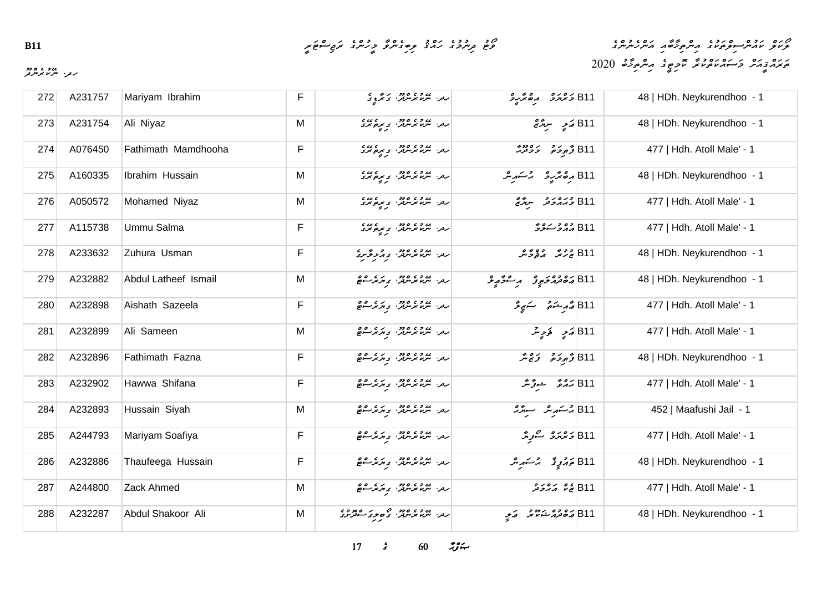*sCw7q7s5w7m< o<n9nOoAw7o< sCq;mAwBoEw7q<m; wBm;vB* م من المرة المرة المرة المرجع المراجع المراجع المراجع المراجع المراجع المراجع المراجع المراجع المراجع المراجع<br>مرين المراجع المراجع المرجع المراجع المراجع المراجع المراجع المراجع المراجع المراجع المراجع المراجع المراجع ال

| 272 | A231757 | Mariyam Ibrahim      | F           | ری عصوم وجود برند می<br>برابر انگریزیون است کارگروی                                                                                                             | B11  <i>دیمبرڈ م</i> ی ٹربرڈ                                                                         | 48   HDh. Neykurendhoo - 1 |
|-----|---------|----------------------|-------------|-----------------------------------------------------------------------------------------------------------------------------------------------------------------|------------------------------------------------------------------------------------------------------|----------------------------|
| 273 | A231754 | Ali Niyaz            | M           |                                                                                                                                                                 | B11 رَمِ سِرَمَّ ج                                                                                   | 48   HDh. Neykurendhoo - 1 |
| 274 | A076450 | Fathimath Mamdhooha  | F           | رور مورد و و دو.<br>رور شرد برسرتر، <sub>کم</sub> برد برد                                                                                                       | B11 وَجِعَة وَوَمَرْيَرُ                                                                             | 477   Hdh. Atoll Male' - 1 |
| 275 | A160335 | Ibrahim Hussain      | M           | رور عروم و و و .<br>رور شریع برسرفر) و برپوتری                                                                                                                  | B11 مەھەردى بىر ئەسەمبىر                                                                             | 48   HDh. Neykurendhoo - 1 |
| 276 | A050572 | Mohamed Niyaz        | M           | رور است و ه ه و و .<br>ارور اسر داد مرس و در است و بر داد .                                                                                                     | B11 دېرونو سرگړي                                                                                     | 477   Hdh. Atoll Male' - 1 |
| 277 | A115738 | Ummu Salma           | $\mathsf F$ | رو. ده و ده ود.<br>رو. شرح مرس فران و مربو مرد                                                                                                                  | B11 رُدُوْ سَوْوُ                                                                                    | 477   Hdh. Atoll Male' - 1 |
| 278 | A233632 | Zuhura Usman         | F           | رد. عرد ۱۶۵۲ و قریبی                                                                                                                                            | B11 تح <sup>ري</sup> گ - مڤروَ تر                                                                    | 48   HDh. Neykurendhoo - 1 |
| 279 | A232882 | Abdul Latheef Ismail | M           | رور، عروم وروبا درم ورو<br>رور، مرد برسرفر، <sub>کی</sub> بر بر سوچ                                                                                             | B11  مەھەرمىق بور مەمەر ئىسىمىدىنى ئىسىمىدىكى ئاسىمىدىكى ئىسىمىت ئىسىمىدىكى ئىسىمىدىكى ئاساسىيەت ئىس | 48   HDh. Neykurendhoo - 1 |
| 280 | A232898 | Aishath Sazeela      | $\mathsf F$ |                                                                                                                                                                 | B11 مَگْرِسْتَمْ کُمْ سَمَعٍ مَ                                                                      | 477   Hdh. Atoll Male' - 1 |
| 281 | A232899 | Ali Sameen           | M           | رود اس ده و ده در در ۵ ۵ و و<br>رود اسر در مرسومی                                                                                                               | B11 ڪيو گھي گھ                                                                                       | 477   Hdh. Atoll Male' - 1 |
| 282 | A232896 | Fathimath Fazna      | F           | رور سربر بره دو در در ۵۵<br>روز سربر برسرفر، <sub>کی</sub> بر بر ص                                                                                              | B11 تَ <i>وْجِوَجُو تَوَجَّ</i> مَّد                                                                 | 48   HDh. Neykurendhoo - 1 |
| 283 | A232902 | Hawwa Shifana        | F           | رور سربر بره دو در در ۵۵<br>روز سربر برسرفر، <sub>کی</sub> بر بر ص                                                                                              | B11  يَرْدُمُ - حَوِرٌ مَّر                                                                          | 477   Hdh. Atoll Male' - 1 |
| 284 | A232893 | Hussain Siyah        | M           | رود اس ده و ده در در ۵ ۵ و و<br>رود اسر در مرسومی                                                                                                               | B11 بڑے م <i>ربٹر</i> س <i>ے مرگز</i>                                                                | 452   Maafushi Jail - 1    |
| 285 | A244793 | Mariyam Soafiya      | F           | رود عروف دو در در ۵۵<br>رود عروبر برسرود <sub>کی</sub> در بر سوچ                                                                                                | B11 ى <i>زىرى شېر</i> ى <i>گ</i>                                                                     | 477   Hdh. Atoll Male' - 1 |
| 286 | A232886 | Thaufeega Hussain    | F           | رور، عروج وجود العراق والمحمد المعروب والمحمد<br>المحمد المسرح المحمد المحمد المحمد المحمد المحمد المحمد المحمد المحمد المحمد المحمد المحمد المحمد المحمد المحم | B11   <i>ەق بوقى</i> جەستى <i>ر بىر</i>                                                              | 48   HDh. Neykurendhoo - 1 |
| 287 | A244800 | Zack Ahmed           | M           | رور، عروم وروبا درم ورو<br>رور، مرد برسرفر، <sub>کی</sub> بر بر سوچ                                                                                             | B11 ين پر مركز تر                                                                                    | 477   Hdh. Atoll Male' - 1 |
| 288 | A232287 | Abdul Shakoor Ali    | M           |                                                                                                                                                                 | B11 كەھەر مەدەرە بىر كەمبە                                                                           | 48   HDh. Neykurendhoo - 1 |

*ro c 3 cc*<br>ر<sub>قر</sub>. *سر ما برس قر* 

 $17$  *s* 60  $23$   $\div$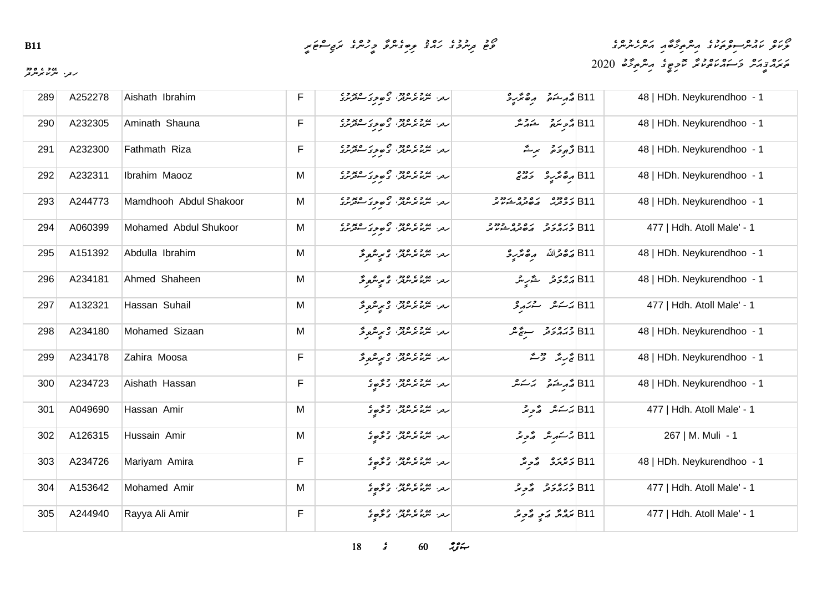*sCw7q7s5w7m< o<n9nOoAw7o< sCq;mAwBoEw7q<m; wBm;vB* م من المسجد المسجد المسجد المسجد المسجد العام 2020<br>مسجد المسجد المسجد المسجد المسجد المسجد المسجد المسجد المسجد ال

| 289 | A252278 | Aishath Ibrahim        | F           | رور سربر بره دور ده در راه برود و د<br>برور سربر برسرفر، در صوبر سوترس               | B11 مُەرىسَىم مەھەرىپ <sup>ى</sup>              | 48   HDh. Neykurendhoo - 1 |
|-----|---------|------------------------|-------------|--------------------------------------------------------------------------------------|-------------------------------------------------|----------------------------|
| 290 | A232305 | Aminath Shauna         | F           |                                                                                      | B11 مَّ حِسَمَ حَسَنَ مَّ                       | 48   HDh. Neykurendhoo - 1 |
| 291 | A232300 | Fathmath Riza          | F           |                                                                                      | B11 تَرْجِرَةَ مِنْ مِنْ                        | 48   HDh. Neykurendhoo - 1 |
| 292 | A232311 | Ibrahim Maooz          | M           | גו ב ב ב פרד - 2 - 2 - 2 - 2 - 2<br>הבקי - ייקט זקייקצקי - 2 ייפי 1 - 2 - 2 ייפיקאיק | B11 مەھمگىر <i>3 دەھ</i>                        | 48   HDh. Neykurendhoo - 1 |
| 293 | A244773 | Mamdhooh Abdul Shakoor | M           |                                                                                      | B11 كرودوه بره دوه بردد و                       | 48   HDh. Neykurendhoo - 1 |
| 294 | A060399 | Mohamed Abdul Shukoor  | M           |                                                                                      | B11 درورد مقدم شهره                             | 477   Hdh. Atoll Male' - 1 |
| 295 | A151392 | Abdulla Ibrahim        | M           | رى شەم تەرەپ كە ئېرىش ئىگە                                                           | B11  رَجْعَة اللّه مِرْجَعَتِهِ وَ              | 48   HDh. Neykurendhoo - 1 |
| 296 | A234181 | Ahmed Shaheen          | M           | رىر. شرىم برسرىن، كەمرىكرى بۇ                                                        | B11   پرژی تھی شہر شر                           | 48   HDh. Neykurendhoo - 1 |
| 297 | A132321 | Hassan Suhail          | M           | رى شەم تەرەپ كە تېرىش ئىگە                                                           | B11  تەسەپىر سە <i>تەم</i> بى                   | 477   Hdh. Atoll Male' - 1 |
| 298 | A234180 | Mohamed Sizaan         | M           | رىر. شرىم برسرىن، كەمرىكرى بۇ                                                        | B11 <i>ڈیز پروی ٹر سبر تا</i> یر                | 48   HDh. Neykurendhoo - 1 |
| 299 | A234178 | Zahira Moosa           | $\mathsf F$ | رى دە دە دە دە دە ھەر                                                                | B11 تج ببر محمد حق                              | 48   HDh. Neykurendhoo - 1 |
| 300 | A234723 | Aishath Hassan         | $\mathsf F$ | رتر به دوه و در و.<br>رتر شر <i>نا بر</i> سرتر کانوهای                               | B11 مَگْرِسْتَوْمُ کَرْسَتْکُر                  | 48   HDh. Neykurendhoo - 1 |
| 301 | A049690 | Hassan Amir            | M           | رتر به دوه دوره و د<br>رتر شر <i>ما برسر</i> تر کانونوک                              | B11  پرسترش م <i>ح</i> مویتر                    | 477   Hdh. Atoll Male' - 1 |
| 302 | A126315 | Hussain Amir           | M           | رتر به دوه دوره و د<br>رتر شر <i>ما برسر</i> تر کانونوک                              | B11 پر <i>شہر شہر می</i> گریمہ                  | 267   M. Muli - 1          |
| 303 | A234726 | Mariyam Amira          | $\mathsf F$ | رور برر ده وه وه وه<br>رور شرما مرسوفر، و <del>گر</del> مه و                         | B11  دَيْرْتَرْ قَدْرِيْرَ                      | 48   HDh. Neykurendhoo - 1 |
| 304 | A153642 | Mohamed Amir           | M           | رى ئەد ئەھەد دۇر ئ                                                                   | B11  <i>وُبَرُوْدَوْ</i> ک <sup>و</sup> َرِیْرَ | 477   Hdh. Atoll Male' - 1 |
| 305 | A244940 | Rayya Ali Amir         | F           | رو. عدد و ده و و و و<br>رو. شریا برسربل، و ترځو د                                    | B11 بَرَ <i>هُ مَ</i> ّ مَرِ مُّ مِرَّ م        | 477   Hdh. Atoll Male' - 1 |

*18 sC 60 nNw?mS*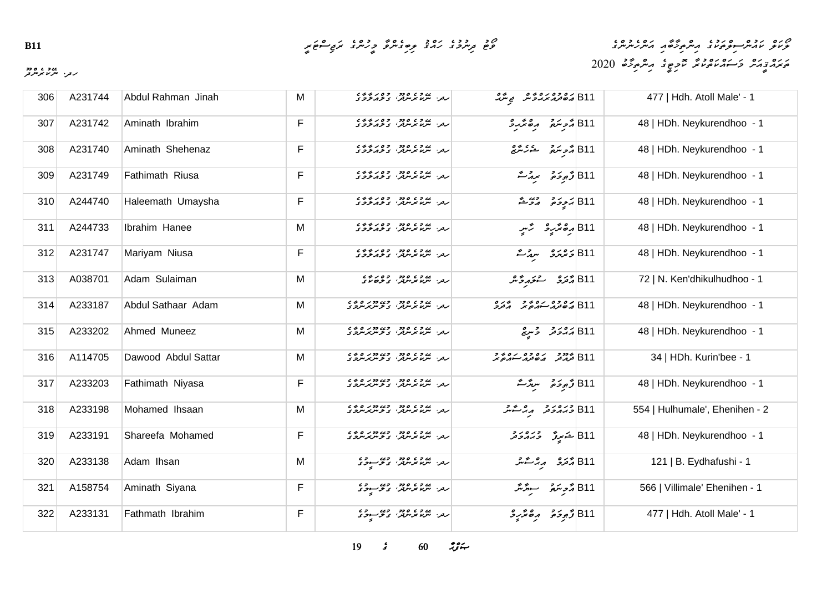*sCw7q7s5w7m< o<n9nOoAw7o< sCq;mAwBoEw7q<m; wBm;vB* م من المرة المرة المرة المرجع المراجع المراجع المراجع المراجع المراجع المراجع المراجع المراجع المراجع المراجع<br>مرين المراجع المراجع المرجع المراجع المراجع المراجع المراجع المراجع المراجع المراجع المراجع المراجع المراجع ال

| 306 | A231744 | Abdul Rahman Jinah  | M | הבני יותמ זה ספר כס ה-4 היה בי<br>הבני יותמ זהיות בין זה ב-4 ה-5 בי                                    | B11 <i>ړه ده د وگر</i> محمد مح         | 477   Hdh. Atoll Male' - 1     |
|-----|---------|---------------------|---|--------------------------------------------------------------------------------------------------------|----------------------------------------|--------------------------------|
| 307 | A231742 | Aminath Ibrahim     | F | در در در ده در ده ده.<br>ردر سرد برسربر، د ورووی                                                       | B11 مَّ <i>جِسَعْہ مِنْ مَمَّ</i> بِ   | 48   HDh. Neykurendhoo - 1     |
| 308 | A231740 | Aminath Shehenaz    | F |                                                                                                        | B11 مُ <i>جِيئرمُ</i> شَرْسُرْ مُجْ    | 48   HDh. Neykurendhoo - 1     |
| 309 | A231749 | Fathimath Riusa     | F | رد. برو و وه وه دوم.<br>رد. سرد برسربر، و ورو و و                                                      | B11 رَّجِ دَمَّ مِيرَ مَّ              | 48   HDh. Neykurendhoo - 1     |
| 310 | A244740 | Haleemath Umaysha   | F | ے وہ وہ وہ دہ دہ<br>روز شریع مرسوقر' ی خرا <i>ز خر</i> وی                                              | B11 بَر <i>ْدٍوَة دَوْ</i> حَة         | 48   HDh. Neykurendhoo - 1     |
| 311 | A244733 | Ibrahim Hanee       | M | در در در ده در ده ده.<br>روز سرما برسربر، د نور نورد                                                   | B11 ب <i>ر&amp;ټرپ</i> و گېږ           | 48   HDh. Neykurendhoo - 1     |
| 312 | A231747 | Mariyam Niusa       | F | راور است و ده ده او و در بورو و د<br>مراور اسرین مربس بیر او در برابر و در د                           | B11 دَيْرْپُرْدْ سِرْبُّہُ             | 48   HDh. Neykurendhoo - 1     |
| 313 | A038701 | Adam Sulaiman       | M |                                                                                                        | B11 يُرَمَّرُ شَوَرَدُّسْ              | 72   N. Ken'dhikulhudhoo - 1   |
| 314 | A233187 | Abdul Sathaar Adam  | M | ے وے ہووے ویے دورے ہے<br>مرتب: سریا مرسوفر) کے بحر سرمرسوفری                                           | B11 پر <i>۱۳۵۵ کورو پر برگور</i> ی     | 48   HDh. Neykurendhoo - 1     |
| 315 | A233202 | Ahmed Muneez        | M | ے وے ہو وہ دورے وہ ہے<br>مرتب اس میں مرتبریات و بھی مرتبہ مرتبری                                       | B11 كەردى ئى ئى سى                     | 48   HDh. Neykurendhoo - 1     |
| 316 | A114705 | Dawood Abdul Sattar | м | راور است و ده و و و و و و و و و و د<br>مراور اسوبو موسوفوا است موجود موجود و                           | B11 <sub>م</sub> وجود پره وه مره و د   | 34   HDh. Kurin'bee - 1        |
| 317 | A233203 | Fathimath Niyasa    | F | راور است و ده و و و و و و و و و د و و د<br>راور اسرین مرسوبون ای <del>خر</del> سومبرسو <del>ن</del> دی | B11 رَّمِودَهُ سِرْتَهُ                | 48   HDh. Neykurendhoo - 1     |
| 318 | A233198 | Mohamed Ihsaan      | M | ے وے ہو وہ دورے وہ ہے<br>مرتب اس میں مرتبریات و بھی مرتبہ مرتبری                                       | B11 دېرونر پرمشتر                      | 554   Hulhumale', Ehenihen - 2 |
| 319 | A233191 | Shareefa Mohamed    | F | ے وے ہے وہ سوی ہوتے ہے<br>مرتب: سویا موسوفی) میں <del>خواس موسوف</del> ک                               | B11  ڪَمِرِوَّ - قِ. <i>شُرْقَ</i> تْر | 48   HDh. Neykurendhoo - 1     |
| 320 | A233138 | Adam Ihsan          | M | ے وے وہ وہ دے ۔<br>رتر : شرح مرسرتر : تحر وی                                                           | B11 ۾ <i>تري پر ش</i> مر               | 121   B. Eydhafushi - 1        |
| 321 | A158754 | Aminath Siyana      | F | رتر، شر <i>نا بره دو ده و و ه</i><br>رتر، شر <i>نا برسرتر، ی بر</i> سو <i>ر</i> ی                      | B11 مُرْحِبَنَّهُ مُسِيَّنَّةٌ         | 566   Villimale' Ehenihen - 1  |
| 322 | A233131 | Fathmath Ibrahim    | F | رور سربر بره ورو ورو و و د<br>رور سربر برسرفر، و نو سوفر و                                             | B11 رَّج <i>ودَة دِهْتَرْبِ</i> دُّ    | 477   Hdh. Atoll Male' - 1     |

*19 s* 60 *i*<sub>S</sub> $\approx$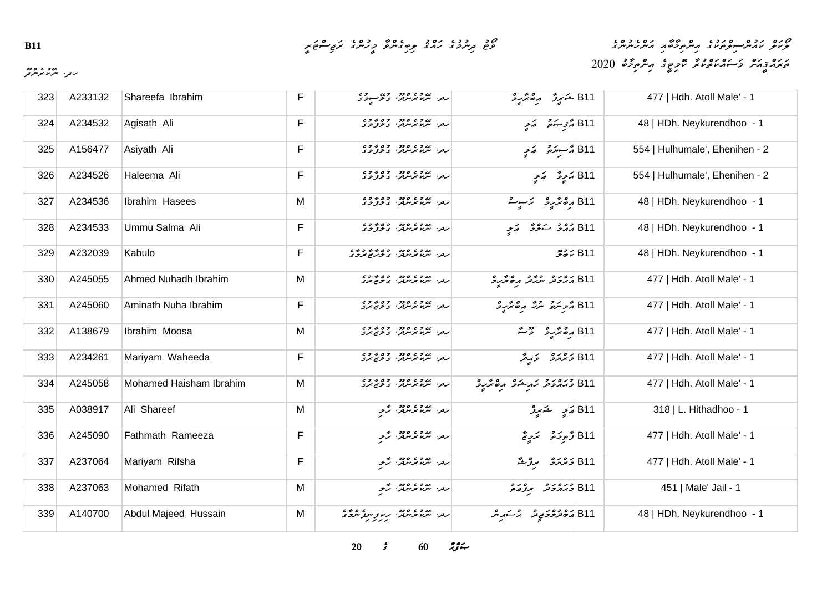*sCw7q7s5w7m< o<n9nOoAw7o< sCq;mAwBoEw7q<m; wBm;vB* م من المرة المرة المرة المرجع المراجع المراجع المراجع المراجع المراجع المراجع المراجع المراجع المراجع المراجع<br>مرين المراجع المراجع المرجع المراجع المراجع المراجع المراجع المراجع المراجع المراجع المراجع المراجع المراجع ال

| 323 | A233132 | Shareefa Ibrahim        | F           | رو. عروج و دو - وه<br>رو. شرو برسرفر، و توسیح و               | B11 ڪمبرڙ م <i>ڻ مڙب</i> و                 | 477   Hdh. Atoll Male' - 1     |
|-----|---------|-------------------------|-------------|---------------------------------------------------------------|--------------------------------------------|--------------------------------|
| 324 | A234532 | Agisath Ali             | F           | رد. بروه ووه وه وه.<br>رد. شرد برس در و خونو خری              | B11 مُتوسِّدَة مَصَمِّ                     | 48   HDh. Neykurendhoo - 1     |
| 325 | A156477 | Asiyath Ali             | $\mathsf F$ | رد برده وه وه وه ده<br>رد سربا برسرد کروک                     | B11 مُرْسِ <i>مَرْهُ م</i> َد <i>ِ</i>     | 554   Hulhumale', Ehenihen - 2 |
| 326 | A234526 | Haleema Ali             | F           | رد. بروره ده وه ور<br>رد. سرد برسرد. و وو و د                 | B11  يَرِوٌ کَرِ                           | 554   Hulhumale', Ehenihen - 2 |
| 327 | A234536 | Ibrahim Hasees          | M           | رور سره ده وه وه وه.<br>رور سربا برس و رو و و و و             | B11 برەنۇر ئەسىسىسىسىسى<br>پ               | 48   HDh. Neykurendhoo - 1     |
| 328 | A234533 | Ummu Salma Ali          | $\mathsf F$ | رد. بروه وه وه وه.<br>رد. شرد برس د وو وی                     | B11  <i>مەمۇرىيى مۇر</i>                   | 48   HDh. Neykurendhoo - 1     |
| 329 | A232039 | Kabulo                  | F           |                                                               | $322$ B11                                  | 48   HDh. Neykurendhoo - 1     |
| 330 | A245055 | Ahmed Nuhadh Ibrahim    | M           | د ده ده ده ده ده ده.<br>ردر شرد برسربر، د مربع برد            | B11 <i>גُدْدَوَ مَدْرُدْ وَهُ مُ</i> رِدُ  | 477   Hdh. Atoll Male' - 1     |
| 331 | A245060 | Aminath Nuha Ibrahim    | $\mathsf F$ | دور ده وه وه وه وه.<br>دور شرما مرس ورا و موجع موی            | B11 مَّ مِتَمَعٌ تَرَبَّهُ مِنْ مَجْرِيْرِ | 477   Hdh. Atoll Male' - 1     |
| 332 | A138679 | Ibrahim Moosa           | M           | د ده ده ده ده وه ده ده<br>ردد شرد برسرتر، د نوم برد           | B11 <sub>م</sub> ەنگەپ <sup>ى م</sup> ەشق  | 477   Hdh. Atoll Male' - 1     |
| 333 | A234261 | Mariyam Waheeda         | $\mathsf F$ | د ده ده ده ده ده ده.<br>ردر سرد برسرتر، د نوم برد             | B11 <i>5 پروژ تی پ</i> وتر                 | 477   Hdh. Atoll Male' - 1     |
| 334 | A245058 | Mohamed Haisham Ibrahim | M           | رور عروج وہ وہ بود<br>رور شریع مرسوفر' ی <del>فر</del> یح مری | B11 دېرورو ته شو وه گړو                    | 477   Hdh. Atoll Male' - 1     |
| 335 | A038917 | Ali Shareef             | M           |                                                               | B11 کړمو شمېرو                             | 318   L. Hithadhoo - 1         |
| 336 | A245090 | Fathmath Rameeza        | $\mathsf F$ | ری میں دے وجہ گرمی                                            | B11 <i>وُّجوحَ</i> هُ سَمَ <i>دٍ بَ</i> ّ  | 477   Hdh. Atoll Male' - 1     |
| 337 | A237064 | Mariyam Rifsha          | $\mathsf F$ | رو. سره برسربر، گرم                                           | B11  5 يُرْبَرُنَّى مِرْتَمِيَّةِ          | 477   Hdh. Atoll Male' - 1     |
| 338 | A237063 | Mohamed Rifath          | M           | ری دی وی وجود مرتبعی است                                      | B11 <i>ڈبزہ دی موق</i> حہ                  | 451   Male' Jail - 1           |
| 339 | A140700 | Abdul Majeed Hussain    | M           | رەپ سى دەھەر<br>رەپ سى ئىرلىرلىرى رىيا ۋىس ئىرى د             | B11 كەھەر <i>3 يومۇ بىر شەرى</i> ر         | 48   HDh. Neykurendhoo - 1     |

 $20$  *s* 60  $\frac{6}{5}$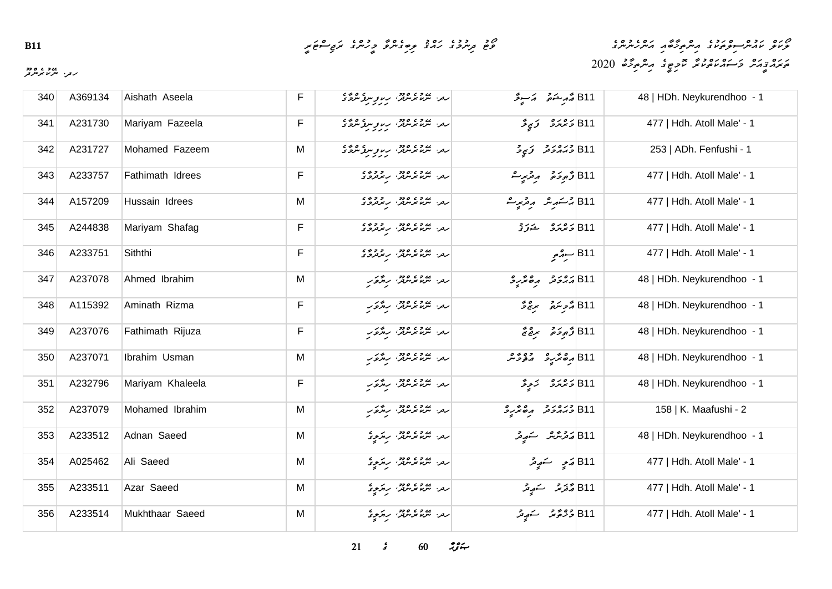*sCw7q7s5w7m< o<n9nOoAw7o< sCq;mAwBoEw7q<m; wBm;vB* م من المرة المرة المرة المرجع المراجع المراجع المراجع المراجع المراجع المراجع المراجع المراجع المراجع المراجع<br>مرين المراجع المراجع المرجع المراجع المراجع المراجع المراجع المراجع المراجع المراجع المراجع المراجع المراجع ال

| 340 | A369134 | Aishath Aseela   | F           | رىر. ئىر مەھمەت بەر بەر بىر ئىر <i>ە ئ</i>                               | B11 مَگْرِسْتَمْ کُرْسِوَدَّ          | 48   HDh. Neykurendhoo - 1 |
|-----|---------|------------------|-------------|--------------------------------------------------------------------------|---------------------------------------|----------------------------|
| 341 | A231730 | Mariyam Fazeela  | F           | رد. مورد برمان.<br>رد. مورد برمان. ربا و مورگردی                         | B11  5 <i>بىرىزى ق ي</i>              | 477   Hdh. Atoll Male' - 1 |
| 342 | A231727 | Mohamed Fazeem   | M           | رىر. مەد يەھەد. رىزى مەد مەد يە                                          | B11 دېمەد تىرى ق                      | 253   ADh. Fenfushi - 1    |
| 343 | A233757 | Fathimath Idrees | F           | رتر به ده وده د دود و<br>رتر شرد برس د                                   | B11 ۇ <sub>ج</sub> وڭمۇ بېرىمېرىشە    | 477   Hdh. Atoll Male' - 1 |
| 344 | A157209 | Hussain Idrees   | M           | رتر . عود عام دوم .<br>رتر . مک <i>رما بوسو</i> تو . ربوتونو ی           | B11 پرستمبر شہ مریڈ پرسٹر<br>ا        | 477   Hdh. Atoll Male' - 1 |
| 345 | A244838 | Mariyam Shafag   | $\mathsf F$ | رو. عدد و د دو.<br>رو. شر <i>ما برس</i> رتر، ب <i>ربرترو د</i>           | B11 كۆپرى ھەتى ق                      | 477   Hdh. Atoll Male' - 1 |
| 346 | A233751 | Siththi          | F           | رو. عروج و دو.<br>رو. شر <i>و برس</i> رتر، <sub>مر</sub> برتر <i>و</i> و | B11 سورمو                             | 477   Hdh. Atoll Male' - 1 |
| 347 | A237078 | Ahmed Ibrahim    | M           | رو. عدد ۲۵ وج ریمر                                                       | B11  م.دونر م&مَّربِوْ                | 48   HDh. Neykurendhoo - 1 |
| 348 | A115392 | Aminath Rizma    | $\mathsf F$ | رو. عدد ۱۶۵۲ - در در                                                     | B11 مَّ مِ سَمَّى سِيْءَ مَّ          | 48   HDh. Neykurendhoo - 1 |
| 349 | A237076 | Fathimath Rijuza | F           | رد. شرم برسرتر، ربرگر                                                    | B11 <i>وُّجوحَ</i> هُمَ مَرِيقَ مَمَّ | 48   HDh. Neykurendhoo - 1 |
| 350 | A237071 | Ibrahim Usman    | M           | رو. شرما برسود. رو در                                                    | B11 بر <i>ەنگەر قەمۇم</i> گىر         | 48   HDh. Neykurendhoo - 1 |
| 351 | A232796 | Mariyam Khaleela | F           | رو. شرما برسود. رو در                                                    | B11  ق <i>رنگرو ت</i> وتی             | 48   HDh. Neykurendhoo - 1 |
| 352 | A237079 | Mohamed Ibrahim  | M           | رد. برده ده ود. به در د                                                  | B11 <i>\$نەۋەقە بەھتۇر</i> ۇ          | 158   K. Maafushi - 2      |
| 353 | A233512 | Adnan Saeed      | M           | رو. عدد وه ود. رو و                                                      | B11 <i>مَحْرَمَّرْمَّرْ سَهِي</i> ْرَ | 48   HDh. Neykurendhoo - 1 |
| 354 | A025462 | Ali Saeed        | M           | رو. عدد ۲۵۵۵ در در د                                                     | B11  کەمچە سەمپەتر                    | 477   Hdh. Atoll Male' - 1 |
| 355 | A233511 | Azar Saeed       | M           | رو. عربا بره وو.<br>رو. شربا برسربش، برخ پر                              | B11 ۾َنَرَيْر - سَم <i>وِينْر</i>     | 477   Hdh. Atoll Male' - 1 |
| 356 | A233514 | Mukhthaar Saeed  | M           | رو. عربا بره دو.<br>رو. عربا برسرفر، ریز ور                              | B11 تر <i>مُّوَمَّدَ سَهِي</i> ْرَ    | 477   Hdh. Atoll Male' - 1 |

 $21$  *s* 60  $\frac{2}{3}$   $\frac{2}{3}$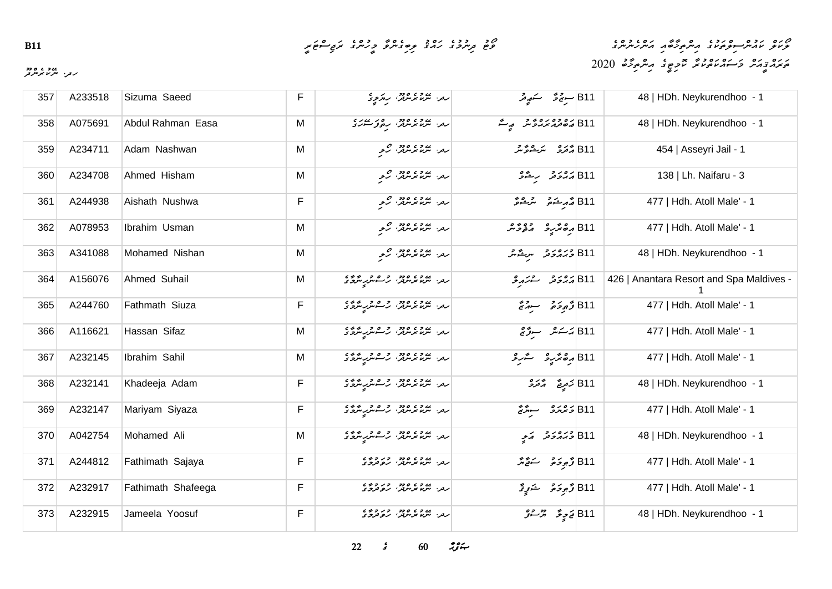*sCw7q7s5w7m< o<n9nOoAw7o< sCq;mAwBoEw7q<m; wBm;vB* م من المرة المرة المرة المرجع المراجع المراجع المراجع المراجع المراجع المراجع المراجع المراجع المراجع المراجع<br>مرين المراجع المراجع المرجع المراجع المراجع المراجع المراجع المراجع المراجع المراجع المراجع المراجع المراجع ال

| 357 | A233518 | Sizuma Saeed       | F           | رد. شرا برسرد. به گروه                                               | B11 سویج ڈ سک <i>ھی</i> ٹر        | 48   HDh. Neykurendhoo - 1               |
|-----|---------|--------------------|-------------|----------------------------------------------------------------------|-----------------------------------|------------------------------------------|
| 358 | A075691 | Abdul Rahman Easa  | M           | رو، شرما بر سره در ۱۵۰۵<br>رو، شرما بر سرو، ره و سامری               | B11 پەھەر مەمدىر ب <sub>و</sub> ت | 48   HDh. Neykurendhoo - 1               |
| 359 | A234711 | Adam Nashwan       | M           | ریں سر برسریں گے۔                                                    | B11 مُرْمَرِ مَنْ مَشْرَةٍ مِّرْ  | 454   Asseyri Jail - 1                   |
| 360 | A234708 | Ahmed Hisham       | M           | رى سىم ئەھەر ئېجى                                                    | B11   كەندى كەرسىگەنى             | 138   Lh. Naifaru - 3                    |
| 361 | A244938 | Aishath Nushwa     | F           | ریں سر برسریں گے۔                                                    | B11 مُەرشەتر سرشىر ئىلگە          | 477   Hdh. Atoll Male' - 1               |
| 362 | A078953 | Ibrahim Usman      | M           | رى سىم بورە ھەر كېچ                                                  | B11 بر <i>ەنگەرە دەۋ</i> گىر      | 477   Hdh. Atoll Male' - 1               |
| 363 | A341088 | Mohamed Nishan     | M           | ریں سرہا برسریں گرمو                                                 | B11  <i>ڈیزوونز</i> سرشر شر       | 48   HDh. Neykurendhoo - 1               |
| 364 | A156076 | Ahmed Suhail       | M           | ے وے مجمد وہ میں دیا ہے۔<br>مرفوذ اس موسوقوں کرکسوشریہ سرچ پ         | B11 كەبرى بىر ئەزىر ئى            | 426   Anantara Resort and Spa Maldives - |
| 365 | A244760 | Fathmath Siuza     | F           | رور اسر دی وجود اور و در دید.<br>مرور اسر داد برسرور از سوسر باشور د | B11 وَجوحَعْ مَ سِيهُ تَج         | 477   Hdh. Atoll Male' - 1               |
| 366 | A116621 | Hassan Sifaz       | M           | رور اس و ده ده ده و از ده داد.<br>روز اس دسترس                       | B11   پرسەنتە سەرقىقى             | 477   Hdh. Atoll Male' - 1               |
| 367 | A232145 | Ibrahim Sahil      | M           | رور اس ده ورو و و و و و و.<br>روز اس دیگر برگس رسته برگردی           | B11 رەئزىر <sup>و</sup> شرىۋ      | 477   Hdh. Atoll Male' - 1               |
| 368 | A232141 | Khadeeja Adam      | F           | ے وے مجمد وہ میں دیا ہے۔<br>مرفوذ اس موسوفوا امریکس میں مرکزی        | B11  كَمَدِيَّة - مُرَمَّرَة -    | 48   HDh. Neykurendhoo - 1               |
| 369 | A232147 | Mariyam Siyaza     | F           | رور عروبی وجود و در وجود<br>روز عروبر عرض رئیسوسر سرچ و              | B11 دَبْرْ مَرَّدَّ مِسْرَمَّىَ   | 477   Hdh. Atoll Male' - 1               |
| 370 | A042754 | Mohamed Ali        | M           | رور اس و ده ده ده و از ده داد.<br>روز اس دسترس                       | B11  <i>وَبَرُوْدَوْ کَهِ وِ</i>  | 48   HDh. Neykurendhoo - 1               |
| 371 | A244812 | Fathimath Sajaya   | F           | رتر به ده ود ور وه د<br>رتر شرد برسرتر، روتروی                       | B11 ژَّجِرَة حَقَّةَ گَ           | 477   Hdh. Atoll Male' - 1               |
| 372 | A232917 | Fathimath Shafeega | $\mathsf F$ | د در دور در دود.<br>روز شرما مرس برگ گروترو د                        | B11 گەچەقەھ سىموپۇ                | 477   Hdh. Atoll Male' - 1               |
| 373 | A232915 | Jameela Yoosuf     | F           | رد. بروه وود ودوده<br>رد. سرد برسرد. روتروی                          | B11  تے یا تھی پی تھر تھی۔<br>11  | 48   HDh. Neykurendhoo - 1               |

*22 sC 60 nNw?mS*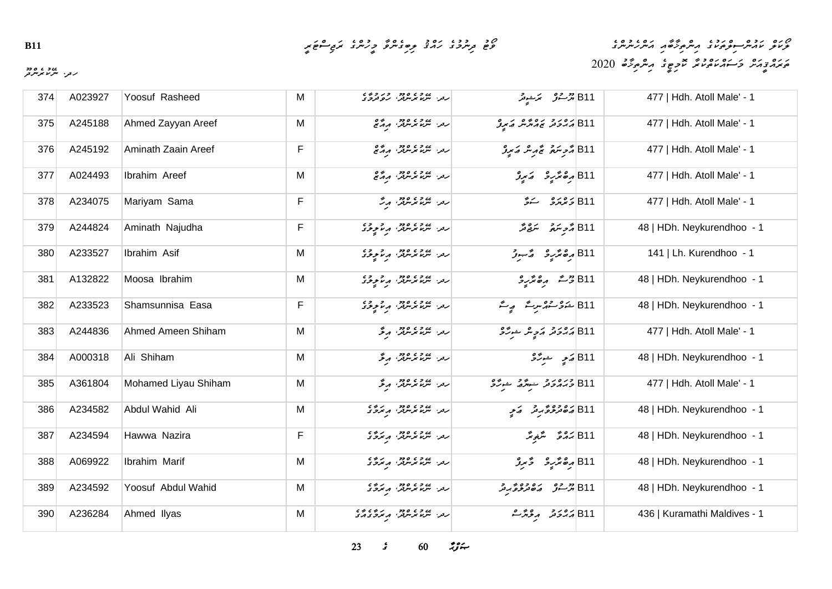*sCw7q7s5w7m< o<n9nOoAw7o< sCq;mAwBoEw7q<m; wBm;vB* م من المرة المرة المرة المرجع المراجع المراجع المراجع المراجع المراجع المراجع المراجع المراجع المراجع المراجع<br>مرين المراجع المراجع المرجع المراجع المراجع المراجع المراجع المراجع المراجع المراجع المراجع المراجع المراجع ال

| 374 | A023927 | Yoosuf Rasheed       | M           | رتر من و ده ده و در و د و<br>رتر شرد برسرتر، مرو ترو د                           | B11 پڑتے تو سمکھیے تھ                            | 477   Hdh. Atoll Male' - 1   |
|-----|---------|----------------------|-------------|----------------------------------------------------------------------------------|--------------------------------------------------|------------------------------|
| 375 | A245188 | Ahmed Zayyan Areef   | M           | גב <sub>נ</sub> י יי <i>כ</i> ט בישרי ביו ביים.<br>גבני ייכט בניינברי הה"ב       | B11 גُגُכۡنَرۡ <i>۽ גُ</i> مُرَسُ <i>مَبِروْ</i> | 477   Hdh. Atoll Male' - 1   |
| 376 | A245192 | Aminath Zaain Areef  | F           | גב <sub>נ</sub> י משים מידה מידים<br>גבני יי <i>קט זנייק</i> בני ו <i>ה</i> ולים | B11 مَّ حِسَمَةَ تَجَمَّدِ مَسِرْدَ              | 477   Hdh. Atoll Male' - 1   |
| 377 | A024493 | Ibrahim Areef        | M           | תות מוכן מרכבים בין מרות מ                                                       | B11 م <i>وڭ ئۇر</i> ۇ ھەمبى ق                    | 477   Hdh. Atoll Male' - 1   |
| 378 | A234075 | Mariyam Sama         | F           | رو. سرما برده ود.<br>رو. سرما برسربو، ارگ                                        | B11 كەبەر ئەرىپىسى ئىس                           | 477   Hdh. Atoll Male' - 1   |
| 379 | A244824 | Aminath Najudha      | $\mathsf F$ | رد. عروج وود.<br>رد. شر <i>و</i> برسربش برنام دور                                | B11 مَّ حِسَمَة مَسْقِقَّ                        | 48   HDh. Neykurendhoo - 1   |
| 380 | A233527 | Ibrahim Asif         | M           | رد. عاوه وه ورو وه<br>رد. شر <i>ه برس</i> رتر، برنام وی                          | B11 مەھەردى ھەجىرى                               | 141   Lh. Kurendhoo - 1      |
| 381 | A132822 | Moosa Ibrahim        | M           | رو، شر <i>ه ب</i> ره وو.<br>رو، شر <i>ه برس ب</i> ر مرس برخ                      | B11 تخريج مەھەمگە بەق                            | 48   HDh. Neykurendhoo - 1   |
| 382 | A233523 | Shamsunnisa Easa     | F           | رو. عدد و و و و و و و و و و و و                                                  | B11 خۇرخۇسرىگە ب <sub>و</sub> ڭە                 | 48   HDh. Neykurendhoo - 1   |
| 383 | A244836 | Ahmed Ameen Shiham   | M           | ری در در دود.<br>ری شما برس برگ                                                  | B11 كەبرى تەرەپىر جە <i>برى</i> 13               | 477   Hdh. Atoll Male' - 1   |
| 384 | A000318 | Ali Shiham           | M           | رو. سرما برسرو.<br>رو. سرما برسرو. ارتخ                                          | B11  رَمِ ِ حَدِثَةُ                             | 48   HDh. Neykurendhoo - 1   |
| 385 | A361804 | Mohamed Liyau Shiham | M           | رى مەدە مەدە بەنۇ                                                                | B11 <i>وَبَرُودو بِنِيرُهُ</i> بِنِيرُوْ         | 477   Hdh. Atoll Male' - 1   |
| 386 | A234582 | Abdul Wahid Ali      | M           | رو. برنام و ده در در در دارد.<br>رو. سرنام سرور از مرواد                         | B11 كەھەر بۇ ھەمە                                | 48   HDh. Neykurendhoo - 1   |
| 387 | A234594 | Hawwa Nazira         | F           | رو. عدد و ده ده در در د.<br>رو. شریع موسولوگ او مورد و                           | B11 ئەمۇم ئىنجەتتى                               | 48   HDh. Neykurendhoo - 1   |
| 388 | A069922 | Ibrahim Marif        | M           | رو. عدد و د دو د د و د<br>رو. شرما مرس و به مرو د                                | B11 مِر <i>ە مُدَّرٍى م</i> ُ دَىرِرْ            | 48   HDh. Neykurendhoo - 1   |
| 389 | A234592 | Yoosuf Abdul Wahid   | M           | رو. عو <i>ما برسود.</i><br>رو. ش <i>رما برسو</i> تر، ب <i>ر برو</i> و            | B11 ترجو برە دەم بىر                             | 48   HDh. Neykurendhoo - 1   |
| 390 | A236284 | Ahmed Ilyas          | M           | رود است و ده دود.<br>ارود اسر ما مرسوس المرموری از د                             | B11 كەردى ھەر بەر ئاس                            | 436   Kuramathi Maldives - 1 |

*23 sC 60 nNw?mS*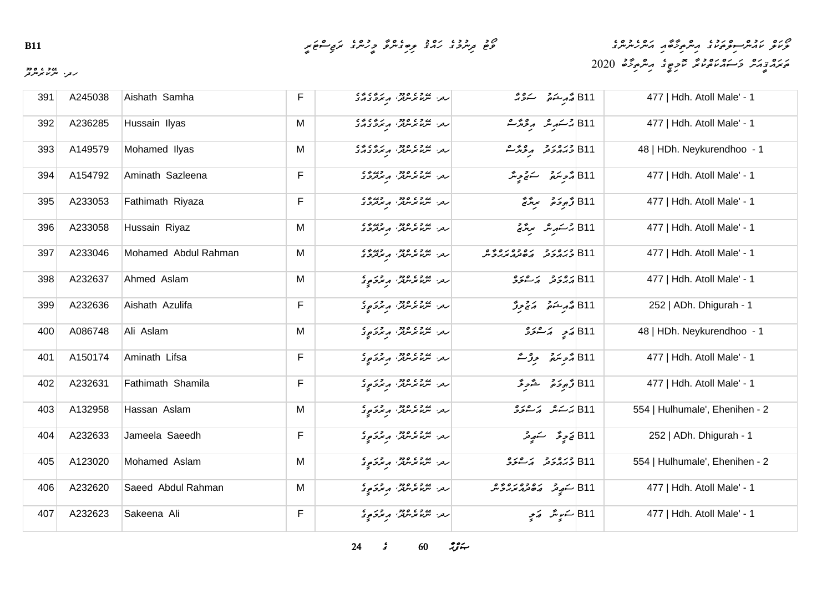*sCw7q7s5w7m< o<n9nOoAw7o< sCq;mAwBoEw7q<m; wBm;vB* م من المرة المرة المرة المرجع المراجع المراجع المراجع المراجع المراجع المراجع المراجع المراجع المراجع المراجع<br>مرين المراجع المراجع المرجع المراجع المراجع المراجع المراجع المراجع المراجع المراجع المراجع المراجع المراجع ال

| 391 | A245038 | Aishath Samha        | F           | رو. عدد و و دو.<br>رو. شریا برسرتر، بر برگرو برو                                          | B11 مَگْرِسْتَمْ سَوْرٌ                    | 477   Hdh. Atoll Male' - 1     |
|-----|---------|----------------------|-------------|-------------------------------------------------------------------------------------------|--------------------------------------------|--------------------------------|
| 392 | A236285 | Hussain Ilyas        | M           | رود . ده و ده ودو.<br>رود انترن برسرفر . در برو و در و                                    | B11 پرستهر شهر مرتزم میگر                  | 477   Hdh. Atoll Male' - 1     |
| 393 | A149579 | Mohamed Ilyas        | M           | رو. عدد و و ده.<br>رو. شریا برسرین از برگرو و در                                          | B11 دېمەدىر مۇرگ                           | 48   HDh. Neykurendhoo - 1     |
| 394 | A154792 | Aminath Sazleena     | $\mathsf F$ | رتر . عدد به دود .<br>رتر شرید برسرتر . بر برترو ی                                        | B11 مَّ حِسَمَةً مُسَمَّعٍ مِسَّر          | 477   Hdh. Atoll Male' - 1     |
| 395 | A233053 | Fathimath Riyaza     | $\mathsf F$ | رو، عربر ورود ودره ورا<br>رو، عربر برسرتر، بربرترو د                                      | B11 <i>وُّهِ دَهْ</i> مِهْ مَمَّ           | 477   Hdh. Atoll Male' - 1     |
| 396 | A233058 | Hussain Riyaz        | M           | رور، عروج و و و و و و و و و<br>رور، عر <i>ي</i> م مرسولو، <sub>ا</sub> له مرفو <i>ح ی</i> | B11 بڑے ہر مری <i>گی</i>                   | 477   Hdh. Atoll Male' - 1     |
| 397 | A233046 | Mohamed Abdul Rahman | M           | رو، عروج و وود وديده و<br>دو، عروج پرسرفر، برجرفرفر                                       | B11 درور د رودوروپه و                      | 477   Hdh. Atoll Male' - 1     |
| 398 | A232637 | Ahmed Aslam          | M           | رو. عربر ورود و در و.<br>رو. ش <i>ربر پر</i> سربر، بربرد ب <sub>و</sub> ر                 | B11 كەبروتە كەش <b>ىرد</b> ە               | 477   Hdh. Atoll Male' - 1     |
| 399 | A232636 | Aishath Azulifa      | $\mathsf F$ | رو. عروج و دو.<br>رو. شر <i>و برسرفر، بر بر و م</i> ر                                     | B11 مَگْرِسْتَمْ مَگْرِمُوتَرَّ            | 252   ADh. Dhigurah - 1        |
| 400 | A086748 | Ali Aslam            | M           | رو. عربر ورود و در و.<br>رو. ش <i>ربر پر</i> سربر، بربرد ب <sub>و</sub> ر                 | B11   كەي كەش <b>ى</b> رى                  | 48   HDh. Neykurendhoo - 1     |
| 401 | A150174 | Aminath Lifsa        | $\mathsf F$ | رد. عربه بره دو.<br>رد. شربه برسربر، مربرو بو د                                           |                                            | 477   Hdh. Atoll Male' - 1     |
| 402 | A232631 | Fathimath Shamila    | F           | رد. عربه بره دو.<br>رد. شربه برسربر، مربرو بو د                                           | B11 وَجِوَدَةٌ شَيْءِ وَّ                  | 477   Hdh. Atoll Male' - 1     |
| 403 | A132958 | Hassan Aslam         | M           | رد. عدد و در و در و د<br>رد. شر <i>ما بر</i> سربل، م <i>حروم</i> و د                      | B11 ټريکس پر شونونی                        | 554   Hulhumale', Ehenihen - 2 |
| 404 | A232633 | Jameela Saeedh       | F           | رو. به ده ده ود .<br>رو. شر <i>یا برس تی</i> از برو د د                                   | B11 ت <sub>ح</sub> وٍوَّ سَم <i>وٍثر</i> ُ | 252   ADh. Dhigurah - 1        |
| 405 | A123020 | Mohamed Aslam        | M           | رد. عروج و دو.<br>رد. شر <i>ما برس</i> ربر، ب <i>ربرد و ی</i>                             | B11 دېم ده د کاموو                         | 554   Hulhumale', Ehenihen - 2 |
| 406 | A232620 | Saeed Abdul Rahman   | M           | رور عدد و د و د د د د د د د د د                                                           | B11 شەير مەمەم بەرە بو                     | 477   Hdh. Atoll Male' - 1     |
| 407 | A232623 | Sakeena Ali          | F           | رد. عام ۲۵۵۵ مرکز در م                                                                    | B11 سنرپٹر پر ج                            | 477   Hdh. Atoll Male' - 1     |

*ro c 3 cc*<br>ر<sub>قر</sub>. *سر ما برس قر* 

 $24$  *s* 60  $23$   $\div$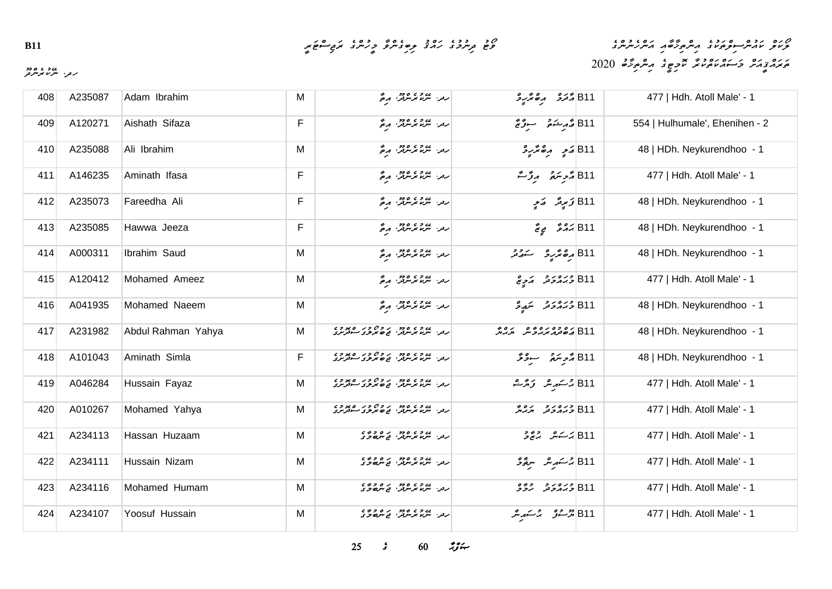*sCw7q7s5w7m< o<n9nOoAw7o< sCq;mAwBoEw7q<m; wBm;vB* م من المرة المرة المرة المرجع المراجع المراجع المراجع المراجع المراجع المراجع المراجع المراجع المراجع المراجع<br>مرين المراجع المراجع المرجع المراجع المراجع المراجع المراجع المراجع المراجع المراجع المراجع المراجع المراجع ال

| 408 | A235087 | Adam Ibrahim       | M           | رو. برد و ه وو.<br>رو. سرد برسربر، درمج                                                                                                                                                                                          | B11 مُمَرَّد مُصَمَّرِدْ                        | 477   Hdh. Atoll Male' - 1     |
|-----|---------|--------------------|-------------|----------------------------------------------------------------------------------------------------------------------------------------------------------------------------------------------------------------------------------|-------------------------------------------------|--------------------------------|
| 409 | A120271 | Aishath Sifaza     | F           | رو. مورد برموتر، برخ<br>رو. مورد برموتر، برخ                                                                                                                                                                                     | B11 مَگْرِسْتَمْ مِنْ مِنْ تَجْ                 | 554   Hulhumale', Ehenihen - 2 |
| 410 | A235088 | Ali Ibrahim        | M           | رو. سرما برسربو.<br>رو. سرما برسربو. اردگ                                                                                                                                                                                        | B11 <i>مَرْمٍ م</i> ِ صَمَّر <sub>ِ م</sub> ِ 2 | 48   HDh. Neykurendhoo - 1     |
| 411 | A146235 | Aminath Ifasa      | F           | رو. برد و ه وو.<br>رو. سرد برسربر، درمج                                                                                                                                                                                          | B11 مَّ حِسَمَةَ مِتَرَّسَّةَ                   | 477   Hdh. Atoll Male' - 1     |
| 412 | A235073 | Fareedha Ali       | F           | رور سربر بره و د و.<br>رور سربر برسرفر الرح                                                                                                                                                                                      | B11  تزميعً - مَرمٍ                             | 48   HDh. Neykurendhoo - 1     |
| 413 | A235085 | Hawwa Jeeza        | $\mathsf F$ | رور سربر بره و د و.<br>رور سربر برسرفر الرح                                                                                                                                                                                      | B11  بَرْدُوَّ     وٍ بِحَّ                     | 48   HDh. Neykurendhoo - 1     |
| 414 | A000311 | Ibrahim Saud       | м           | رو. برد و دود.<br>رو. سرد برسرفر، برخ                                                                                                                                                                                            | B11 مەھزىر ئەسىمىتىر                            | 48   HDh. Neykurendhoo - 1     |
| 415 | A120412 | Mohamed Ameez      | M           | رو. برنام و دو.<br>رو. سرنام سرور. ارد                                                                                                                                                                                           | B11 <i>دېمم</i> دېم کمر <i>ې</i> چ              | 477   Hdh. Atoll Male' - 1     |
| 416 | A041935 | Mohamed Naeem      | M           | رو. برد و ده ود .<br>رو. سرد برسربر، درم                                                                                                                                                                                         | B11 <i>5222 سَمدِ</i> 5                         | 48   HDh. Neykurendhoo - 1     |
| 417 | A231982 | Abdul Rahman Yahya | M           | ے وے ہ وو ۔ ر و 0 و ر ۔ ہ و و ے<br>رقن ۔ شریع موسوقی ا قع موجود اسوقوس                                                                                                                                                           | B11 كەھەرمەر ئەرگە بەر يەر                      | 48   HDh. Neykurendhoo - 1     |
| 418 | A101043 | Aminath Simla      | F           | ے و ی ہ و ی د و کے ور محدو ی<br>مرتب سمین محرموثی کے بھیمونی سوتو مرت                                                                                                                                                            | B11 مَّ مِسَمَّدٍ سِوْعٌ                        | 48   HDh. Neykurendhoo - 1     |
| 419 | A046284 | Hussain Fayaz      | M           | رور است و ده ده در در ۲۵ ور در و در در و در در و در در در در استاند و در در در استاند و در در استاند و در استا<br>مرکز در استریم میرسود و سرکوری استاند و میرسود و در استاند و در استاند و در استاند و در استاند و در استاند و د | B11 پرستہریش تی پڑے                             | 477   Hdh. Atoll Male' - 1     |
| 420 | A010267 | Mohamed Yahya      | M           | ے وے مود سے دون ور مصدور<br>مادر اس موسودی کے بھاموری سوٹر مور                                                                                                                                                                   | B11 <i>ڈیزوڈنڈ پرد</i> یڑ                       | 477   Hdh. Atoll Male' - 1     |
| 421 | A234113 | Hassan Huzaam      | M           | ے وہ وہ دہ دہ وہ<br>ریں شرح عرض کے شری <i>ب و</i> ے                                                                                                                                                                              | B11 پرسترس برنج تر                              | 477   Hdh. Atoll Male' - 1     |
| 422 | A234111 | Hussain Nizam      | M           | رور سره دره در دره وره و.<br>رور سره مرس                                                                                                                                                                                         | B11 برسەر شەھەر سىرتە                           | 477   Hdh. Atoll Male' - 1     |
| 423 | A234116 | Mohamed Humam      | M           | ے وہ وہ دہ دہ وہ<br>ریں شرح مرین کے شری <i>بادی</i>                                                                                                                                                                              | B11 <i>3222 - 325</i>                           | 477   Hdh. Atoll Male' - 1     |
| 424 | A234107 | Yoosuf Hussain     | M           | ے وہ وہ در وہ دی<br>ریں شرح عرش کے شری <i>باوی</i>                                                                                                                                                                               | B11 ټرتنى ئ <sub>ە</sub> ئەسەر بىر              | 477   Hdh. Atoll Male' - 1     |

 $25$  *s* 60  $25$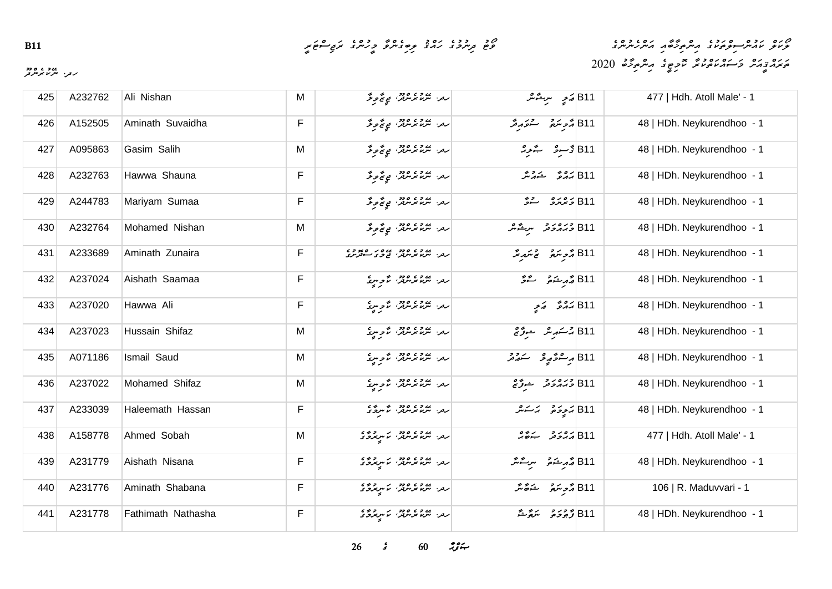*sCw7q7s5w7m< o<n9nOoAw7o< sCq;mAwBoEw7q<m; wBm;vB* م من المسجد المسجد المسجد المسجد المسجد العام 2020<br>مسجد المسجد المسجد المسجد المسجد المسجد المسجد المسجد المسجد ال

| 425 | A232762 | Ali Nishan         | M           | رو. شر، مرسرتر، يې تم و څ                                       | B11 ضعٍ سرشہ شہ                          | 477   Hdh. Atoll Male' - 1 |
|-----|---------|--------------------|-------------|-----------------------------------------------------------------|------------------------------------------|----------------------------|
| 426 | A152505 | Aminath Suvaidha   | F           | رىر. شرىر مەدەبە يەنج مەنگە                                     | B11 مَّ حِسَمَةَ مُسْتَوَمِثَّر          | 48   HDh. Neykurendhoo - 1 |
| 427 | A095863 | Gasim Salih        | M           | رو. شرم مرس بو چم و څ                                           | B11 تۇسىۋە سە <i>ئى</i> رو               | 48   HDh. Neykurendhoo - 1 |
| 428 | A232763 | Hawwa Shauna       | $\mathsf F$ | رى شەم ئەھ بۇ ئۇ ئۇ ئى                                          | B11 بَرْدُمُّ شَ <sub>م</sub> ْرَشَّ     | 48   HDh. Neykurendhoo - 1 |
| 429 | A244783 | Mariyam Sumaa      | F           | رىر. شرىم ترسرىن. يې تج تو تخ                                   | B11 كەنگەر ئەرىپىسى ئىس                  | 48   HDh. Neykurendhoo - 1 |
| 430 | A232764 | Mohamed Nishan     | M           | رىر. شرىر مەدەبە يەنج ئوغ                                       | B11 <i>ڈیزوویز</i> سرش <i>گر</i>         | 48   HDh. Neykurendhoo - 1 |
| 431 | A233689 | Aminath Zunaira    | F           | ے وہ وہ وہ رہ وہ رہ وہ<br>ری شرید برس کی اور سوئرس              | B11 مَّ حِسَمَ مِنْ سَمَدِ مَّمَّ        | 48   HDh. Neykurendhoo - 1 |
| 432 | A237024 | Aishath Saamaa     | F           | رىر. شرىر مەدىر شەھرىكى                                         | B11 مەم ئىقىمە ئىسىگە                    | 48   HDh. Neykurendhoo - 1 |
| 433 | A237020 | Hawwa Ali          | F           | ری عدد و دور در دید و                                           | B11  يَرْدُوَّ - مَ <sup>و</sup> ِ       | 48   HDh. Neykurendhoo - 1 |
| 434 | A237023 | Hussain Shifaz     | M           | ریں ۔ عدد ہ وہ ۔ محمد سری                                       | B11 پرستمبر شورچ هم                      | 48   HDh. Neykurendhoo - 1 |
| 435 | A071186 | Ismail Saud        | M           | ری عدد و دور در دید و                                           | B11 مرشۇم <sub>و</sub> بۇ سەمەتر         | 48   HDh. Neykurendhoo - 1 |
| 436 | A237022 | Mohamed Shifaz     | M           | رىر. شرىر مەدەر گە ئەسرىگ                                       | B11 <i>ۇنەۋەتى</i> ھو <i>ڙى</i>          | 48   HDh. Neykurendhoo - 1 |
| 437 | A233039 | Haleemath Hassan   | $\mathsf F$ | رور به ده و ده و د ده و د                                       | B11   يَر <sub>ْجِ</sub> وَجْ = يَرْسَسْ | 48   HDh. Neykurendhoo - 1 |
| 438 | A158778 | Ahmed Sobah        | M           | ری عدد ۲۵۵۵ میلادی<br>ری شرح مرس                                | B11 كەبرى كەر بەھەر                      | 477   Hdh. Atoll Male' - 1 |
| 439 | A231779 | Aishath Nisana     | F           | رو. عروج و دو.<br>رو. شر <i>ما برس</i> رفر، م <i>ا س</i> ربرو د | B11 ۾ م شوءِ سرڪير                       | 48   HDh. Neykurendhoo - 1 |
| 440 | A231776 | Aminath Shabana    | F           | رو. عروج ووه. کامبربروی                                         | B11 مَّ حِسَمَ شَقَّعَہ                  | 106   R. Maduvvari - 1     |
| 441 | A231778 | Fathimath Nathasha | F           | رد. عروج ۵۶۵ کمپربروی                                           | B11 تُرجوحه سَعَّر شَدَّ                 | 48   HDh. Neykurendhoo - 1 |

*ro c 3 cc*<br>ر<sub>قر</sub>. *سر ما برس قر* 

 $26$  *s*  $60$  *z*  $25$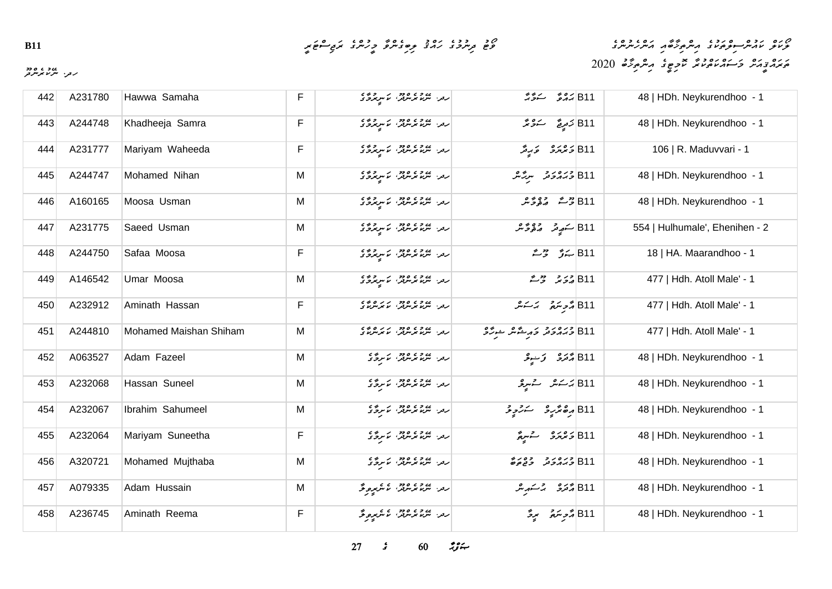*sCw7q7s5w7m< o<n9nOoAw7o< sCq;mAwBoEw7q<m; wBm;vB* م من المرة المرة المرة المرجع المراجع المراجع المراجع المراجع المراجع المراجع المراجع المراجع المراجع المراجع<br>مرين المراجع المراجع المرجع المراجع المراجع المراجع المراجع المراجع المراجع المراجع المراجع المراجع المراجع ال

| 442 | A231780 | Hawwa Samaha           | F | رد. عدد و دود.<br>رد. شر <i>نا بر</i> سربر، ک <i>ا</i> س بربرد و | $232 32 \times 101$                     | 48   HDh. Neykurendhoo - 1     |
|-----|---------|------------------------|---|------------------------------------------------------------------|-----------------------------------------|--------------------------------|
| 443 | A244748 | Khadheeja Samra        | F | رد. عروج ووو.<br>رد. شر <i>ما بر</i> سربر، م <i>ا س</i> ربرو ی   | B11 زَمِرِجٌ سَرَوْبُرٌ                 | 48   HDh. Neykurendhoo - 1     |
| 444 | A231777 | Mariyam Waheeda        | F | رد. عروج ووو.<br>رد. شر <i>ما بر</i> سربر، م <i>ا س</i> ربرو ی   | B11  دَيْرْتَرْدْ - دَرِيْرْ            | 106   R. Maduvvari - 1         |
| 445 | A244747 | Mohamed Nihan          | M | رو، عروج ۱۵۵۵ وه وه و<br>رو، شرما برسرفر، ما سربرو و             | B11  <i>وټرونوتر سرنگر</i>              | 48   HDh. Neykurendhoo - 1     |
| 446 | A160165 | Moosa Usman            | M | رو. ۶۵،۵۰۰ وو.<br>رو. شر <i>ما برس</i> رتو. کا سربرو ی           | B11 ترقيم ۾ پوءِ مر                     | 48   HDh. Neykurendhoo - 1     |
| 447 | A231775 | Saeed Usman            | M | رتد عدد و در و د د و د د<br>رتد انتزید برسرتر انگلیز برخان       | B11 سَمرٍیْر کے وُعْرَ مَر              | 554   Hulhumale', Ehenihen - 2 |
| 448 | A244750 | Safaa Moosa            | F | رد. عروج ووو.<br>رد. شر <i>ما بر</i> سربر، م <i>ا س</i> ربرو ی   | $23 \div B11$                           | 18   HA. Maarandhoo - 1        |
| 449 | A146542 | Umar Moosa             | M | رد. عروج ووو.<br>رد. شر <i>ما بر</i> سربر، م <i>ا س</i> ربرو ی   | $23 - 22$ B11                           | 477   Hdh. Atoll Male' - 1     |
| 450 | A232912 | Aminath Hassan         | F | رته به ده وده بر ده وه<br>رته اسرا برسرته اسرس                   | B11 مَرْجِبَتِهِ مَرَسَبِيْر            | 477   Hdh. Atoll Male' - 1     |
| 451 | A244810 | Mohamed Maishan Shiham | M | رته به ده وده بر ده وه<br>رته اسرا برسرته اسرس                   | B11   <i>وبروونو وَمِ</i> ــقَة عَبرُوْ | 477   Hdh. Atoll Male' - 1     |
| 452 | A063527 | Adam Fazeel            | M | رد. عرد دود. زیروی                                               | B11  2ترى كى سىرى                       | 48   HDh. Neykurendhoo - 1     |
| 453 | A232068 | Hassan Suneel          | M | ر <sub>ور</sub> ، شر <i>یا بر سره به می</i> روی                  | B11 پرسکس کے سرپی                       | 48   HDh. Neykurendhoo - 1     |
| 454 | A232067 | Ibrahim Sahumeel       | M | رو. عدد ۲۵۵۵ در در ۲۵<br>رو. شریع مرسوبی، ما مورد ک              | B11  مِنْ جُمْرِةْ    سَنْرُوٍ وُ       | 48   HDh. Neykurendhoo - 1     |
| 455 | A232064 | Mariyam Suneetha       | F | رو. عدد و ده دود .<br>رو. شریع موسولو. ما مورد و                 | B11 5 يُرْدَرُ شَمْسِيَّر               | 48   HDh. Neykurendhoo - 1     |
| 456 | A320721 | Mohamed Mujthaba       | M | رو. عدد و ده ده در در و د<br>رو. شریع موسولو، ما مورد و          | B11 دبره برو دوره                       | 48   HDh. Neykurendhoo - 1     |
| 457 | A079335 | Adam Hussain           | M | رىر. شەم تەرەپ كەنگىرى ئە                                        | B11 پژتربی پر شہر بھر                   | 48   HDh. Neykurendhoo - 1     |
| 458 | A236745 | Aminath Reema          | F | رىر. شەھ مەدە مەسىر ئەسىر بولۇ                                   | B11 مَّ مِسَمَّد مِرَّدَّ               | 48   HDh. Neykurendhoo - 1     |

*ro c 3 cc*<br>ر<sub>قر</sub>. *سر ما برس قر*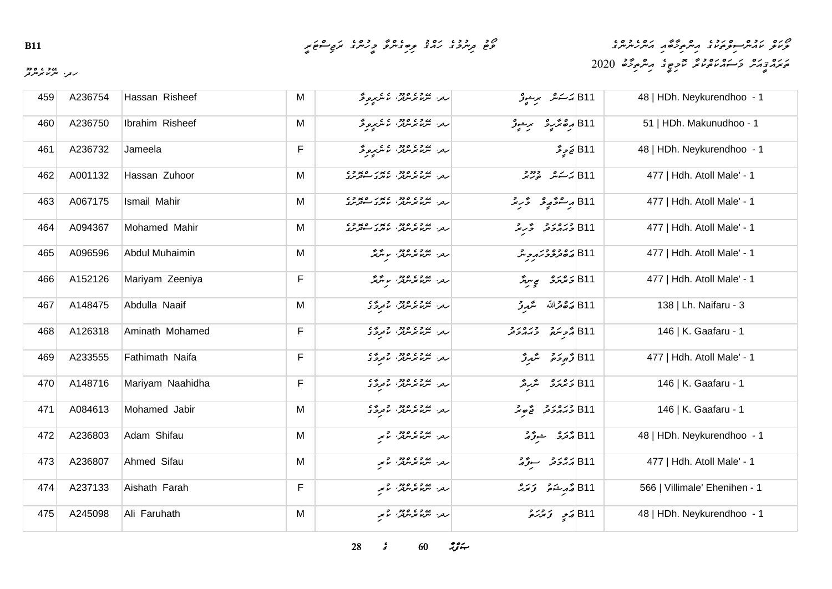*sCw7q7s5w7m< o<n9nOoAw7o< sCq;mAwBoEw7q<m; wBm;vB 2020 q9nOoAw7o< sCpHo>u; n8q;wAm;w<mEm> w6m<pYw<m8mA*

48 | HDh. Neykurendhoo - 1

## 459 A236754 Hassan Risheef M *WlivIrenek ,UdcnerukEn .dh cfIxir cnwswH* B11 48 | HDh. Neykurendhoo - 1 460 A236750 Ibrahim Risheef M *WlivIrenek ,UdcnerukEn .dh cfIxir cmIhWrcbia* B11 B11 رەتمەر ئىسرىسىۋ 51 | HDh. Makunudhoo - 1 461 A236732 Jameela F *WlivIrenek ,UdcnerukEn .dh WlImwj* B11 48 | HDh. Neykurendhoo - 1 462 A001132 Hassan Zuhoor M *eguSodcswgoyek ,UdcnerukEn .dh urUhuZ cnwswH* B11 477 | Hdh. Atoll Male' - 1 463 A067175 Ismail Mahir M *eguSodcswgoyek ,UdcnerukEn .dh urihWm clIAWmcsia* B11 477 | Hdh. Atoll Male' - 1 464 A094367 Mohamed Mahir M *eguSodcswgoyek ,UdcnerukEn .dh urihWm udwmcawHum* B11 477 | Hdh. Atoll Male' - 1 465 A096596 Abdul Muhaimin M *WrWnik ,UdcnerukEn .dh unimiawhumcludcbwA* B11 477 | Hdh. Atoll Male' - 1 466 A152126 Mariyam Zeeniya F *WrWnik ,UdcnerukEn .dh WyinIz cmwycrwm* B11 477 | Hdh. Atoll Male' - 1 467 A148475 Abdulla Naaif M *egWmiduk ,UdcnerukEn .dh ufiaWn QudcbwA* B11 138 | Lh. Naifaru - 3 468 A126318 Aminath Mohamed F *egWmiduk ,UdcnerukEn .dh udwmcawHum utwnimWa* B11 146 | K. Gaafaru - 1 469 A233555 Fathimath Naifa F *egWmiduk ,UdcnerukEn .dh WfiaWn utwmiYWf* B11 477 | Hdh. Atoll Male' - 1 470 A148716 Mariyam Naahidha F *egWmiduk ,UdcnerukEn .dh WdihWn cmwycrwm* B11 146 | K. Gaafaru - 1 471 A084613 Mohamed Jabir M *egWmiduk ,UdcnerukEn .dh uribWj udwmcawHum* B11 146 | K. Gaafaru - 1 472 A236803 Adam Shifau M *iruk ,UdcnerukEn .dh uAWfix cmwdWa* B11 48 | HDh. Neykurendhoo - 1 473 A236807 Ahmed Sifau M *iruk ,UdcnerukEn .dh uAWfis udwmcHwa* B11 B11 كەندى بىر كەنتى 477 | Hdh. Atoll Male' - 1 474 A237133 Aishath Farah F *iruk ,UdcnerukEn .dh cHwrwf utwxiaWA* B11 566 | Villimale' Ehenihen - 1 475 A245098 Ali Faruhath M *iruk ,UdcnerukEn .dh utwhurwf IlwA* B11

*28 sC 60 nNw?mS*

*ro c 3 cc*<br>7 *ر 5 . س ما بو*مبر تر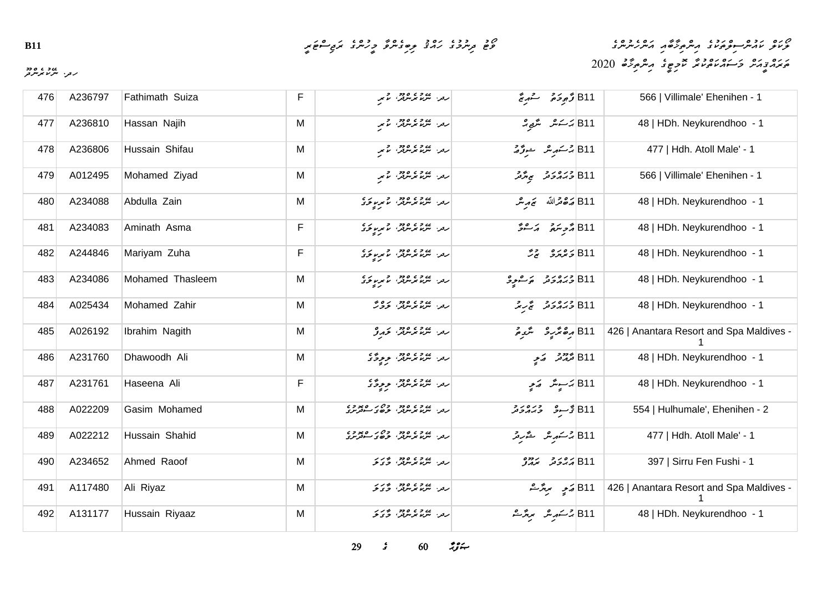*sCw7q7s5w7m< o<n9nOoAw7o< sCq;mAwBoEw7q<m; wBm;vB* م*ى تو*مدى من المستقدم بن المستقدم من المستقدم 2020

1

48 | HDh. Neykurendhoo - 1

| 476 | A236797 | Fathimath Suiza  | $\mathsf F$ | رود سرد بره ود و د<br>رود سرد برسرفر الأمر                                     | B11 تَ <i>جوحَ</i> قُمْ سَنَّهُ مَعَ | 566   Villimale' Ehenihen - 1            |
|-----|---------|------------------|-------------|--------------------------------------------------------------------------------|--------------------------------------|------------------------------------------|
| 477 | A236810 | Hassan Najih     | M           | رور، سربر بردور و د<br>رور، سربر برسرفر، ما بر                                 | B11   پرسترس س <i>ڑھ ب</i> ڑ         | 48   HDh. Neykurendhoo - 1               |
| 478 | A236806 | Hussain Shifau   | M           | ری در عدد و در در در در این است.<br>مرفود استریلا میرسوفیو <sup>د و</sup> مرکب | B11 پر <i>شبور شبور پ</i>            | 477   Hdh. Atoll Male' - 1               |
| 479 | A012495 | Mohamed Ziyad    | M           | ری در در دور و در<br>ری شما مرس بر کم مر                                       | B11 <i>ڈبزہ ڈوڈ</i> سے پڑھر          | 566   Villimale' Ehenihen - 1            |
| 480 | A234088 | Abdulla Zain     | M           | رد. عدد و وده. د بربانوی                                                       | B11 كەھەراللە   ئەرىگر               | 48   HDh. Neykurendhoo - 1               |
| 481 | A234083 | Aminath Asma     | F           | رو. ۶۶۵ و ۲۵۵ و درباری                                                         | B11 مَّ حِسَمَۃ مَ سَرْدَّ           | 48   HDh. Neykurendhoo - 1               |
| 482 | A244846 | Mariyam Zuha     | F           | رد. عدد و وده. د بربانوی                                                       | B11 كەنگەر تەرىجە تەرىج              | 48   HDh. Neykurendhoo - 1               |
| 483 | A234086 | Mohamed Thasleem | M           | رە. شەم تەرەپ كەيرىيەت كە                                                      | B11 <i>ڈیزہ ڈی می ش</i> وڈ           | 48   HDh. Neykurendhoo - 1               |
| 484 | A025434 | Mohamed Zahir    | M           | رور سره دره ده و ده و.<br>رور سره برسربر، نوور                                 | B11  <i>جەنە جى جى جى</i> ئى         | 48   HDh. Neykurendhoo - 1               |
| 485 | A026192 | Ibrahim Nagith   | M           | رى ئەدە يەھ كەر                                                                | B11 مەھەمگەيىۋە سى <i>گى</i> يەتمۇ   | 426   Anantara Resort and Spa Maldives - |
| 486 | A231760 | Dhawoodh Ali     | M           | رد. عدد ۱۶۵۲ وجود و                                                            | B11 مَرْدُمْرَ - رَمِ                | 48   HDh. Neykurendhoo - 1               |
| 487 | A231761 | Haseena Ali      | F           | رد. شر، برسرد. وجود و                                                          | B11  بزمير کامي <sub>ج</sub>         | 48   HDh. Neykurendhoo - 1               |
| 488 | A022209 | Gasim Mohamed    | M           | ے وے مجرد وہ وہ رے پووے<br>مرد شرید برسرتر، مختصر استعمال                      | B11 تۇسىۋە مە <i>مەدەت</i> ر         | 554   Hulhumale', Ehenihen - 2           |
| 489 | A022212 | Hussain Shahid   | M           | ده ده ده ده وه در ه پروه<br>روز سربا پرسرتر، نوه د سوترس                       | B11 پڑے پہ بھر ہے۔<br>11 پارسکار بھر | 477   Hdh. Atoll Male' - 1               |
| 490 | A234652 | Ahmed Raoof      | M           | رى بەد ، ەەد بەر ر<br>رى شەمەس ئى                                              | B11 كەبرى ئەدەرە                     | 397   Sirru Fen Fushi - 1                |
| 491 | A117480 | Ali Riyaz        | M           | رتر، عادو وہ دورہ<br>رتر، شر <i>ما بر</i> سرتر، <del>و</del> لائر              | B11 کرم برگر شہ                      | 426   Anantara Resort and Spa Maldives - |

492 A131177 Hussain Riyaaz M *wlwgWm ,UdcnerukEn .dh cFWyir cniawsuH* B11

*29 sC 60 nNw?mS*

*ro c 3 cc*<br>مر<sub>قود</sub> متوس *برس فر*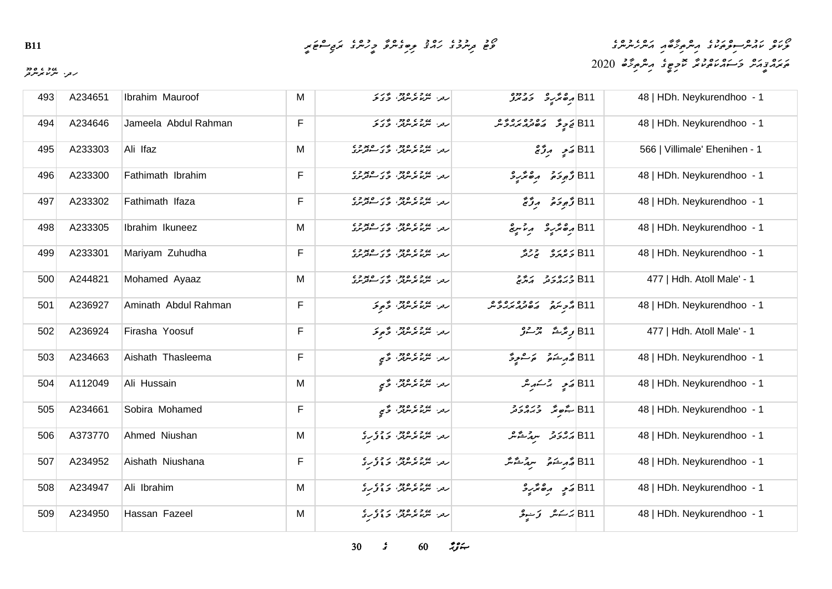*sCw7q7s5w7m< o<n9nOoAw7o< sCq;mAwBoEw7q<m; wBm;vB* م من المرة المرة المرة المرجع المراجع المراجع المراجع المراجع المراجع المراجع المراجع المراجع المراجع المراجع<br>مرين المراجع المراجع المرجع المراجع المراجع المراجع المراجع المراجع المراجع المراجع المراجع المراجع المراجع ال

| 493 | A234651 | Ibrahim Mauroof      | M           | رد. عدد و ده در در<br>رد. ش مرس برد. و د و                                | B11 مەھەر بەھ ئەمدىن                               | 48   HDh. Neykurendhoo - 1    |
|-----|---------|----------------------|-------------|---------------------------------------------------------------------------|----------------------------------------------------|-------------------------------|
| 494 | A234646 | Jameela Abdul Rahman | F           | رى ئەدەرە ئەرر<br>رى شرىرىرىش ۋە ئ                                        | B11 <i>ف<sub>َ</sub> وِحَدٍ مُعْمَدِ مُدَوَّسَ</i> | 48   HDh. Neykurendhoo - 1    |
| 495 | A233303 | Ali Ifaz             | M           | رتر، سربر برود، برد و برون<br>رتر، سربر برسرتر، و ی سوترس                 | B11  ر <sub>ُم</sub> ح م <i>ووَّج</i>              | 566   Villimale' Ehenihen - 1 |
| 496 | A233300 | Fathimath Ibrahim    | F           | رتر، سربر برود، برد و برون<br>رتر، سربر برسرتر، و ی سوترس                 | B11 تَ <i>وجو م</i> ڤتَربِرْ                       | 48   HDh. Neykurendhoo - 1    |
| 497 | A233302 | Fathimath Ifaza      | F           | رور، عدد و دور، در در در در<br>رور، سربا برسربل، و ی سوترس                | B11 وَج <i>وحَمْ مِوَدَّجَ</i>                     | 48   HDh. Neykurendhoo - 1    |
| 498 | A233305 | Ibrahim Ikuneez      | M           | رور، عدد و دور، در در در در<br>رور، سربا برسربل، و ی سوترس                | B11 مەھمەر ئەر مەمبەلى                             | 48   HDh. Neykurendhoo - 1    |
| 499 | A233301 | Mariyam Zuhudha      | F           | رور، عدد و دور، اور ان دور.<br>رور، سربا بوسولو، او ی سوفرس               | B11  وَبُرْدَرُوْ بِحَرْدَّرُ                      | 48   HDh. Neykurendhoo - 1    |
| 500 | A244821 | Mohamed Ayaaz        | M           | رتر، سربر برود، برد و برون<br>رتر، سربر برسرتر، و ی سوترس                 | B11 <i>ڈیرورو پہنچ</i>                             | 477   Hdh. Atoll Male' - 1    |
| 501 | A236927 | Aminath Abdul Rahman | F           | رد. سرما برسری کارگر                                                      | B11 مُرْحِسَمُ مَصْرَمْ مَرْدَمْ مَرْ              | 48   HDh. Neykurendhoo - 1    |
| 502 | A236924 | Firasha Yoosuf       | F           | رى سەم دەم ھەتى ب                                                         | B11 وِ بَرْثَہ بِرْ بِرْ وَ مِ                     | 477   Hdh. Atoll Male' - 1    |
| 503 | A234663 | Aishath Thasleema    | F           | رىر. شەھ بە ھەج ھې گەنتى                                                  | B11 مەم ئەم ئەر ئورگە                              | 48   HDh. Neykurendhoo - 1    |
| 504 | A112049 | Ali Hussain          | M           | رتر - عدد عدد و - عربي<br>رتر - سريم برسرتر - قريح                        | B11  رَمِ پِر بِر سَنَ مِر بِرْ                    | 48   HDh. Neykurendhoo - 1    |
| 505 | A234661 | Sobira Mohamed       | $\mathsf F$ | رو. سربر بره دو.<br>رو. سربر برسربر، ترسي                                 | B11 بەھ پر دېروند                                  | 48   HDh. Neykurendhoo - 1    |
| 506 | A373770 | Ahmed Niushan        | M           | رو، شرم بروه در وه.<br>رو، شرم برسربر، و ٤ و ری                           | B11 كەبرى قىر سىر ئىشەر                            | 48   HDh. Neykurendhoo - 1    |
| 507 | A234952 | Aishath Niushana     | F           | رتر به ده وه د ده د ده.<br>رتر شرد برس د د و ر                            | B11 مَّەرِسْدَە ئىس ئىشىر                          | 48   HDh. Neykurendhoo - 1    |
| 508 | A234947 | Ali Ibrahim          | M           | رو، شریم بر سره ده و د و د و<br>روز، شریم برسربر، برع و برای              | B11  رَمِ مِنْ مِرْدِ 3                            | 48   HDh. Neykurendhoo - 1    |
| 509 | A234950 | Hassan Fazeel        | M           | رور، شرما مروج الراح و داخل المراجع<br>الرور، شريع مرسوقر، الراجع و الراح | B11  ترسكان كى سيرتى                               | 48   HDh. Neykurendhoo - 1    |

*ro c 3 cc*<br>ر<sub>قر</sub>. *سر ما برس قر* 

**30** *s* **60** *n***<sub>s</sub>***n***<sub>s</sub>**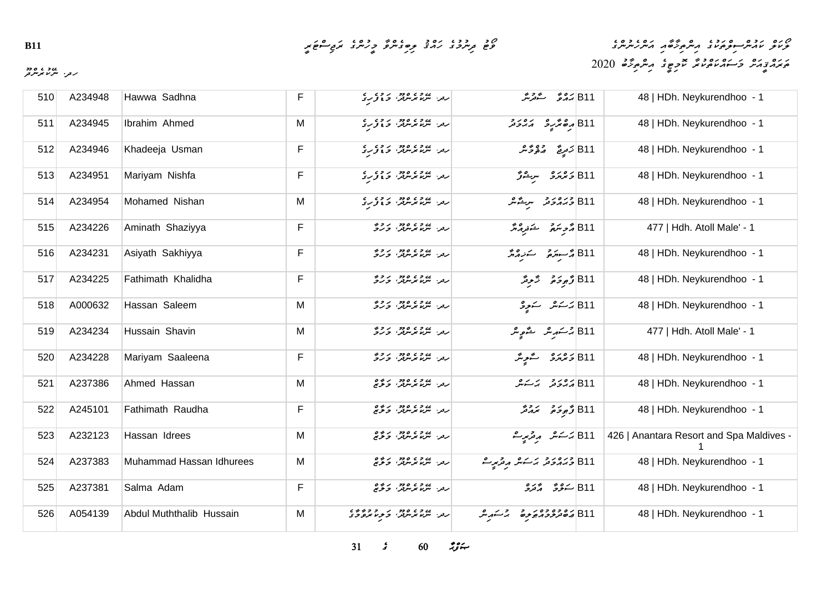*sCw7q7s5w7m< o<n9nOoAw7o< sCq;mAwBoEw7q<m; wBm;vB* م من المسجد المسجد المسجد المسجد المسجد العام 2020<br>مسجد المسجد المسجد المسجد المسجد المسجد المسجد المسجد المسجد ال

| 510 | A234948 | Hawwa Sadhna             | F           | رتر، شر <i>یر بر ده بر ده و د</i><br>رتر، شر <i>یر پرسر</i> تر، بر و در برای        | B11 پَرُوگُ گُورشُ                             | 48   HDh. Neykurendhoo - 1               |
|-----|---------|--------------------------|-------------|-------------------------------------------------------------------------------------|------------------------------------------------|------------------------------------------|
| 511 | A234945 | Ibrahim Ahmed            | M           | رتر، شر <i>نا بر ده د د و ع</i><br>رتر، شر <i>نا بر</i> سرتر، <del>و</del> ۽ تو بري | B11 مەھمەر بەردىتە B11                         | 48   HDh. Neykurendhoo - 1               |
| 512 | A234946 | Khadeeja Usman           | F           | رور، عربہ مربع ہوتا ہے<br>روز، عربہ مربع ہوتا ہے تا تو بری                          |                                                | 48   HDh. Neykurendhoo - 1               |
| 513 | A234951 | Mariyam Nishfa           | $\mathsf F$ | ر در عدد و ده در ده و د<br>روز شرح مرس در دو و برای                                 | B11 كەيمە <i>دى س</i> رىشى <i>ۋ</i>            | 48   HDh. Neykurendhoo - 1               |
| 514 | A234954 | Mohamed Nishan           | M           | رتر، شریم بر سره ۲۰۰۶ و.<br>رتر، شریم برسرتر، نوع توری                              | B11  <i>وټرونوتر سرچنگر</i>                    | 48   HDh. Neykurendhoo - 1               |
| 515 | A234226 | Aminath Shaziyya         | $\mathsf F$ | رو. عروج و وو.<br>رو. ش <i>ریا پرسر</i> تر، و برو                                   | B11 مَّ <i>حِ سَرَةَ شَمَّ فَرِ مُ</i> مََّ    | 477   Hdh. Atoll Male' - 1               |
| 516 | A234231 | Asiyath Sakhiyya         | F           | رو. عرو و و و د و و د<br>رو. عر <i>د پرس</i> رتر، و <i>ر</i> و                      | B11 مُرْسِ <i>رْهُ جَنِهْدُ</i>                | 48   HDh. Neykurendhoo - 1               |
| 517 | A234225 | Fathimath Khalidha       | $\mathsf F$ | رو. عروج و وو.<br>رو. ش <i>ریا پرسر</i> تر، و برو                                   | B11  <i>وَّجِ دَمَّة</i> گَ مِعَّد             | 48   HDh. Neykurendhoo - 1               |
| 518 | A000632 | Hassan Saleem            | M           | رتر، شروع ووو. بر و به<br>برتر، شریع مرتعربی، بر بر بر                              | B11  پزشک سکوی                                 | 48   HDh. Neykurendhoo - 1               |
| 519 | A234234 | Hussain Shavin           | M           | رتر، شوم ۱۶۵۵ د وره.<br>رتر، شو <i>ما بوسر</i> تر، ورو                              | B11 پر <i>کمبر بلہ</i> گھویٹر                  | 477   Hdh. Atoll Male' - 1               |
| 520 | A234228 | Mariyam Saaleena         | F           | رو. عرو و و و د و و د<br>رو. عر <i>د پرس</i> رتر، و <i>ر</i> و                      | B11 دېروژ شویگر                                | 48   HDh. Neykurendhoo - 1               |
| 521 | A237386 | Ahmed Hassan             | M           | رد. ۶۶۵ و ۲۵ در وه<br>رد. ش <i>رما پر</i> سربل، <del>و فر</del> یم                  | B11 كەبروتى كەسكەنلە                           | 48   HDh. Neykurendhoo - 1               |
| 522 | A245101 | Fathimath Raudha         | $\mathsf F$ | رد. عروم ودو.<br>رد. ش <i>رما بر</i> سربر، ونونج                                    | B11 تَ <i>وْجِوَةْ بَرَوْتَرُ</i>              | 48   HDh. Neykurendhoo - 1               |
| 523 | A232123 | Hassan Idrees            | M           | رد. ۶۶۵ و وه د ۶۵<br>رد. شرما مرسرتر، و نوم                                         | B11 بَرَسَسْ مِتْرَمِرِ مُتَّ                  | 426   Anantara Resort and Spa Maldives - |
| 524 | A237383 | Muhammad Hassan Idhurees | M           | رد. ۶۶۵ و ۲۵ در وه<br>رد. شر <i>ما بر</i> سربر، <del>و و ج</del>                    | B11  <i>ۋېزو</i> رو برسەش <sub>مو</sub> تۇپرىش | 48   HDh. Neykurendhoo - 1               |
| 525 | A237381 | Salma Adam               | F           | رد. ۶۶۵ و ۲۵ در وه<br>رد. شر <i>ما بر</i> سربر، <del>و و</del> ج                    | B11 يَدُوْدُ مُحَمَّدُ                         | 48   HDh. Neykurendhoo - 1               |
| 526 | A054139 | Abdul Muththalib Hussain | M           | رد. عدد د ده د د د د ده د.<br>رد. سرد پرسرتن کرد بروگرد                             | B11 رەپروپرە بوھ برگېږمبر                      | 48   HDh. Neykurendhoo - 1               |

*ro c 3 cc*<br>ر<sub>قر</sub>. *سر ما برس قر* 

 $31$  *s* 60  $23$   $\div$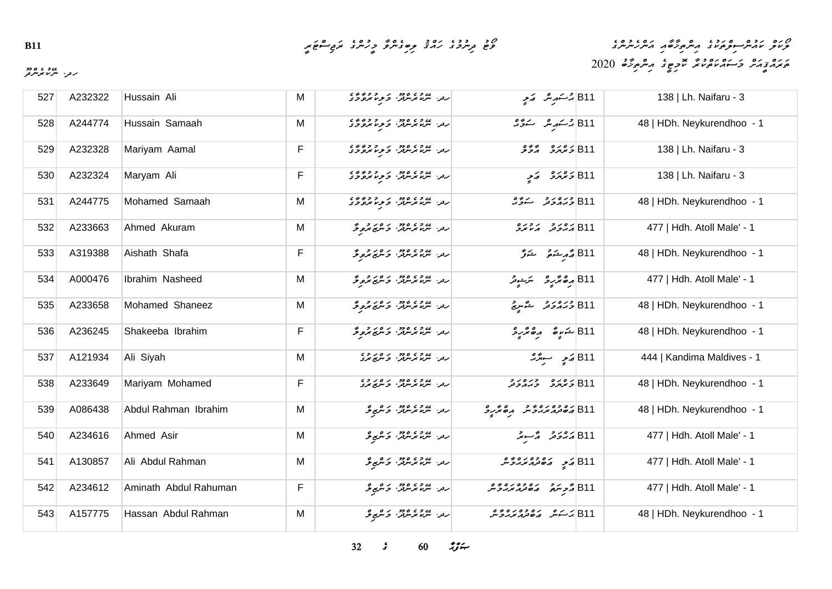*sCw7q7s5w7m< o<n9nOoAw7o< sCq;mAwBoEw7q<m; wBm;vB* م من المرة المرة المرة المرجع المراجع المراجع المراجع المراجع المراجع المراجع المراجع المراجع المراجع المراجع<br>مرين المراجع المراجع المرجع المراجع المراجع المراجع المراجع المراجع المراجع المراجع المراجع المراجع المراجع ال

| 527 | A232322 | Hussain Ali           | M | הבני המכשים בדי בידי ביבי מיים.<br>הבני "תמי זם מתבני ביביט זם ביבי                                                                                                                                                             | B11  بڑے <i>مہ</i> شہ کے پر             | 138   Lh. Naifaru - 3      |
|-----|---------|-----------------------|---|---------------------------------------------------------------------------------------------------------------------------------------------------------------------------------------------------------------------------------|-----------------------------------------|----------------------------|
| 528 | A244774 | Hussain Samaah        | M | הבני ייתוח זק בריכון זק בריכון זק בריכון זק בריכון זק בריכון זק בריכון זק בריכון זק בריכון זק בריכון זק בריכו<br>המודד המודד המודד המודד בריכון זק בריכון זק בריכון זק בריכון זק בריכון זק בריכון זק בריכון זק בריכון זק בריכון | B11 پرست <sub>مب</sub> ر سکو <i>چ</i> ر | 48   HDh. Neykurendhoo - 1 |
| 529 | A232328 | Mariyam Aamal         | F | גו בי ספר ג' כבישים<br>גותי "תמינתית ביבטינפיבים                                                                                                                                                                                | B11 <i>5 پروژ وگ</i> ور                 | 138   Lh. Naifaru - 3      |
| 530 | A232324 | Maryam Ali            | F |                                                                                                                                                                                                                                 | B11  <i>5 پر پڑی کی ی</i>               | 138   Lh. Naifaru - 3      |
| 531 | A244775 | Mohamed Samaah        | M | גו בי ספר ג' כבישים<br>גובני ייפט זכייפרט ביבע זכם ביב                                                                                                                                                                          | B11 <i>ۋېزودنى خۇي</i>                  | 48   HDh. Neykurendhoo - 1 |
| 532 | A233663 | Ahmed Akuram          | M | رته به د په ده د مرکز د کلی برونځ                                                                                                                                                                                               | B11 كەبرى بىر كەندى                     | 477   Hdh. Atoll Male' - 1 |
| 533 | A319388 | Aishath Shafa         | F | ے وہ وہ دے وہ دی۔<br>ریں اس پرسریں کے سرچ بروگر                                                                                                                                                                                 | B11  مُذہب شَمَر صَوَّرَ                | 48   HDh. Neykurendhoo - 1 |
| 534 | A000476 | Ibrahim Nasheed       | M | رو می و د ه و د بر ه د و می<br>رو مسرد مرسرفر کارمربع مروکل                                                                                                                                                                     | B11 مەھەر بۇ سىمبىر قىر                 | 477   Hdh. Atoll Male' - 1 |
| 535 | A233658 | Mohamed Shaneez       | M | رى مەدەبەدە بەھەر ئەھم                                                                                                                                                                                                          | B11  <i>وَبَرْوْدَوْ</i> شَمَّسِيْ      | 48   HDh. Neykurendhoo - 1 |
| 536 | A236245 | Shakeeba Ibrahim      | F | رته به د د ه د د د د د د و نو<br>رته برنام مرس ته د کسی مرد نو                                                                                                                                                                  | B11 ڪَمِيرِ صَمَّ رَضَعَ رَبِي          | 48   HDh. Neykurendhoo - 1 |
| 537 | A121934 | Ali Siyah             | M | دو. ده و ده ده د و د و د<br>رو. سربا برسرفر، که سرج برو                                                                                                                                                                         | B11  پرمو سوچر م                        | 444   Kandima Maldives - 1 |
| 538 | A233649 | Mariyam Mohamed       | F | رتر، سربر بر ده در در در<br>رتر، سربر برسرتر، و سرج برو                                                                                                                                                                         | B11 كەبەر بەر بەر بەر                   | 48   HDh. Neykurendhoo - 1 |
| 539 | A086438 | Abdul Rahman Ibrahim  | M | رىر. شرىر برەدە بەر بەر بۇ                                                                                                                                                                                                      | B11 رەپرە بروپر مەشرى                   | 48   HDh. Neykurendhoo - 1 |
| 540 | A234616 | Ahmed Asir            | M | رىر. شرىر برەدە بەر بەر بۇ                                                                                                                                                                                                      | B11 كەبرى قرىسىتى ئى                    | 477   Hdh. Atoll Male' - 1 |
| 541 | A130857 | Ali Abdul Rahman      | M | رىر. شرىر برەدە كەش ئور                                                                                                                                                                                                         | B11 كم موسوع مدين محمد تركيبر           | 477   Hdh. Atoll Male' - 1 |
| 542 | A234612 | Aminath Abdul Rahuman | F | رىر. شرىر برەدە كەش ئور                                                                                                                                                                                                         | B11 گەم شەھ ھەھەر مەھ مەھ بىر           | 477   Hdh. Atoll Male' - 1 |
| 543 | A157775 | Hassan Abdul Rahman   | M | رىر شرىم ترسرىن كاھرىم تو                                                                                                                                                                                                       | B11   ئەسەھىر بەھە <i>ر بەر بۇ ئا</i> ر | 48   HDh. Neykurendhoo - 1 |

**32** *s* **60** *n***<sub>s</sub>***n***<sub>s</sub>**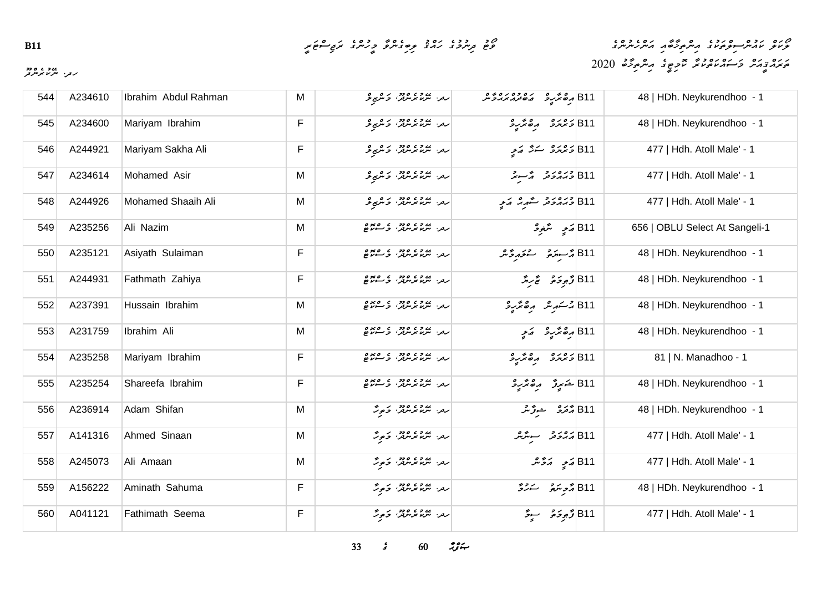*sCw7q7s5w7m< o<n9nOoAw7o< sCq;mAwBoEw7q<m; wBm;vB* م من المرة المرة المرة المرجع المراجع المراجع المراجع المراجع المراجع المراجع المراجع المراجع المراجع المراجع<br>مرين المراجع المراجع المرجع المراجع المراجع المراجع المراجع المراجع المراجع المراجع المراجع المراجع المراجع ال

| <b>33 O L 3 UL</b> |                     |
|--------------------|---------------------|
|                    | برفرء اسرتنا موسرقر |
|                    |                     |

| 544 | A234610 | Ibrahim Abdul Rahman | M            | رى سىم دەھەر مەھ بى                                              | B11 رەڭرىرى ھەمەدە <i>برەۋىر</i>           | 48   HDh. Neykurendhoo - 1     |
|-----|---------|----------------------|--------------|------------------------------------------------------------------|--------------------------------------------|--------------------------------|
| 545 | A234600 | Mariyam Ibrahim      | F            | رىر. شرىر مەدەر كەش بول                                          | B11 <i>5 بروز و هغرب</i> و                 | 48   HDh. Neykurendhoo - 1     |
| 546 | A244921 | Mariyam Sakha Ali    | $\mathsf{F}$ | رىر. شرىرىرى دەر بەھ ئو                                          | B11 كەبۇرى سەنى كەب                        | 477   Hdh. Atoll Male' - 1     |
| 547 | A234614 | Mohamed Asir         | M            | رىر. شرىر برەدە بەر بەر بۇ                                       | B11 <i>ۋېرو دى ئەسىر</i>                   | 477   Hdh. Atoll Male' - 1     |
| 548 | A244926 | Mohamed Shaaih Ali   | M            | رىر. شرىر برەدە بەر بەر بۇ                                       | B11  <i>وبرەرو سەم</i> ەر كەي <sub>چ</sub> | 477   Hdh. Atoll Male' - 1     |
| 549 | A235256 | Ali Nazim            | M            | رد. برده و ده و د و ده<br>رد. سرد پرسرد. و سرد م                 | B11  رَمِ سَمْدِهِ                         | 656   OBLU Select At Sangeli-1 |
| 550 | A235121 | Asiyath Sulaiman     | F            | رتر. 2014 وجود عام 2016<br>رتر. شر <i>يا پر سر</i> تر، بر سوير ط | B11 م <i>ەسىرى ئىم ئى</i> رۇنىر            | 48   HDh. Neykurendhoo - 1     |
| 551 | A244931 | Fathmath Zahiya      | F            | ה המכניס כבר כבר המסיר.<br>קבקי התעודת התחקבלי כל המוס           | B11 <i>وَّج</i> وحَ حَمَّ جَمَّ بِرَ       | 48   HDh. Neykurendhoo - 1     |
| 552 | A237391 | Hussain Ibrahim      | M            |                                                                  | B11 برُسَمبِ مَر مِرة مَرْرِدْ             | 48   HDh. Neykurendhoo - 1     |
| 553 | A231759 | Ibrahim Ali          | M            | געי ישע די ספר, פי סמפים<br>קבקי יישע מקומקלי, פי בייש           | B11 پ <i>رهنگړی ټ</i> ې                    | 48   HDh. Neykurendhoo - 1     |
| 554 | A235258 | Mariyam Ibrahim      | $\mathsf{F}$ | رين شروع ودو، ع وموه<br>رين شريا مرس پر گرستر ه                  | B11  5 يُرْيَرُ \$ مِنْ يُرْبِرْ           | 81   N. Manadhoo - 1           |
| 555 | A235254 | Shareefa Ibrahim     | F            | ה המכניס כבן כל המס<br>קבקי התעית התיית בק                       | B11 ڪپرڙ پر <i>ھيڙپ</i> و                  | 48   HDh. Neykurendhoo - 1     |
| 556 | A236914 | Adam Shifan          | M            | رتر - عدد و دور - در پر<br>رتر - سرما برسرتر - و در پر           | B11 مُ مَرَدٌ مَ مِرَّ مَر                 | 48   HDh. Neykurendhoo - 1     |
| 557 | A141316 | Ahmed Sinaan         | M            | رتر - عدد و دور - در پر<br>رتر - سرما برسرتر - و در پر           | B11   پر برو تر سوسر میں مس                | 477   Hdh. Atoll Male' - 1     |
| 558 | A245073 | Ali Amaan            | M            | رو. عدد دره در در د                                              | B11  رَمٍ کردَ پر                          | 477   Hdh. Atoll Male' - 1     |
| 559 | A156222 | Aminath Sahuma       | $\mathsf F$  | رو. سرما برسرو. در دی.<br>رو. سرما برسرو. و برگ                  | B11 مَّ جِسَمَّة سَكَرْدً                  | 48   HDh. Neykurendhoo - 1     |
| 560 | A041121 | Fathimath Seema      | F            | رو. شر، برسرفر، ترتور                                            | B11 <i>وُمِودَة</i> بِ بِ                  | 477   Hdh. Atoll Male' - 1     |

**33** *s* **60** *n***<sub>s</sub>***n***<sub>s</sub>**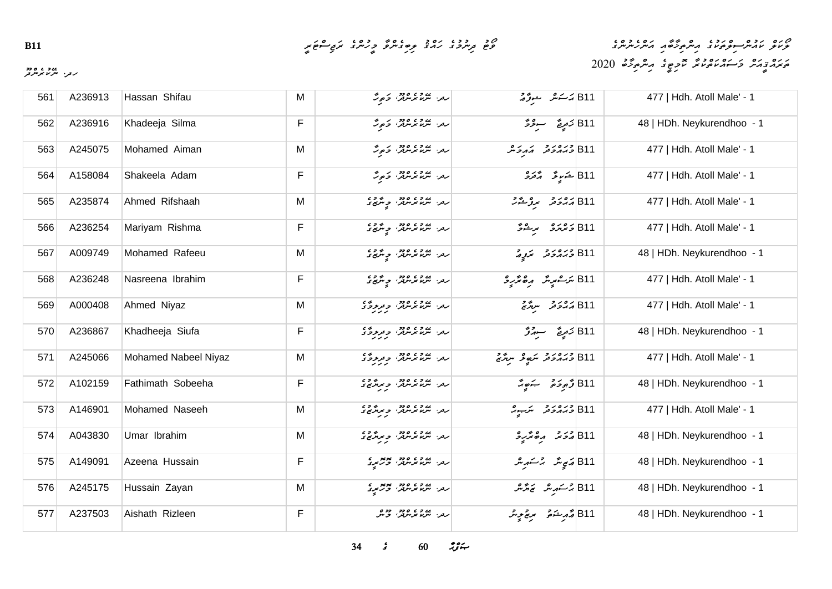*sCw7q7s5w7m< o<n9nOoAw7o< sCq;mAwBoEw7q<m; wBm;vB* م من المرة المرة المرة المرجع المراجع المراجع المراجع المراجع المراجع المراجع المراجع المراجع المراجع المراجع<br>مرين المراجع المراجع المرجع المراجع المراجع المراجع المراجع المراجع المراجع المراجع المراجع المراجع المراجع ال

| 561 | A236913 | Hassan Shifau        | M | رو. سرما بر سرو.<br>رو. سرما بر سرفر، تر بر گ                             | B11 بَرَسَہْ مُس <i>وَّمہُ</i>     | 477   Hdh. Atoll Male' - 1 |
|-----|---------|----------------------|---|---------------------------------------------------------------------------|------------------------------------|----------------------------|
| 562 | A236916 | Khadeeja Silma       | F | رو. سرما برسرو. مرکز گر                                                   |                                    | 48   HDh. Neykurendhoo - 1 |
| 563 | A245075 | Mohamed Aiman        | M | رد. شر <i>نا بر</i> سربر، وجور                                            | B11 <i>ڈیزوویز پہچ</i> و           | 477   Hdh. Atoll Male' - 1 |
| 564 | A158084 | Shakeela Adam        | F | رتر - عدد و ه دوم - در پر<br>رتر - سرما مرسوبل - څورگ                     | B11 خىرى گەترى                     | 477   Hdh. Atoll Male' - 1 |
| 565 | A235874 | Ahmed Rifshaah       | M | رو. عدد و ده ده.<br>رو. شرما مرس تر، و سرچ د                              |                                    | 477   Hdh. Atoll Male' - 1 |
| 566 | A236254 | Mariyam Rishma       | F | رو. عدد و و دو.<br>رو. شریع مرسولو. ج <sub>ه</sub> سرچ و                  | B11 <i>وَيُرْبَرُوْ بِرِيشُوَّ</i> | 477   Hdh. Atoll Male' - 1 |
| 567 | A009749 | Mohamed Rafeeu       | M | رو. عدد و و در در و و ع<br>رو. شر <i>ما بر</i> سربو، چ <sup>س</sup> ری و  | B11 <i>وَبَرْدُوَنَرْ بَرَوِيْ</i> | 48   HDh. Neykurendhoo - 1 |
| 568 | A236248 | Nasreena Ibrahim     | F | رو. عربا عرض مرور و در د<br>رو. شربا مرس برگ او سرچ و                     | B11 ىزىشمېرىش مەھەر پە             | 477   Hdh. Atoll Male' - 1 |
| 569 | A000408 | Ahmed Niyaz          | M | رو. عدد ۱۵۵۶ وجود و د                                                     | B11 كەندى قىر سىرتىمى              | 477   Hdh. Atoll Male' - 1 |
| 570 | A236867 | Khadheeja Siufa      | F | رد. عاوه وه.<br>رد. شر <i>ه مرس د و و و و</i> و                           | B11 زَمِرِجٌ سِہمُرٌ               | 48   HDh. Neykurendhoo - 1 |
| 571 | A245066 | Mohamed Nabeel Niyaz | M | رىر. شرە برسرىر، جەمزىرى                                                  | B11 دېرونو شور سرچ                 | 477   Hdh. Atoll Male' - 1 |
| 572 | A102159 | Fathimath Sobeeha    | F | رو. عدد و د ود.<br>رو. شریع مرسوبو، ج <i>ه بر و ی</i>                     | B11 ژ <sub>ېو</sub> دَ ئې سَنه پژ  | 48   HDh. Neykurendhoo - 1 |
| 573 | A146901 | Mohamed Naseeh       | M | رتر، شریع بر سرچ دی.<br>رتر، شریع برسرتر، ج.برجری د                       | B11 <i>وُبَرُوْدَة مَرْسِيرُ</i>   | 477   Hdh. Atoll Male' - 1 |
| 574 | A043830 | Umar Ibrahim         | M | رتر، شریع بر سرچ دی.<br>رتر، شریع برسرتر، ج.برجری د                       | B11 ړ <i>ی په م</i> ه تربی         | 48   HDh. Neykurendhoo - 1 |
| 575 | A149091 | Azeena Hussain       | F | ر در است و ده و ده است و در بور دارد.<br>در در استریما موسولود از برابردی | B11 کھیے مگر کر شہر مگر            | 48   HDh. Neykurendhoo - 1 |
| 576 | A245175 | Hussain Zayan        | M | رور - 20 و 20 و - 20 و - 2<br>رور - سربر برسرفر - 2 رسری                  | B11 بڑے ہر شہر کا کار              | 48   HDh. Neykurendhoo - 1 |
| 577 | A237503 | Aishath Rizleen      | F | رتر، عروج ووج ووار<br>رتر، شر <i>یا بر</i> سرتر، واش                      | B11 مُگرمِسْتَمْ مِرتَّمْ مِرْشَ   | 48   HDh. Neykurendhoo - 1 |

*34 sC 60 nNw?mS*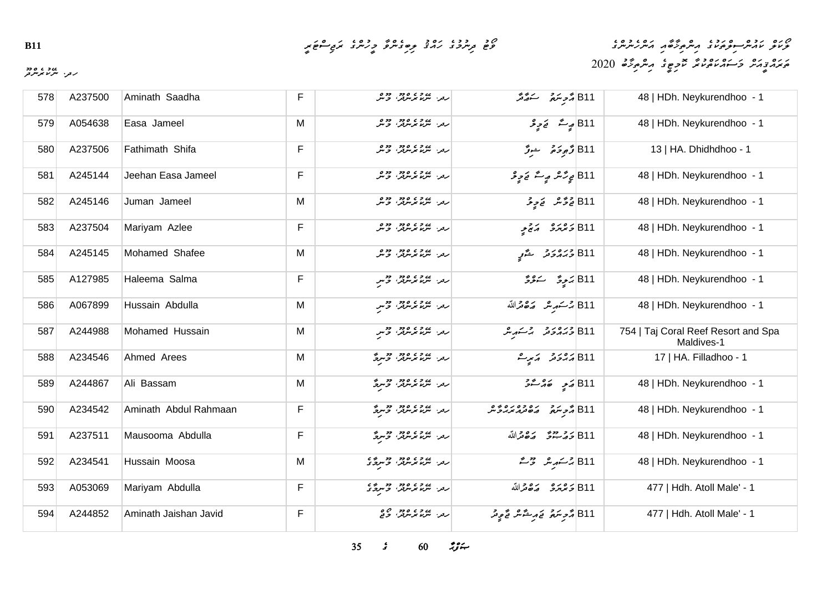*sCw7q7s5w7m< o<n9nOoAw7o< sCq;mAwBoEw7q<m; wBm;vB* م من المرة المرة المرة المرجع المراجع المراجع المراجع المراجع المراجع المراجع المراجع المراجع المراجع المراجع<br>مرين المراجع المراجع المرجع المراجع المراجع المراجع المراجع المراجع المراجع المراجع المراجع المراجع المراجع ال

| >> 0 L > cc          |  |
|----------------------|--|
| برفرء اسرتنا بمرسرقر |  |
|                      |  |

| 578 | A237500 | Aminath Saadha        | $\mathsf{F}$ | ریں عدد ہ موجد اور م<br>ریں شرید برسریں واش               | B11 مَّ حِسَمَّهُ مَسَمَّدَتَّر           | 48   HDh. Neykurendhoo - 1                        |
|-----|---------|-----------------------|--------------|-----------------------------------------------------------|-------------------------------------------|---------------------------------------------------|
| 579 | A054638 | Easa Jameel           | M            | ریں عدد ہ موجد اور م<br>ریں شرید برسریں واش               | B11 ۾ِٿ <sub>تک</sub> وِو                 | 48   HDh. Neykurendhoo - 1                        |
| 580 | A237506 | Fathimath Shifa       | $\mathsf F$  | ریں عدد ہ موجد اور م<br>ریں شرید برسریں واش               | B11 رُّجِرَة شِرَّ                        | 13   HA. Dhidhdhoo - 1                            |
| 581 | A245144 | Jeehan Easa Jameel    | F            | גבה ישרא פרק דרס.<br>גבה ייתונו וקייתבה ביית              | B11  <i>پِرتگر <sub>۾</sub>ِٽ چَ</i> ڇِوُ | 48   HDh. Neykurendhoo - 1                        |
| 582 | A245146 | Juman Jameel          | M            | ریں عدد 20 وور وور<br>ریں شر <i>یا بر</i> سریں وائس       | B11  قے وٌ ش کے <sub>م</sub> وتح          | 48   HDh. Neykurendhoo - 1                        |
| 583 | A237504 | Mariyam Azlee         | $\mathsf{F}$ | ري عدد ده ده ده.<br>ري شر <i>يا پرس</i> هر، وش            | B11 <i>5 پر<sub>م</sub>رڈ ، پر ج</i> و    | 48   HDh. Neykurendhoo - 1                        |
| 584 | A245145 | Mohamed Shafee        | M            | ریں عدد ہ موجد اور م<br>ریں شرید برسریں واش               | B11 <i>5، 25 مگو</i> شگو                  | 48   HDh. Neykurendhoo - 1                        |
| 585 | A127985 | Haleema Salma         | $\mathsf F$  | גובה ומשיר בין פרויק.<br>הבה וייקט זהייתובה וברוייה       | B11 كرودً - شرودً                         | 48   HDh. Neykurendhoo - 1                        |
| 586 | A067899 | Hussain Abdulla       | M            | גובה ובשיר ביותר ביות.<br>הובה וייפט ובנייפולה וביות      | B11 بُرْسَمبِ شَرْ مَدَّةَ مِّدَاللَّه    | 48   HDh. Neykurendhoo - 1                        |
| 587 | A244988 | Mohamed Hussain       | M            | גובה ומשיר בין פרויק.<br>הבה וייקט זהייתובה וברוייה       | B11 دېږدونه پر شهر شر                     | 754   Taj Coral Reef Resort and Spa<br>Maldives-1 |
| 588 | A234546 | Ahmed Arees           | M            |                                                           | B11   پرچوتر    پرسٹر                     | 17   HA. Filladhoo - 1                            |
| 589 | A244867 | Ali Bassam            | M            | גנגי ולקומי של המוקד ביותר.<br>גנגי ולקמו מינטקאי וביותר. | B11 <i>جَرِي حَهُ</i> مُشَرَ              | 48   HDh. Neykurendhoo - 1                        |
| 590 | A234542 | Aminath Abdul Rahmaan | $\mathsf F$  |                                                           | B11 مُجرِسَم مَصْرِمْ مَدَوْمَ            | 48   HDh. Neykurendhoo - 1                        |
| 591 | A237511 | Mausooma Abdulla      | $\mathsf F$  |                                                           | B11 كرة منتجر به محدة الله                | 48   HDh. Neykurendhoo - 1                        |
| 592 | A234541 | Hussain Moosa         | M            | גנג ו שכש ספר ודר ביש<br>גנגי ו עמו בעיקרי ו פועביב       | B11 پر شهر شده محمد شد                    | 48   HDh. Neykurendhoo - 1                        |
| 593 | A053069 | Mariyam Abdulla       | $\mathsf F$  | גנג ו שכש ספר ודר ביש<br>גנגי ו עמו בעיקרי ו פועביב       | B11 كريريز كركانية                        | 477   Hdh. Atoll Male' - 1                        |
| 594 | A244852 | Aminath Jaishan Javid | F            | ر پر عدد و ده ده ده و ده<br>ري سربا برسريل و بع           | B11 تَرْحِسَمْ فَمَدِيقَةٌ فَمَوِيْرٌ     | 477   Hdh. Atoll Male' - 1                        |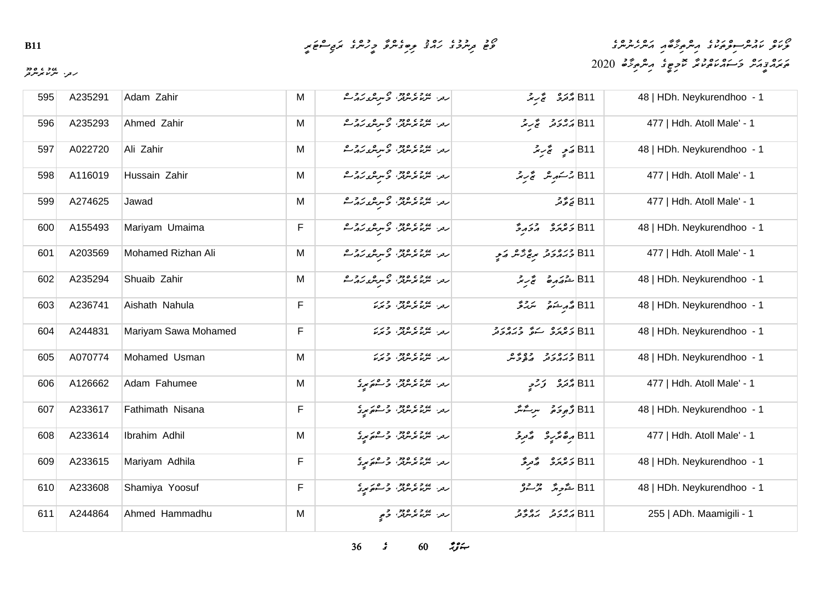*sCw7q7s5w7m< o<n9nOoAw7o< sCq;mAwBoEw7q<m; wBm;vB 2020*<br>*په پوهر وسوډيرونو لومو د موجو د مرمونه* 2020

| 595 | A235291 | Adam Zahir           | M | גובי מיש 2007 כדי ראשונים מודעים ביו הרי הם                                                        | B11 پژنر <i>ی تج</i> ریز                      | 48   HDh. Neykurendhoo - 1 |
|-----|---------|----------------------|---|----------------------------------------------------------------------------------------------------|-----------------------------------------------|----------------------------|
| 596 | A235293 | Ahmed Zahir          | M | رد. عرد ۱۶۵۲ م.<br>رد. شر <i>د پرس</i> رد، و سر <i>س در ار</i>                                     | B11  كەبۇ بۇر گەرىتى                          | 477   Hdh. Atoll Male' - 1 |
| 597 | A022720 | Ali Zahir            | M | גובה במידעית ומידע המידעית בריים.<br>הבני ניימו ומידעים ומידע המידעית בריי                         | B11   رَمِ گَرِيْرُ                           | 48   HDh. Neykurendhoo - 1 |
| 598 | A116019 | Hussain Zahir        | M | גובן ומים היה מים היהם.<br>הבני יישוב מים ליים לא היה היה היה היה היה היה היה היה ל                | B11 پرڪ <i>مب</i> پڻ پڻ پڻ                    | 477   Hdh. Atoll Male' - 1 |
| 599 | A274625 | Jawad                | M | גנגי יי <i>קט זק</i> ייקנגיו צ'ייקיי <i>יק<sub>ב בא</sub>רג</i>                                    | B11 تے تر تر                                  | 477   Hdh. Atoll Male' - 1 |
| 600 | A155493 | Mariyam Umaima       | F |                                                                                                    | B11 كابر مركز مركز مركز برگ                   | 48   HDh. Neykurendhoo - 1 |
| 601 | A203569 | Mohamed Rizhan Ali   | M |                                                                                                    | B11 <i>وُټرونو بې</i> ورْتګر <i>م</i> َبحِ    | 477   Hdh. Atoll Male' - 1 |
| 602 | A235294 | Shuaib Zahir         | M |                                                                                                    | B11 يشت <i>مذه</i> ۾ گھريمه                   | 48   HDh. Neykurendhoo - 1 |
| 603 | A236741 | Aishath Nahula       | F | رتد می وجود و در د<br>رتد شریا مرسرتن و برنا                                                       | B11 مَگْرِسْتَمْ مِنْ مَرْكَزَّ               | 48   HDh. Neykurendhoo - 1 |
| 604 | A244831 | Mariyam Sawa Mohamed | F | رد. ۶۵ و ۲ و ۲ و ۲ در د<br>ردر ش د برسربر، <del>و</del> برم                                        | B11 كەبۇرۇ سۇ ئەيرە ئەر                       | 48   HDh. Neykurendhoo - 1 |
| 605 | A070774 | Mohamed Usman        | M | رد. عود و و و در د<br>رد. ش ترسر ترین                                                              | B11 دېرورو ده ور                              | 48   HDh. Neykurendhoo - 1 |
| 606 | A126662 | Adam Fahumee         | M | رور سربر بره و و د د د .<br>رور سربر برسربر، و سو <sub>مو مو</sub> ر                               | B11  مُرْمَرڤ ك <sup>ح</sup> رْم <sub>ح</sub> | 477   Hdh. Atoll Male' - 1 |
| 607 | A233617 | Fathimath Nisana     | F |                                                                                                    | B11 ۇ <sub>ج</sub> وڭ ئەس <sup>ىگە</sup> نگە  | 48   HDh. Neykurendhoo - 1 |
| 608 | A233614 | Ibrahim Adhil        | M | ر در است و ده و ده و در است و در است و بدر در است .<br>دادر استرین میرسویس از محرب مستوی بدر و است | B11 م <i>وڭ ئۇر</i> ۇ ھەرگى                   | 477   Hdh. Atoll Male' - 1 |
| 609 | A233615 | Mariyam Adhila       | F | رود اور دور دور دارد.<br>دود اسریا برسرفر، برگستانو مورد                                           | B11  ت <i>رکمبرڈ م</i> گ <sup>و</sup> رگی     | 48   HDh. Neykurendhoo - 1 |
| 610 | A233608 | Shamiya Yoosuf       | F | ے وے مجوز اور محرار ہے<br>مرفر اسریر مربس کی مسجو موری                                             | B11 ڪُرمگر گرڪو                               | 48   HDh. Neykurendhoo - 1 |
| 611 | A244864 | Ahmed Hammadhu       | M | رور م <i>ورد ووو</i> و <sub>ه.</sub><br>رور مورد برموفر، وه <sub>ج</sub>                           | B11 كەبروتر بەيرۇتر                           | 255   ADh. Maamigili - 1   |

*rgg*<br>مر<sub>قو</sub>، *سم ما بوسر ق*ر

**36** *s* **60** *n***<sub>s</sub>***s* **<b>***n*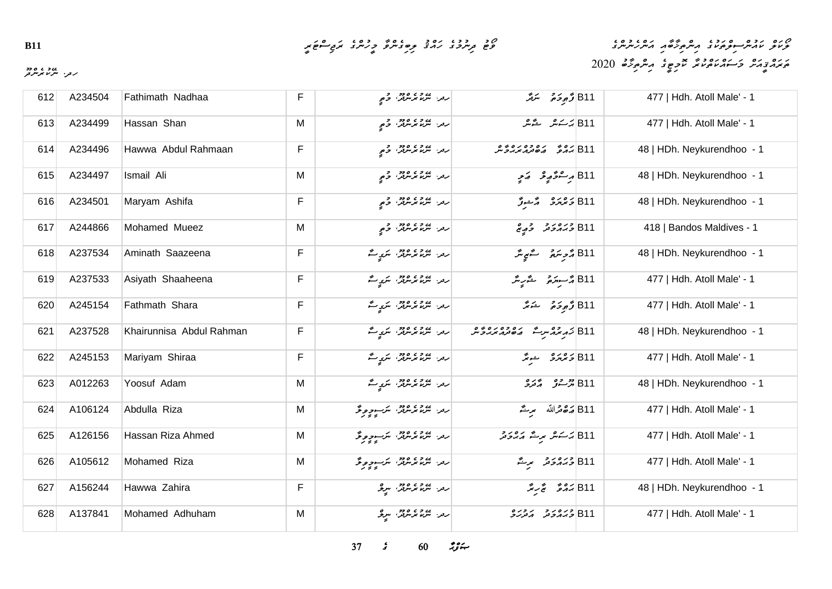*sCw7q7s5w7m< o<n9nOoAw7o< sCq;mAwBoEw7q<m; wBm;vB* م من المرة المرة المرة المرجع المراجع المراجع المراجع المراجع المراجع المراجع المراجع المراجع المراجع المراجع<br>مرين المراجع المراجع المرجع المراجع المراجع المراجع المراجع المراجع المراجع المراجع المراجع المراجع المراجع ال

| <b>33 O &amp; 3 U</b> |                     |
|-----------------------|---------------------|
|                       | برفرء اسرتنا مرسرقر |
|                       |                     |

| 612 | A234504 | Fathimath Nadhaa         | $\mathsf{F}$ | رور سربر بره دو د<br>رور سربر برسرفر، وهي               | B11 <i>وَّجِ دَءُ</i> سَمَّدَ             | 477   Hdh. Atoll Male' - 1 |
|-----|---------|--------------------------|--------------|---------------------------------------------------------|-------------------------------------------|----------------------------|
| 613 | A234499 | Hassan Shan              | M            | رو در در دو د<br>رو سرما مرس برابر د د م                | B11 پرسکر گے بھر                          | 477   Hdh. Atoll Male' - 1 |
| 614 | A234496 | Hawwa Abdul Rahmaan      | $\mathsf F$  | رو. عدد و ده د د                                        | B11 بروء بره ده بروء و                    | 48   HDh. Neykurendhoo - 1 |
| 615 | A234497 | Ismail Ali               | M            | رور به دره دور و.<br>رور سرما برسرفر المرضي             | B11 مرڪوگيري کي ج                         | 48   HDh. Neykurendhoo - 1 |
| 616 | A234501 | Maryam Ashifa            | $\mathsf F$  | رور به دره دور و.<br>رور سرما برسرفر المرضي             | B11 دَيْرْتَرْدْ كَرْسْرَدَّ              | 48   HDh. Neykurendhoo - 1 |
| 617 | A244866 | Mohamed Mueez            | M            | رور به دره دور و.<br>رور سرما برسرفر المرضي             | B11 دېمرونر وړي                           | 418   Bandos Maldives - 1  |
| 618 | A237534 | Aminath Saazeena         | $\mathsf F$  | رى مەدەبەدە كرىدىگە                                     | B11 مَرْجِ سَمَعَ مَسْبَعِ سَمَّ          | 48   HDh. Neykurendhoo - 1 |
| 619 | A237533 | Asiyath Shaaheena        | $\mathsf F$  | رى مەدەبەدە كرىدىگە                                     | B11 م <i>ەسىبىرەتى</i> ھەرپىگە            | 477   Hdh. Atoll Male' - 1 |
| 620 | A245154 | Fathmath Shara           | $\mathsf F$  | رى مەدەپ ھەر ئىرگ                                       | B11 <i>وُّجِرَة هُ</i> شَهَدٌ             | 477   Hdh. Atoll Male' - 1 |
| 621 | A237528 | Khairunnisa Abdul Rahman | F            | رو. مى دە دە ئەرە مىي گ                                 | B11 زېږمه سرت مره وه ره وه ر              | 48   HDh. Neykurendhoo - 1 |
| 622 | A245153 | Mariyam Shiraa           | $\mathsf F$  | رى مەدەبەدە كرىدىگە                                     | B11 كەنگەنگە ھەتگە                        | 477   Hdh. Atoll Male' - 1 |
| 623 | A012263 | Yoosuf Adam              | M            | رى مەدەبەدە كرىدىگە                                     | B11 تېرىشۇ گەنىزى                         | 48   HDh. Neykurendhoo - 1 |
| 624 | A106124 | Abdulla Riza             | M            | رد. عرد دی وجود، مگرسو <i>ن و</i> تخ                    | B11 مَەھْتَراللە مَرْتَّە                 | 477   Hdh. Atoll Male' - 1 |
| 625 | A126156 | Hassan Riza Ahmed        | M            | رد. می ده وده مرسوم و گ                                 | B11 بَرَسَة مَرِسَّة مَ <i>رَدْدَة</i> رُ | 477   Hdh. Atoll Male' - 1 |
| 626 | A105612 | Mohamed Riza             | M            | رد. ۶۶۵،۰۶۵ مرکب و گ                                    | B11  <i>وُبَہُ وُوَمَّہ</i> مِرِسَّہ      | 477   Hdh. Atoll Male' - 1 |
| 627 | A156244 | Hawwa Zahira             | $\mathsf F$  | رو. بیروه ورو.<br>رو. سرما مرسرفر، سربو                 | B11 بَرْدُوَّ تَجْرِبَّرُ                 | 48   HDh. Neykurendhoo - 1 |
| 628 | A137841 | Mohamed Adhuham          | M            | رو. م <i>وره ووو</i><br>رو. م <i>ورا برمو</i> تر، مویگر | B11 <i>ويروونر مغرب</i>                   | 477   Hdh. Atoll Male' - 1 |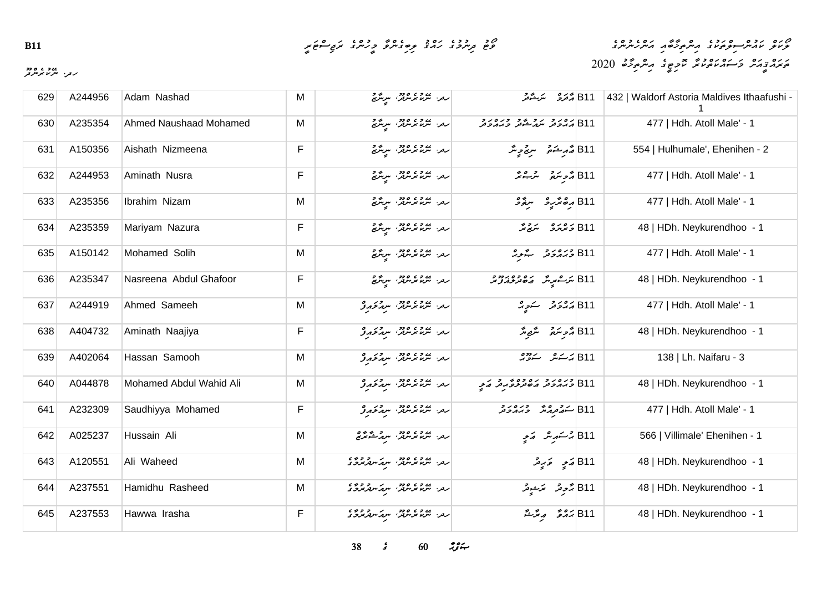*sCw7q7s5w7m< o<n9nOoAw7o< sCq;mAwBoEw7q<m; wBm;vB* م من المرة المرة المرة المرجع المراجع المراجع المراجع المراجع المراجع المراجع المراجع المراجع المراجع المراجع<br>مرين المراجع المراجع المرجع المراجع المراجع المراجع المراجع المراجع المراجع المراجع المراجع المراجع المراجع ال

## *rgg*<br>مر<sub>قو</sub>، *سم ما بوسر ق*ر

| 629 | A244956 | Adam Nashad             | м           | رىر. شرىر برەدە. سرىگەم                                                                                                                                                                                                          | B11 گەترى - سَرْشَ <sup>5</sup> مَر            | 432   Waldorf Astoria Maldives Ithaafushi - |
|-----|---------|-------------------------|-------------|----------------------------------------------------------------------------------------------------------------------------------------------------------------------------------------------------------------------------------|------------------------------------------------|---------------------------------------------|
| 630 | A235354 | Ahmed Naushaad Mohamed  | M           | رىر. شەھ بەرە ھەم بىر ئەر                                                                                                                                                                                                        | B11   پروژو شمەشقىر ۋىرەر ۋ                    | 477   Hdh. Atoll Male' - 1                  |
| 631 | A150356 | Aishath Nizmeena        | F           | رد. شر <i>ما بر</i> شرد. سرش                                                                                                                                                                                                     | B11 مَّ مِرْ مَنْمَة مِنْ مِرْمَ مِنْدَ        | 554   Hulhumale', Ehenihen - 2              |
| 632 | A244953 | Aminath Nusra           | $\mathsf F$ | رى مەد ، ھەر سرچى                                                                                                                                                                                                                | B11 مَّ حِبِّرَة مِسْتَدَمَّر                  | 477   Hdh. Atoll Male' - 1                  |
| 633 | A235356 | Ibrahim Nizam           | M           | رى مەد ، ھەھ سەھى                                                                                                                                                                                                                | B11 م <i>وڭ ئۈچ</i> سى <i>نگ</i> ۇ             | 477   Hdh. Atoll Male' - 1                  |
| 634 | A235359 | Mariyam Nazura          | $\mathsf F$ | رو. شر <i>ه بر</i> هوش سرس                                                                                                                                                                                                       | B11 كەنگەر ئەرەپچە ئىك                         | 48   HDh. Neykurendhoo - 1                  |
| 635 | A150142 | Mohamed Solih           | M           | رى مەد ، ھەر سرچى                                                                                                                                                                                                                | B11 <i>وُبَرُوُوَ</i> تَرُ سِگُورُ             | 477   Hdh. Atoll Male' - 1                  |
| 636 | A235347 | Nasreena Abdul Ghafoor  | $\mathsf F$ | رد. شر <i>ا بر</i> شوش سرش                                                                                                                                                                                                       | B11 <sub>م</sub> ىرىشمېرى <i>ش مەھەردەدى</i> ر | 48   HDh. Neykurendhoo - 1                  |
| 637 | A244919 | Ahmed Sameeh            | M           | رى دە دە ھەر دە دە                                                                                                                                                                                                               | B11 پزېژن شوپژ                                 | 477   Hdh. Atoll Male' - 1                  |
| 638 | A404732 | Aminath Naajiya         | F           | رد. عاده ۱۵۵۵ سرگرونگی                                                                                                                                                                                                           | B11 مَّ حِسَمَة مِّسْمَةِ مَّرْ                | 48   HDh. Neykurendhoo - 1                  |
| 639 | A402064 | Hassan Samooh           | M           | ג <sub>ע:</sub> 2006 מק <i>יצ</i> ות 2006.                                                                                                                                                                                       | B11 پرسٹر سے پیچھ                              | 138   Lh. Naifaru - 3                       |
| 640 | A044878 | Mohamed Abdul Wahid Ali | M           | رى مەد ، ەدە سەترە ۋ                                                                                                                                                                                                             | B11 <i>وبروبرو م</i> ەھىر ئەر مەر              | 48   HDh. Neykurendhoo - 1                  |
| 641 | A232309 | Saudhiyya Mohamed       | $\mathsf F$ | رور عربه در دور و در و در و                                                                                                                                                                                                      | B11 شەيرەش <i>دىمەدى</i> ر                     | 477   Hdh. Atoll Male' - 1                  |
| 642 | A025237 | Hussain Ali             | M           | رور محدود و دور در در در در در در در در در در این در این در این در این در این در این در در این در در این در ای<br>مردم در محمد این در این در این در این در این در این در این در این در این در این در این در این در این در این در | B11  پرستمبر میں کی ج                          | 566   Villimale' Ehenihen - 1               |
| 643 | A120551 | Ali Waheed              | M           | ے وہ ہو ۔<br>ری شرح برسریں سرپر سرپر برو ی                                                                                                                                                                                       | B11  ر <sub>َمحٍ</sub> ک <sub>ے مح</sub> دثہ   | 48   HDh. Neykurendhoo - 1                  |
| 644 | A237551 | Hamidhu Rasheed         | M           | ے وہ ہے وہ ہے<br>ری شریع مرسوبی سرپر سوپر مروری                                                                                                                                                                                  | B11 گەرەگە - ئەش <sub>ى</sub> رىگە             | 48   HDh. Neykurendhoo - 1                  |
| 645 | A237553 | Hawwa Irasha            | F           | ے وہ ہ وہ ۔<br>ری شریع مرسوبی سرپر سوپر مروری                                                                                                                                                                                    | B11 <i>بَدْهُ * مِ مُ</i> حَّ                  | 48   HDh. Neykurendhoo - 1                  |

**38** *s* **60** *n***<sub>s</sub>***n***<sub>s</sub>**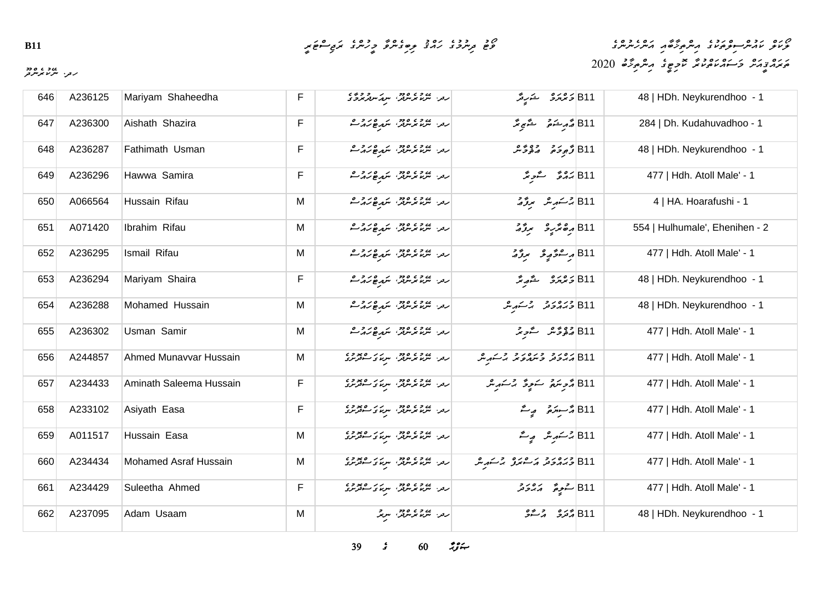*sCw7q7s5w7m< o<n9nOoAw7o< sCq;mAwBoEw7q<m; wBm;vB 2020*<br>*په پوهر وسوډيرونو لومو د موجو د مرمونه* 2020

| 646 | A236125 | Mariyam Shaheedha       | F | رد. سرد بره ود.<br>رد. سرد برسرتر، سرپرسرتربرو د                 | B11  ى <i>ئەبەنگە</i> ھەرىگە                         | 48   HDh. Neykurendhoo - 1     |
|-----|---------|-------------------------|---|------------------------------------------------------------------|------------------------------------------------------|--------------------------------|
| 647 | A236300 | Aishath Shazira         | F |                                                                  | B11 مَدْمِ مِنْدَمْ مِنْ مَدْمِ مَدْ                 | 284   Dh. Kudahuvadhoo - 1     |
| 648 | A236287 | Fathimath Usman         | F | גוב כי ספר המתוכנים.<br>הבני ייתוח זניית בני ייתה ייתה לימילה ב  | B11 ۇ <sub>ج</sub> وڭ ھۇڭىر                          | 48   HDh. Neykurendhoo - 1     |
| 649 | A236296 | Hawwa Samira            | F |                                                                  | B11 يَرْدُمُ – شَعِرْ بُرْ                           | 477   Hdh. Atoll Male' - 1     |
| 650 | A066564 | Hussain Rifau           | M | גיב כי ספר המתוכרים ביותר ביים                                   | B11 پر شہر شہر ہو تھ                                 | 4   HA. Hoarafushi - 1         |
| 651 | A071420 | Ibrahim Rifau           | M |                                                                  | B11 مەھەرىپى مورى                                    | 554   Hulhumale', Ehenihen - 2 |
| 652 | A236295 | Ismail Rifau            | M | رو سره بره ده مرضوع در ده<br>رو سره برسرين سرم هرم م             | B11 پرىشتۇپ <sub>ى</sub> تى بر <i>ۇ</i> چ            | 477   Hdh. Atoll Male' - 1     |
| 653 | A236294 | Mariyam Shaira          | F | גוב כי ספר מתפינתים בריים.<br>הבני ייתוח ובניית בני ייתה פיימה ב | B11 رَحْمَ <i>دَة</i> شَ <sub>ّمَ</sub> مَّدَ        | 48   HDh. Neykurendhoo - 1     |
| 654 | A236288 | Mohamed Hussain         | M |                                                                  | B11 <i>وَبَرْهُ وَبِ</i> رْ مِرْ سَبِرِ مَ <i>رْ</i> | 48   HDh. Neykurendhoo - 1     |
| 655 | A236302 | Usman Samir             | M |                                                                  | B11 ۾ پُروَ سُمَّ سُمَّ جي مُر                       | 477   Hdh. Atoll Male' - 1     |
| 656 | A244857 | Ahmed Munavvar Hussain  | M | ے وہ وہ صوبہ ہوتا ہے۔<br>ماہور اس پولیس بھوت اس کو سوٹورس        |                                                      | 477   Hdh. Atoll Male' - 1     |
| 657 | A234433 | Aminath Saleema Hussain | F | ران سی و ده دود.<br>راند انتژیز مرسول استریکو سوتوسری            | B11 مٌ <i>وِ سَهْ</i> سَوِیْ بُرْ سَهرِ مَدْ         | 477   Hdh. Atoll Male' - 1     |
| 658 | A233102 | Asiyath Easa            | F | رور است و د دورو.<br>ارور اسرین مرسوفر، اسرینای سوفرس            | B11 م <i>ەسىدە بە</i> پە                             | 477   Hdh. Atoll Male' - 1     |
| 659 | A011517 | Hussain Easa            | M | رور سره و د و دو.<br>رور سرها مرسوفر، سرها ی سوتوسری             | B11 پر شهر مرت                                       | 477   Hdh. Atoll Male' - 1     |
| 660 | A234434 | Mohamed Asraf Hussain   | M | ے وہ ہ دو ۔<br>رفز : شریع مربوب : شریع کی سوفرس                  | B11 درور در مش <i>عرف بر شهر</i> ش                   | 477   Hdh. Atoll Male' - 1     |
| 661 | A234429 | Suleetha Ahmed          | F | رود سرد و وود.<br>رود سرد مرسوفر، سرد که سوترسری                 | B11  سٹموِیھ ک <sup>ر</sup> پروٹر                    | 477   Hdh. Atoll Male' - 1     |
| 662 | A237095 | Adam Usaam              | M | ری عرب وہ میں<br>ری عرب مرس                                      | B11 پژنزو پر شو                                      | 48   HDh. Neykurendhoo - 1     |

**39** *s* **60** *n***<sub>s</sub>***s*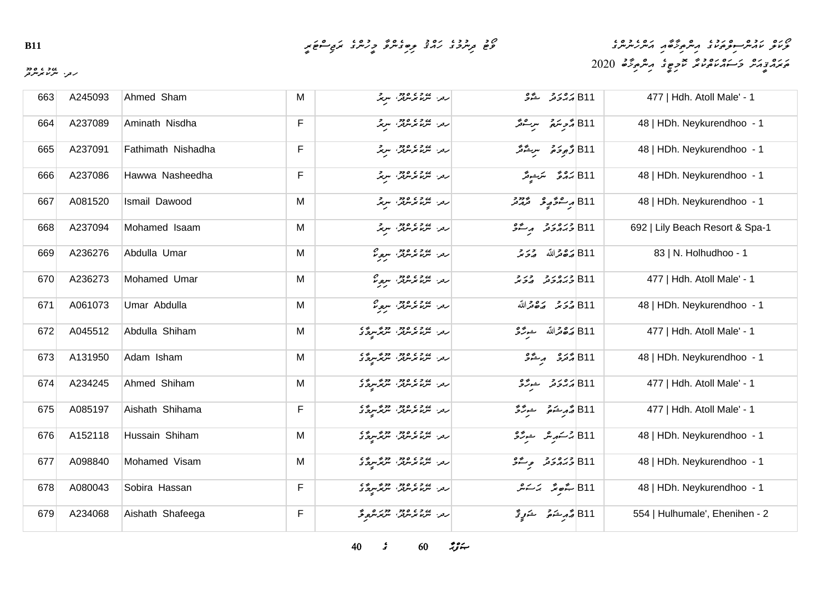*sCw7q7s5w7m< o<n9nOoAw7o< sCq;mAwBoEw7q<m; wBm;vB 2020<sup>, م</sup>وجدة المصرورة المجموعة المستورجة والم*ك

| 663 | A245093 | Ahmed Sham         | M | ری می وجود میگر<br>ری میں مرس                                        | B11 كەنزى ھەر                            | 477   Hdh. Atoll Male' - 1      |
|-----|---------|--------------------|---|----------------------------------------------------------------------|------------------------------------------|---------------------------------|
| 664 | A237089 | Aminath Nisdha     | F | ریں سربر بر دور<br>ریں سربر برسریں سربر                              | B11  مُرْحِسَمُ مِنْ مِنْ مُمَّر         | 48   HDh. Neykurendhoo - 1      |
| 665 | A237091 | Fathimath Nishadha | F | ری در در دور<br>ری شما مرس بر سرمر                                   | B11 تَ <i>ْ جِ</i> حَمَّ سِيشَمَّ        | 48   HDh. Neykurendhoo - 1      |
| 666 | A237086 | Hawwa Nasheedha    | F | رى مەدە مەدە بىرىگە                                                  | B11 كەمگە تەرىئەدىگە                     | 48   HDh. Neykurendhoo - 1      |
| 667 | A081520 | Ismail Dawood      | M | رو. بیروه وود سرچ                                                    | B11 <sub>م</sub> رشۇم <sub>ۇ</sub> ئەدەر | 48   HDh. Neykurendhoo - 1      |
| 668 | A237094 | Mohamed Isaam      | M | ری مورد وو در برگ<br>ری شرد برسری شری                                | B11 <i>5225 برسگ</i> و                   | 692   Lily Beach Resort & Spa-1 |
| 669 | A236276 | Abdulla Umar       | M | ג <sub>בק י</sub> בישת בישר ברי הקובק על<br>קבק יותע בקובקרי הקובק ע | B11 مَەقْرَاللە مەدىمە                   | 83   N. Holhudhoo - 1           |
| 670 | A236273 | Mohamed Umar       | M | ری میں دے وہ<br>ری شرح مرشریں اسروبا                                 | B11 <i>32322</i> م <i>ح</i> مد           | 477   Hdh. Atoll Male' - 1      |
| 671 | A061073 | Umar Abdulla       | M | גבני ישע בישרה ייפע                                                  | B11 رُتَّرَ بِهِ مَدَاللَّهُ             | 48   HDh. Neykurendhoo - 1      |
| 672 | A045512 | Abdulla Shiham     | M |                                                                      | B11 كَەھەراللە خە <i>رگ</i> ۇ            | 477   Hdh. Atoll Male' - 1      |
| 673 | A131950 | Adam Isham         | M | رتر، عروج وجود العربر العربي.<br>رتر، شريع برسرتر، سربرسربرگر        | B11   گەترى مەشگە                        | 48   HDh. Neykurendhoo - 1      |
| 674 | A234245 | Ahmed Shiham       | M |                                                                      | B11 <i>2525 مىيەردى</i>                  | 477   Hdh. Atoll Male' - 1      |
| 675 | A085197 | Aishath Shihama    | F | رتر، عدد و دور دوره و د د<br>رتر، شرید برسرتر، سربرسرتر د            | B11 مَجْمِسْتَمْ صِرْرًةً                | 477   Hdh. Atoll Male' - 1      |
| 676 | A152118 | Hussain Shiham     | M | رتر، شریع بر ۱۶۵۵ وروپر دی.<br>رتر، شریع برسرتر، سربرسرتری           | B11  پرستمبر شر حوث3                     | 48   HDh. Neykurendhoo - 1      |
| 677 | A098840 | Mohamed Visam      | M | رو. ده و ده ده دوه و ده.<br>رو. شریا مرسرفر، سرمرسرفر د              | B11  <i>وټرونو و</i> ځو                  | 48   HDh. Neykurendhoo - 1      |
| 678 | A080043 | Sobira Hassan      | F |                                                                      | B11 سەھەتتە ئەسەمىتە                     | 48   HDh. Neykurendhoo - 1      |
| 679 | A234068 | Aishath Shafeega   | F | رو. سربا برسرو. دور ه<br>رو. سربا برسرو. سربرسرو بخ                  | B11 مَگْرِسْتَمْ صَورٍ تَحْ              | 554   Hulhumale', Ehenihen - 2  |

*rgg*<br>مر<sub>قو</sub>، *سم ما بوسر ق*ر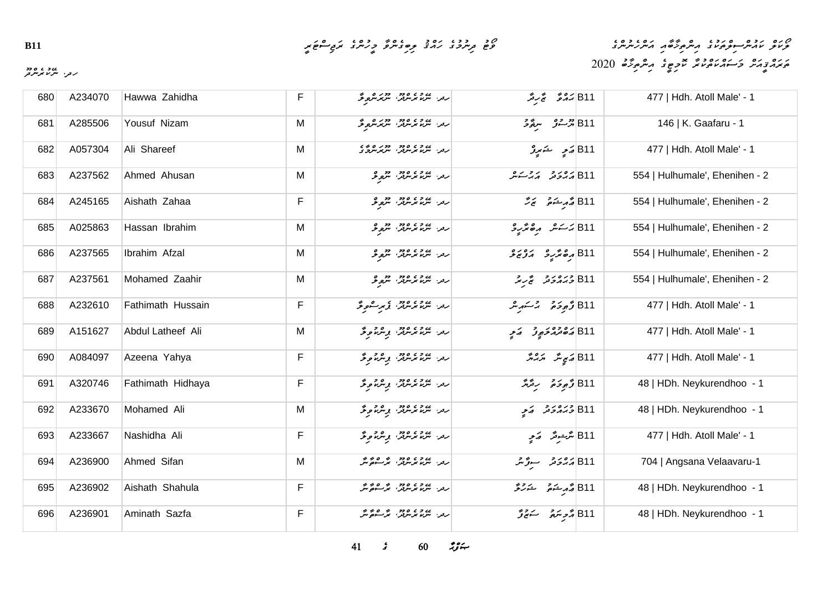*sCw7q7s5w7m< o<n9nOoAw7o< sCq;mAwBoEw7q<m; wBm;vB* م من المسجد المسجد المسجد المسجد المسجد العام 2020<br>مسجد المسجد المسجد المسجد المسجد المسجد المسجد المسجد المسجد ال

| 680 | A234070 | Hawwa Zahidha     | F | رور سربر برسرور دوبر ه<br>برور سربر برسرور، سربر سروگر                        | B11  يَرْدُمَّ گَمَّ رِمَّزُ                  | 477   Hdh. Atoll Male' - 1     |
|-----|---------|-------------------|---|-------------------------------------------------------------------------------|-----------------------------------------------|--------------------------------|
| 681 | A285506 | Yousuf Nizam      | M | رى مەدە ھەر ھەرھىدى.<br>رىس شرىيا مەسرىلى، شرىمەشھىرى                         | B11 پر مشتر فریقوتی                           | 146   K. Gaafaru - 1           |
| 682 | A057304 | Ali Shareef       | M | رو. عدد و دو دور و دو.<br>رو. سربا برسرفر، سربرسرو و                          | B11  رَمٍ ۖ شَہْرِوْ                          | 477   Hdh. Atoll Male' - 1     |
| 683 | A237562 | Ahmed Ahusan      | M | גב <sub>ע</sub> ישנו מרוכל מקוב.<br>גב <sub>ע</sub> יי <i>קט מ</i> תבט ייתם ב | B11 كەندى كەرگەنگەنلەر                        | 554   Hulhumale', Ehenihen - 2 |
| 684 | A245165 | Aishath Zahaa     | F | رور، عرب مرور، دوره<br>رور، عرب مرسوفر، عربي فر                               | B11 <sub>ص</sub> م مقدمة محمد حم              | 554   Hulhumale', Ehenihen - 2 |
| 685 | A025863 | Hassan Ibrahim    | M | رور، عرب مرور، دوره<br>رور، عرب مرسوفر، عربي فر                               | B11 بَرَسَىْشْ بِرِهْتَمْرِيْتْحْ             | 554   Hulhumale', Ehenihen - 2 |
| 686 | A237565 | Ibrahim Afzal     | M | رى شەم بەرە « ھ                                                               | B11 مەھەر بەر مەدىنى ئى                       | 554   Hulhumale', Ehenihen - 2 |
| 687 | A237561 | Mohamed Zaahir    | M | ریں سر دی وو ۔ وو و                                                           | B11 <i>وَبَهُمْ وَبِ</i> رْ مِجَ رِبْرُ       | 554   Hulhumale', Ehenihen - 2 |
| 688 | A232610 | Fathimath Hussain | F | رىر. شرە مەرەم. كۆمۈت بولم                                                    | B11 ۇ <sub>جو</sub> رَى <sub>م</sub> ئەسەرىئە | 477   Hdh. Atoll Male' - 1     |
| 689 | A151627 | Abdul Latheef Ali | M | رىر. شرىر برەردە بولىرىدە ئ                                                   | B11 كەھەر كەيرۇ ھېمبە                         | 477   Hdh. Atoll Male' - 1     |
| 690 | A084097 | Azeena Yahya      | F | رىر. شرىر برەرە بەر بەر ئو                                                    | B11 ڪيپ شهر پر هريگر آهي.<br>ا                | 477   Hdh. Atoll Male' - 1     |
| 691 | A320746 | Fathimath Hidhaya | F | رىر. شرە برىرىش، بەيرىتمونۇ                                                   | B11 <i>وَّج</i> وحَمْ بِقَرْمَّ               | 48   HDh. Neykurendhoo - 1     |
| 692 | A233670 | Mohamed Ali       | M | رىر. شرىر برەردە بولىرىدە ئ                                                   | B11 <i>ڈیزہ ڈی کی ج</i>                       | 48   HDh. Neykurendhoo - 1     |
| 693 | A233667 | Nashidha Ali      | F | رد. من دور ود. د من و څ                                                       | B11 مُرْجوش ك <sup>ر</sup> مٍ                 | 477   Hdh. Atoll Male' - 1     |
| 694 | A236900 | Ahmed Sifan       | M | رى بەدە دەدە بۇرەپەيە<br>رى سەيدىرى بۇسىۋىتر                                  | B11 كەبرى قىر سو <i>ۋىت</i> ر                 | 704   Angsana Velaavaru-1      |
| 695 | A236902 | Aishath Shahula   | F | رى بەد يەدە بۇ مەن بۇ<br>رى سەن بىر سەن بۇ سەن س                              | B11 مَجْمِيشَمْ شَرْرَةً                      | 48   HDh. Neykurendhoo - 1     |
| 696 | A236901 | Aminath Sazfa     | F | ري عدد ۽ ووڊ ڪره ۾ جي<br>ري سربا مرس                                          | B11 مُرمِتْعُمْ سَيَجْرُ                      | 48   HDh. Neykurendhoo - 1     |

*41 sC 60 nNw?mS*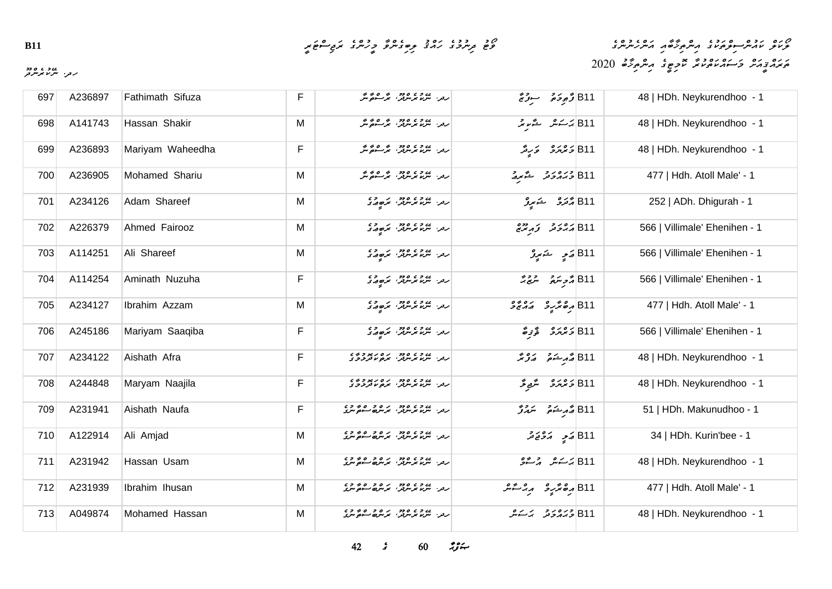*sCw7q7s5w7m< o<n9nOoAw7o< sCq;mAwBoEw7q<m; wBm;vB* م من المرة المرة المرة المرجع المرجع في المركبة 2020<br>مجم*د المريض المربوط المربع المرجع في المراجع المركبة* 

| 22 O L I VL         |  |
|---------------------|--|
| برفر المتربع موسرقر |  |

| 697 | A236897 | Fathimath Sifuza | F           | رتر، سربر بر در برگ دیگر<br>رتر، سربر برسرتر، برگستمبر                 | B11 رَّجِوحَة مَ سِورْيَج                 | 48   HDh. Neykurendhoo - 1    |
|-----|---------|------------------|-------------|------------------------------------------------------------------------|-------------------------------------------|-------------------------------|
| 698 | A141743 | Hassan Shakir    | M           | ریں ۔ ے و ی ووود ہے کے مخابر بھی مگر<br>مرین اسریں موسوقیں کے مشور مگر | B11 پرسکس کے می <sup>م</sup>              | 48   HDh. Neykurendhoo - 1    |
| 699 | A236893 | Mariyam Waheedha | $\mathsf F$ | رىر. يەم دەم ھەر بۇرەھ بۇ                                              | B11 رَیْرَ <i>ہُرڈ دَی</i> رِنَّر         | 48   HDh. Neykurendhoo - 1    |
| 700 | A236905 | Mohamed Shariu   | M           |                                                                        | B11 <i>وُبَهُ دُونَ</i> شَم <i>َ</i> مِهُ | 477   Hdh. Atoll Male' - 1    |
| 701 | A234126 | Adam Shareef     | M           | رو. مرد دو د د د د د د                                                 | B11 پژترو خ <i>تمبو</i> ژ                 | 252   ADh. Dhigurah - 1       |
| 702 | A226379 | Ahmed Fairooz    | M           | رو. عربه در و و د<br>رو. شربه مرس بر و د و                             | B11 كەبروتىر كەم <i>بودە</i>              | 566   Villimale' Ehenihen - 1 |
| 703 | A114251 | Ali Shareef      | M           | رد. عرد در ورد در ورد<br>رد. شرد برسرد. برص                            | B11   پر په شمېرژ                         | 566   Villimale' Ehenihen - 1 |
| 704 | A114254 | Aminath Nuzuha   | F           | رو. عربه در و و د<br>رو. شربه مرس بر و د و                             | B11 مَّ مِسَعَ مِّسْتَمَةً مِّ            | 566   Villimale' Ehenihen - 1 |
| 705 | A234127 | Ibrahim Azzam    | M           | גיב בשפט ספר ברי ברי<br>הבני הבנו בנייפולי הבניים בריב                 | B11 <sub>مو</sub> ھ <i>مگرچ</i> و ھەم ق   | 477   Hdh. Atoll Male' - 1    |
| 706 | A245186 | Mariyam Saaqiba  | $\mathsf F$ | رو. عربه در و و د<br>رو. شربه مرس بر و د و                             | B11 كَرْمَرْكُرْ فَوَّتْرَةً              | 566   Villimale' Ehenihen - 1 |
| 707 | A234122 | Aishath Afra     | $\mathsf F$ |                                                                        | B11 مەم يىق ھەرىجە                        | 48   HDh. Neykurendhoo - 1    |
| 708 | A244848 | Maryam Naajila   | F           | ے وے مجوز مرہ مرہودی<br>مرتب اس مریم مرتبی اس مرہ مرتب تریف تری        | B11 5 يُرْبَرُوْ - بَرَّبِهِ تَرْ         | 48   HDh. Neykurendhoo - 1    |
| 709 | A231941 | Aishath Naufa    | $\mathsf F$ | ے وے مود در مود ہے وے<br>ری سربر برسریں برسری سورسری                   | B11 مَّ مِسْهُ مِّسْمَرٌ تَرَ             | 51   HDh. Makunudhoo - 1      |
| 710 | A122914 | Ali Amjad        | M           | ے وے موجہ مربوب میں دورہ ہے۔<br>مربود اس موجود میں موجود میں موجود میں | B11  ر <i>َمِي دَوْيَ تَرُ</i>            | 34   HDh. Kurin'bee - 1       |
| 711 | A231942 | Hassan Usam      | M           | رور، عدد و د ده د د د د د د د د<br>رور، شرید مرس بر، مرس به سورسری     | B11 پرسکر پر محدو                         | 48   HDh. Neykurendhoo - 1    |
| 712 | A231939 | Ibrahim Ihusan   | M           | ے وہ وہ مریض ہے وہ کاروں<br>مرین سریم مریض مریض سور سری                | B11 مەھمەر بەرگە مەرگە                    | 477   Hdh. Atoll Male' - 1    |
| 713 | A049874 | Mohamed Hassan   | M           |                                                                        | B11 <i>ۋىزۇدۇ بەسكى</i> ر                 | 48   HDh. Neykurendhoo - 1    |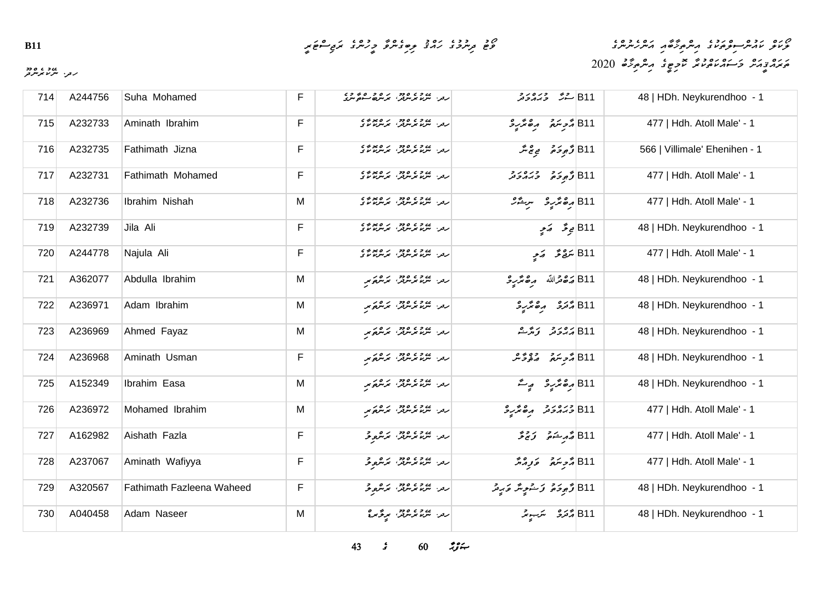*sCw7q7s5w7m< o<n9nOoAw7o< sCq;mAwBoEw7q<m; wBm;vB* م من المرة المرة المرة المرجع المرجع في المركبة 2020<br>مجم*د المريض المربوط المربع المرجع في المراجع المركبة* 

| 714 | A244756 | Suha Mohamed                     | F | رور، عدد و د ده د د د د د د د د<br>رور، شرید مرس بر، مرس به سورسری                                                                                                                                                               | B11 يترجى بوروتر                           | 48   HDh. Neykurendhoo - 1    |
|-----|---------|----------------------------------|---|----------------------------------------------------------------------------------------------------------------------------------------------------------------------------------------------------------------------------------|--------------------------------------------|-------------------------------|
| 715 | A232733 | Aminath Ibrahim                  | F | גובה בנים הפרי המיבים בין המיבים בין המיבים בין המיבים בין המיבים בין המיבים בין המיבים בין המיבים בין המיבים<br>המיבים בין המיבים מיבים בין המיבים בין המיבים בין המיבים בין המיבים בין המיבים בין המיבים בין המיבים בין המיבי  | B11 مَّ مِسَمَّد مِنْ مَمَّرِ د            | 477   Hdh. Atoll Male' - 1    |
| 716 | A232735 | Fathimath Jizna                  | F | راور، استرواح دور دور دوره براور<br>مراور، اسریر برسریور، اسرایریز براور                                                                                                                                                         | B11 تَ <i>وْجِ</i> وَحَمَّ ہِ مِحْ مَّرَ   | 566   Villimale' Ehenihen - 1 |
| 717 | A232731 | Fathimath Mohamed                | F | גובה בנים הפרי המינים בין המינים בין המינים בין המינים בין המינים בין המינים בין המינים בין המינים בין המינים<br>המינים בין המינים מינים בין מינים בין המינים בין המינים בין המינים בין המינים בין המינים בין המינים בין המינים  | B11 رُجوحَة حَمَدَ مَرَّةَ مَرَّ           | 477   Hdh. Atoll Male' - 1    |
| 718 | A232736 | Ibrahim Nishah                   | M | גובה בנים הפרי המידישים בין המידישים בין המידישים בין המידישים בין המידישים בין המידישים בין המידישים בין המיד<br>המידישים בין המידישים בין המידישים בין המידישים בין המידישים בין המידישים בין המידישים בין המידישים בין המידיש | B11 رەئزىرو سىش <sup>ى</sup> ر             | 477   Hdh. Atoll Male' - 1    |
| 719 | A232739 | Jila Ali                         | F | גובן בנים פרד - גם בישים בין<br>הבני - מקום בנייקבני - בנייקט עיב                                                                                                                                                                | B11 ي <sub>ح</sub> وً ك <sup>ي</sup> مي    | 48   HDh. Neykurendhoo - 1    |
| 720 | A244778 | Najula Ali                       | F | ری سے دے وجود ہے والادی                                                                                                                                                                                                          | B11 يترة بح قدمي                           | 477   Hdh. Atoll Male' - 1    |
| 721 | A362077 | Abdulla Ibrahim                  | M | رود - عاد و عاده - در دارد.<br>دود - شریع مرسولود - مرسولو مر                                                                                                                                                                    | B11 كَرْھْمْراللَّهُ مِنْ مَحْرَبِهِ مِنْ  | 48   HDh. Neykurendhoo - 1    |
| 722 | A236971 | Adam Ibrahim                     | M | رو. عام و عام دون المرضوعي.<br>رو. شريع مرس جل برس جو بر                                                                                                                                                                         | B11  ا <i>دَّترڈ ام</i> ھ <i>مُرْرِ</i> دُ | 48   HDh. Neykurendhoo - 1    |
| 723 | A236969 | Ahmed Fayaz                      | M | رو. 2006 - 2007<br>رو. شر <i>ما برسر</i> تر، برسرچ بر                                                                                                                                                                            | B11 پرېژنو ژگرشو                           | 48   HDh. Neykurendhoo - 1    |
| 724 | A236968 | Aminath Usman                    | F | رو. عروج و دو.<br>رو. شریا برسرفر، برسرو بر                                                                                                                                                                                      | B11 أُمَّ جِسَعَة مَشْرَقَ مَّر            | 48   HDh. Neykurendhoo - 1    |
| 725 | A152349 | Ibrahim Easa                     | M | رود مشرح بر دور بر دور<br>رود مشرح مرسوفر، مرسم ومر                                                                                                                                                                              | B11 پر <i>هنڙپ</i> و پيءُ                  | 48   HDh. Neykurendhoo - 1    |
| 726 | A236972 | Mohamed Ibrahim                  | M | رو. مورد بره در در در                                                                                                                                                                                                            | B11  <i>وبروبو وەنگرو</i>                  | 477   Hdh. Atoll Male' - 1    |
| 727 | A162982 | Aishath Fazla                    | F | رى سىم دە ھەم بەھ بىر                                                                                                                                                                                                            | B11 مَگْرِسْتَمْ وَكَيْتَرْ                | 477   Hdh. Atoll Male' - 1    |
| 728 | A237067 | Aminath Wafiyya                  | F | رى شەم بەدە بەھ بۇ                                                                                                                                                                                                               | B11 مَّ حِسَمَ مَ وَرِمْتَر                | 477   Hdh. Atoll Male' - 1    |
| 729 | A320567 | <b>Fathimath Fazleena Waheed</b> | F | رى شەم بەرەمەر بەشھەتى                                                                                                                                                                                                           | B11 رَّجِودَةَ ۖ وَسَنْوِسٌ وَرِيدٌ        | 48   HDh. Neykurendhoo - 1    |
| 730 | A040458 | Adam Naseer                      | M | رىر. شر <i>ىر دەرە. بر</i> ىۋىرە                                                                                                                                                                                                 | B11  مُرْمَرڈ سَ بِرِ مُرْ                 | 48   HDh. Neykurendhoo - 1    |

*43 sC 60 nNw?mS*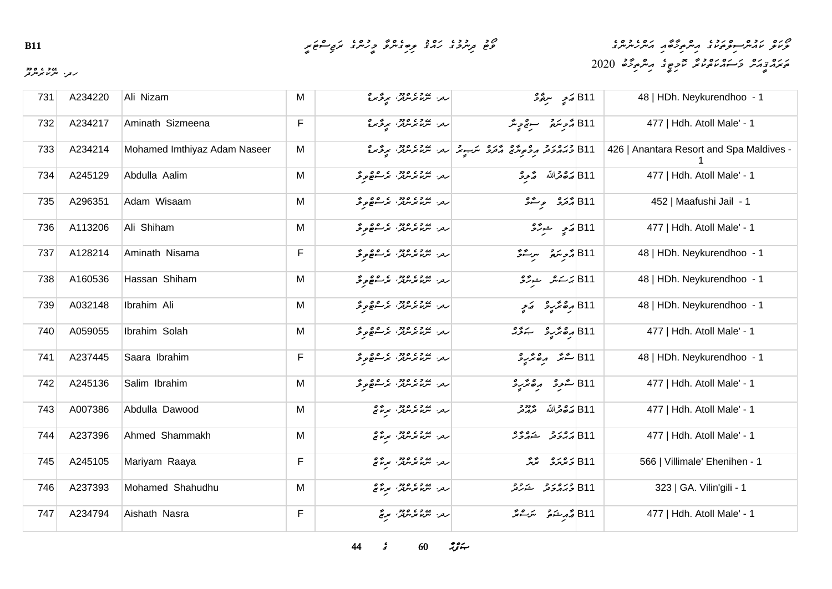*sCw7q7s5w7m< o<n9nOoAw7o< sCq;mAwBoEw7q<m; wBm;vB 2020<sup>, م</sup>وجدة المصرورة المجموعة المستورجة والم*جموعة والمجموعة والمجموعة والمجموعة والمجموعة والمجموعة والمجموعة

| 731 | A234220 | Ali Nizam                    | M | رى مەد ، مەد ، مەنگەرە                                             | B11  رَمِ سِمَّرَ \$                             | 48   HDh. Neykurendhoo - 1               |
|-----|---------|------------------------------|---|--------------------------------------------------------------------|--------------------------------------------------|------------------------------------------|
| 732 | A234217 | Aminath Sizmeena             | F | رى دە دە «كەن ئىستىمىدى»                                           | B11  مۇجەتىھ سوچ <sub>ە</sub> جەمە               | 477   Hdh. Atoll Male' - 1               |
| 733 | A234214 | Mohamed Imthiyaz Adam Naseer | M |                                                                    | B11 ديرورد و و وره و دره س به د سيد سرد سيد در د | 426   Anantara Resort and Spa Maldives - |
| 734 | A245129 | Abdulla Aalim                | M | رو. شر، برسرو. محر شیخ و مح                                        |                                                  | 477   Hdh. Atoll Male' - 1               |
| 735 | A296351 | Adam Wisaam                  | M | رى سى دە دەھەر ئەس ھەر ئە                                          | B11  ا <i>مگری و سگ</i> و                        | 452   Maafushi Jail - 1                  |
| 736 | A113206 | Ali Shiham                   | M | رو. مورا برسرو. ع د ۵۵ و.<br>رو. سردا برسرو. برسودگر               | B11  رَمٍ حورٌوُ                                 | 477   Hdh. Atoll Male' - 1               |
| 737 | A128214 | Aminath Nisama               | F | رى سىم دە دەھ بىر ھەھ بىر كىلىن ھەم ئى                             | B11 مُ مِ سَمَعُ مِ سِنَّعَرَ                    | 48   HDh. Neykurendhoo - 1               |
| 738 | A160536 | Hassan Shiham                | M | رى دەرە دەھرىم دەھرىگى بەر                                         | B11  يزسكش حي <i>ردٌ</i> و                       | 48   HDh. Neykurendhoo - 1               |
| 739 | A032148 | Ibrahim Ali                  | M | رد. بررا دوره در ۵۵۰۰.<br>رد. سردا برسربر، برگ هروگر               | B11 پ <i>رهنگړی پ</i> ېو                         | 48   HDh. Neykurendhoo - 1               |
| 740 | A059055 | Ibrahim Solah                | M | رى سى دە دەھەر ئەس ھەر ئە                                          | B11  <sub>م</sub> ەھم <i>گرى جۇڭ</i>             | 477   Hdh. Atoll Male' - 1               |
| 741 | A237445 | Saara Ibrahim                | F | رى سى دە دە دە بەر دە ئە                                           | B11 گەنگە بەھ ئ <sup>ى</sup> رىج                 | 48   HDh. Neykurendhoo - 1               |
| 742 | A245136 | Salim Ibrahim                | M | رى سىم دە دەھ بىر ھەھ بىر كىلىن ھەم ئى                             | B11 سَمْوِدْ بِهِ مَدْرِدْ                       | 477   Hdh. Atoll Male' - 1               |
| 743 | A007386 | Abdulla Dawood               | M | رو. بررو ووجود به در ده<br>رو. سرد برسوس برنامج                    | B11 رَصْحَرْاللَّهُ مَ <i>دْمَ</i> مْرَ          | 477   Hdh. Atoll Male' - 1               |
| 744 | A237396 | Ahmed Shammakh               | M | رور به ده ده دود.<br>رور سربر مرس بر تا م                          | B11 كەبروتر شە <i>مەۋ</i> ر                      | 477   Hdh. Atoll Male' - 1               |
| 745 | A245105 | Mariyam Raaya                | F | رور به ده و ده وده<br>رور سربر مرس در مرتزم                        | B11 كەبەر ئەرىپەتر                               | 566   Villimale' Ehenihen - 1            |
| 746 | A237393 | Mohamed Shahudhu             | M | ג <sub>בק י</sub> 22000 ביות 20<br>גבקי יי <i>קט ב</i> ייקבקי ובנו | B11 <i>وُبَہُ وَبَوْ</i> مُسَ مِدَمَّرِ          | 323   GA. Vilin'gili - 1                 |
| 747 | A234794 | Aishath Nasra                | F | رور سربر برده و دو.<br>رور سربر برسرفر المربع                      | B11 مُەمەشقىق سىرسىمگە                           | 477   Hdh. Atoll Male' - 1               |

*44 sC 60 nNw?mS*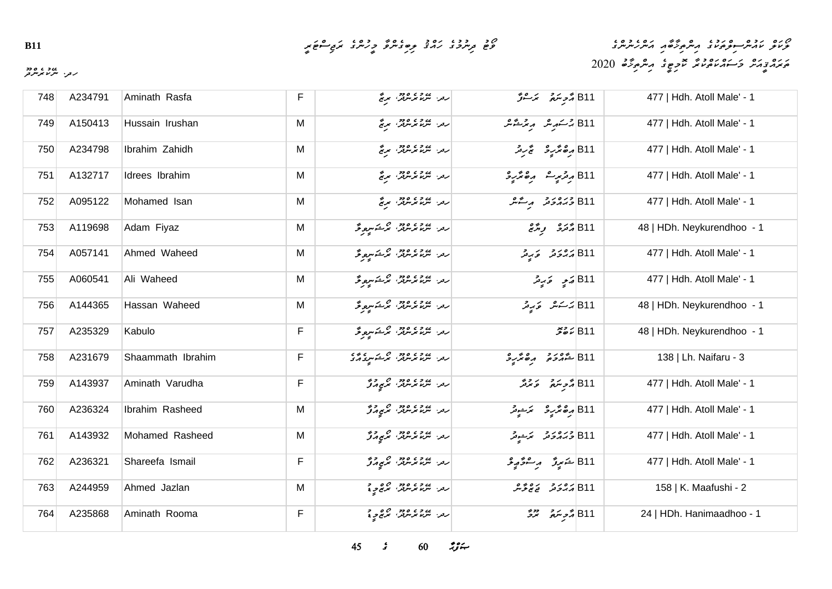*sCw7q7s5w7m< o<n9nOoAw7o< sCq;mAwBoEw7q<m; wBm;vB* م من المرة المرة المرة المرجع المرجع في المركبة 2020<br>مجم*د المريض المربوط المربع المرجع في المراجع المركبة* 

| 748 | A234791 | Aminath Rasfa     | F           | رو. سرد برود.<br>رو. سرد برسرفر، برنج                  | B11 مَّ مِرْسَمَّ مَرْسْرَتَّ                  | 477   Hdh. Atoll Male' - 1 |
|-----|---------|-------------------|-------------|--------------------------------------------------------|------------------------------------------------|----------------------------|
| 749 | A150413 | Hussain Irushan   | M           | رو، سره بره وو.<br>رو، سره برسربر، برج                 | B11 پرڪيريش پر پڙڪر                            | 477   Hdh. Atoll Male' - 1 |
| 750 | A234798 | Ibrahim Zahidh    | M           | رو. سرد بروه.<br>رو. سرد برسرفر، مریج                  | B11  مەھەرىپە ئەسىمىيەتىر                      | 477   Hdh. Atoll Male' - 1 |
| 751 | A132717 | Idrees Ibrahim    | M           | رو. سره بر دود.<br>رو. سره برسرفر، برنج                | B11 مرتز مرتد مرگ مرکز ک                       | 477   Hdh. Atoll Male' - 1 |
| 752 | A095122 | Mohamed Isan      | M           | رو. سره برود. برخ                                      | B11 <i>جەيم</i> ۇقر بەش <i>گ</i> ر             | 477   Hdh. Atoll Male' - 1 |
| 753 | A119698 | Adam Fiyaz        | M           | رو. عدد ده ده می شود و گر                              | B11 مُرْتَرَدُ وِ مُرْتَج                      | 48   HDh. Neykurendhoo - 1 |
| 754 | A057141 | Ahmed Waheed      | M           | رد. عرو و و و و در میشود و گ                           | B11 كەنزى قىرىقر                               | 477   Hdh. Atoll Male' - 1 |
| 755 | A060541 | Ali Waheed        | M           | رى شەمەرە ھەر ئەسكەبىرى گ                              | B11  رَمِ کَ رِمْرُ                            | 477   Hdh. Atoll Male' - 1 |
| 756 | A144365 | Hassan Waheed     | M           | رى ئەدەرە ئەھلىكى ئىسكى ئىس                            | B11 ټريند <sub>ځ پو</sub> ټر                   | 48   HDh. Neykurendhoo - 1 |
| 757 | A235329 | Kabulo            | $\mathsf F$ | رى شەھەرە ھەر ھەشكىرى ئى                               | $322$ B11                                      | 48   HDh. Neykurendhoo - 1 |
| 758 | A231679 | Shaammath Ibrahim | F           | رو، عروج ووو می شود.<br>رو، مریم برمرو، برخومبرو ارو   | B11 شەم <i>جەم بەھترى</i> 3                    | 138   Lh. Naifaru - 3      |
| 759 | A143937 | Aminath Varudha   | $\mathsf F$ |                                                        | B11 مُّ حِسَمُ مَعْتَمَّ                       | 477   Hdh. Atoll Male' - 1 |
| 760 | A236324 | Ibrahim Rasheed   | M           | געי יישו ב 200 ב 200 ב 2<br>געי יישו אל אישור אל אלייב | B11 م <i>وڭ مگرى</i> دۇ مگرىش <sub>ى</sub> نىز | 477   Hdh. Atoll Male' - 1 |
| 761 | A143932 | Mohamed Rasheed   | M           |                                                        | B11  <i>وَبَرْہُ وَ</i> تَرَ کَرَشِیْتَر       | 477   Hdh. Atoll Male' - 1 |
| 762 | A236321 | Shareefa Ismail   | $\mathsf F$ |                                                        | B11 خىمپۇ بېرىمۇن <sub>چ</sub> ۇ               | 477   Hdh. Atoll Male' - 1 |
| 763 | A244959 | Ahmed Jazlan      | M           | رو. 2000 000 000 0<br>رو. سربا برسربل، برج ح ٤         | B11 كەردى ئىق ئاھىرىسى ئى                      | 158   K. Maafushi - 2      |
| 764 | A235868 | Aminath Rooma     | F           |                                                        | B11 مُعِسَمٌ مَرْدً                            | 24   HDh. Hanimaadhoo - 1  |

*rgg*<br>مر<sub>قو</sub>، *سم ما بوسر ق*ر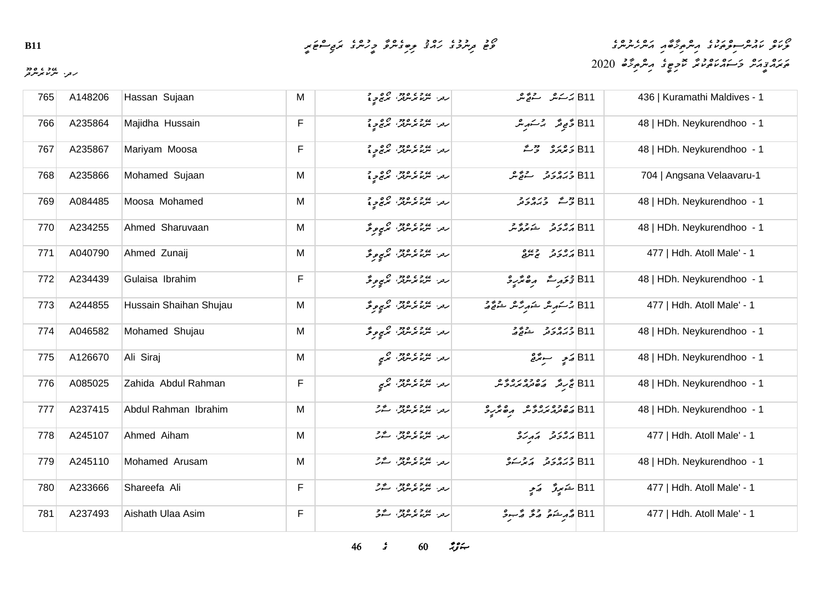*sCw7q7s5w7m< o<n9nOoAw7o< sCq;mAwBoEw7q<m; wBm;vB 2020<sup>, م</sup>وسوق المسجد التحقيق وسرمونية والم*جمع المسجد المسجد المسجد المسجد المسجد المسجد المسجد المسجد المسجد ال

| 765 | A148206 | Hassan Sujaan          | M | رو. عرض معرض من من المرجع بعد المرجع المرجع.<br>المرجود المسرجين المرجع المرجع المرجع المرجع المرجع الم | B11 پرسک میں مقابل                                | 436   Kuramathi Maldives - 1 |
|-----|---------|------------------------|---|---------------------------------------------------------------------------------------------------------|---------------------------------------------------|------------------------------|
| 766 | A235864 | Majidha Hussain        | F | رور برده و ده و ده و د<br>رور شرما مرسولو، مرج و ه                                                      | B11 تۇم تۇر ب <sub>ى</sub> رىشىتە بىر             | 48   HDh. Neykurendhoo - 1   |
| 767 | A235867 | Mariyam Moosa          | F | رور برده و ده و ده و د<br>رور شرما مرسولو، مرج و ه                                                      | B11 كەندىرى تۇش                                   | 48   HDh. Neykurendhoo - 1   |
| 768 | A235866 | Mohamed Sujaan         | M | תו המכשים כדי ישים ב                                                                                    | B11  <i>ۋېزە دى</i> ر سىق ش                       | 704   Angsana Velaavaru-1    |
| 769 | A084485 | Moosa Mohamed          | M | رور به ده ده ده ده د د                                                                                  | B11 تخريفه وبرورونر                               | 48   HDh. Neykurendhoo - 1   |
| 770 | A234255 | Ahmed Sharuvaan        | M | رى شرىر دە دەرە بىرى بولۇ                                                                               | B11 كەبروتىر شەير <i>ۇ</i> تىر                    | 48   HDh. Neykurendhoo - 1   |
| 771 | A040790 | Ahmed Zunaij           | M | رىر. شرىم ترىندى. ترىج ئوگ                                                                              | B11 كەبرىقى ئەتتىقى                               | 477   Hdh. Atoll Male' - 1   |
| 772 | A234439 | Gulaisa Ibrahim        | F | رىر. شرىر مەدەب مى ئەھ ئى                                                                               | B11 تۇنۇرىسى مەھرىرى <i>-</i>                     | 48   HDh. Neykurendhoo - 1   |
| 773 | A244855 | Hussain Shaihan Shujau | M |                                                                                                         | B11 برُسَهرِ مَرَ مُحَمَّدِ كَمَّرَ مُسْتَقَرَّةٍ | 477   Hdh. Atoll Male' - 1   |
| 774 | A046582 | Mohamed Shujau         | M | رى شەھ يەھ ھەر ھې ئورگى                                                                                 | B11 <i>ۋېزودو خوق د</i>                           | 48   HDh. Neykurendhoo - 1   |
| 775 | A126670 | Ali Siraj              | M | رىر. شرە تەرەۋە بىرى                                                                                    | B11  رَمِ سِرْرَةِ                                | 48   HDh. Neykurendhoo - 1   |
| 776 | A085025 | Zahida Abdul Rahman    | F | رى سى د يە ەددەر بىرى                                                                                   | B11 يُحرِمُ صَرَّوْمَ <i>مَرَّدَ جَمَّ</i> رَ     | 48   HDh. Neykurendhoo - 1   |
| 777 | A237415 | Abdul Rahman Ibrahim   | M | رى سىم دەھەر ئەر                                                                                        | B11 مەمەمەم بەرە بەر بەرگە                        | 48   HDh. Neykurendhoo - 1   |
| 778 | A245107 | Ahmed Aiham            | M | رى شەم دەھەر ئەر                                                                                        | B11 <i>הככת הגב</i> ל                             | 477   Hdh. Atoll Male' - 1   |
| 779 | A245110 | Mohamed Arusam         | M | رى سىم دەھەر ھەت                                                                                        | B11 <i>وبزودو م</i> تر من                         | 48   HDh. Neykurendhoo - 1   |
| 780 | A233666 | Shareefa Ali           | F | رى سەم بەدە ھەت كەر                                                                                     | B11  ڪيپو <i>ڙ چ</i> َم                           | 477   Hdh. Atoll Male' - 1   |
| 781 | A237493 | Aishath Ulaa Asim      | F | رى بەد دەھەر ئەد                                                                                        | B11 مَّەرِ شَمَّ مِّدَّ مََّ سِرْدً               | 477   Hdh. Atoll Male' - 1   |

*46 sC 60 nNw?mS*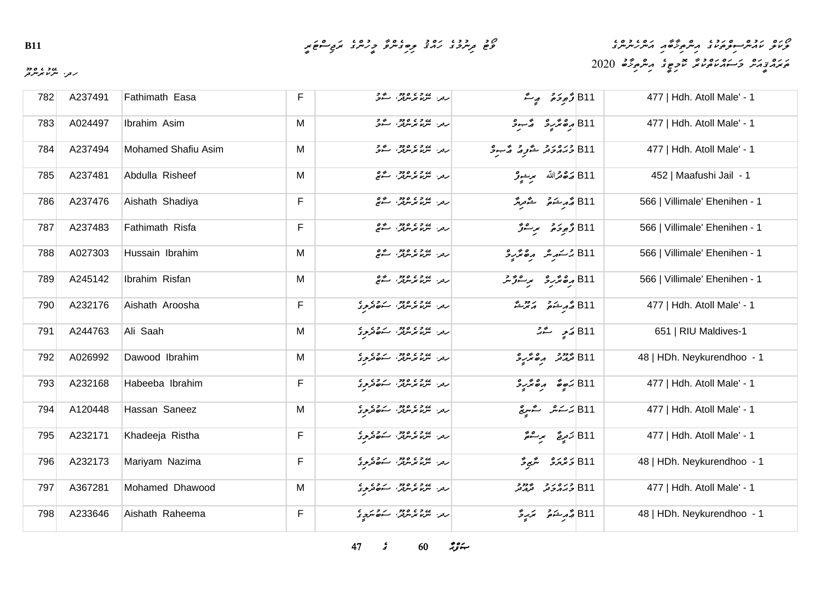*sCw7q7s5w7m< o<n9nOoAw7o< sCq;mAwBoEw7q<m; wBm;vB* م من المرة المرة المرة المرجع المرجع في المركبة 2020<br>مجم*د المريض المربوط المربع المرجع في المراجع المركبة* 

| 782 | A237491 | Fathimath Easa             | F           | رى شەھ ئەھ ئەھ ئەھ                                               | B11 رَّجِودَة – مِيسَّ                                     | 477   Hdh. Atoll Male' - 1    |
|-----|---------|----------------------------|-------------|------------------------------------------------------------------|------------------------------------------------------------|-------------------------------|
| 783 | A024497 | Ibrahim Asim               | М           | رى شەم دەھەر ئەم                                                 | B11 مەھم <i>گىي</i> ى ھەسور                                | 477   Hdh. Atoll Male' - 1    |
| 784 | A237494 | <b>Mohamed Shafiu Asim</b> | М           | رى شەم دەھەر ئەم                                                 | B11 <i>وُبَرُودو حُبُومٌ مُ</i> سِورٌ                      | 477   Hdh. Atoll Male' - 1    |
| 785 | A237481 | Abdulla Risheef            | M           | رى سىم دەھەر ھە                                                  | B11 صَرْحَة مِّرْاللَّهُ مَعْ ِسْوِتْرِ                    | 452   Maafushi Jail - 1       |
| 786 | A237476 | Aishath Shadiya            | F           | رور سرما پرسرور ده وه<br>رور سرما برسرور، سگهج                   | B11 مَ <i>ذہبِ حَمَّمَ</i> حَمَّ <i>دہِ مَّ</i>            | 566   Villimale' Ehenihen - 1 |
| 787 | A237483 | Fathimath Risfa            | $\mathsf F$ | رىر. شەم دەھەر ئەھ                                               | B11 <i>وُّجِوَدَة</i> بِرِسْرَتْرَ                         | 566   Villimale' Ehenihen - 1 |
| 788 | A027303 | Hussain Ibrahim            | M           | رىر. شەم دەھەر ئەھ                                               | B11 برُسَمرِ مَرَّ مِرْهُ مَرْرِدْ                         | 566   Villimale' Ehenihen - 1 |
| 789 | A245142 | Ibrahim Risfan             | M           | رىر. شەم بەرەم بەرە                                              | B11 مەھەرىرى بىر سۇرىتىر                                   | 566   Villimale' Ehenihen - 1 |
| 790 | A232176 | Aishath Aroosha            | F           | رو، شرما بروه در واره بار<br>رو، شرما برسربو، سنحافزوی           | B11 مَدْمِ شَمَعْ مَرْسِمْهُ مَ                            | 477   Hdh. Atoll Male' - 1    |
| 791 | A244763 | Ali Saah                   | M           | رو، شرم بر ده در ده د.<br>رو، شرم برسربو، سن تعروری              | B11 <sub>ه</sub> ر گر                                      | 651   RIU Maldives-1          |
| 792 | A026992 | Dawood Ibrahim             | М           |                                                                  | B11 مُرْمَ <sup>ر</sup> مِرْحَمَّرِ وَ                     | 48   HDh. Neykurendhoo - 1    |
| 793 | A232168 | Habeeba Ibrahim            | F           |                                                                  | B11 بَرْحِرَّة مُتَّارِدْ .                                | 477   Hdh. Atoll Male' - 1    |
| 794 | A120448 | Hassan Saneez              | M           | رتر به دره دود.<br>رتر شرد برسرتر، کشوه تربوی                    | B11 پرسٹر شہریج                                            | 477   Hdh. Atoll Male' - 1    |
| 795 | A232171 | Khadeeja Ristha            | F           | رد. عدد و د ود.<br>رد. شر <i>ی</i> م مرسرفر، ست <i>من فر</i> مود |                                                            | 477   Hdh. Atoll Male' - 1    |
| 796 | A232173 | Mariyam Nazima             | F           | رو، شرد و ده ده ده و د و د<br>رو، شرد برسربر، سکھ تربوی          | B11  دَيْرْتَرْدْ - سَّرْبِرَ دَّ                          | 48   HDh. Neykurendhoo - 1    |
| 797 | A367281 | Mohamed Dhawood            | M           | رو، شرد بره ده.<br>رو، شرد برسربر، سکھ تربوی                     | B11 <i>32023 في الم</i> حدود<br>B11 <i>و برور و تو</i> رمر | 477   Hdh. Atoll Male' - 1    |
| 798 | A233646 | Aishath Raheema            | F           | رد. عدد ده وده در در در د                                        | B11  م <i>ەمبىنى تىرى</i> گ                                | 48   HDh. Neykurendhoo - 1    |

*rgg*<br>مر<sub>قو</sub>، *سم ما بوسر ق*ر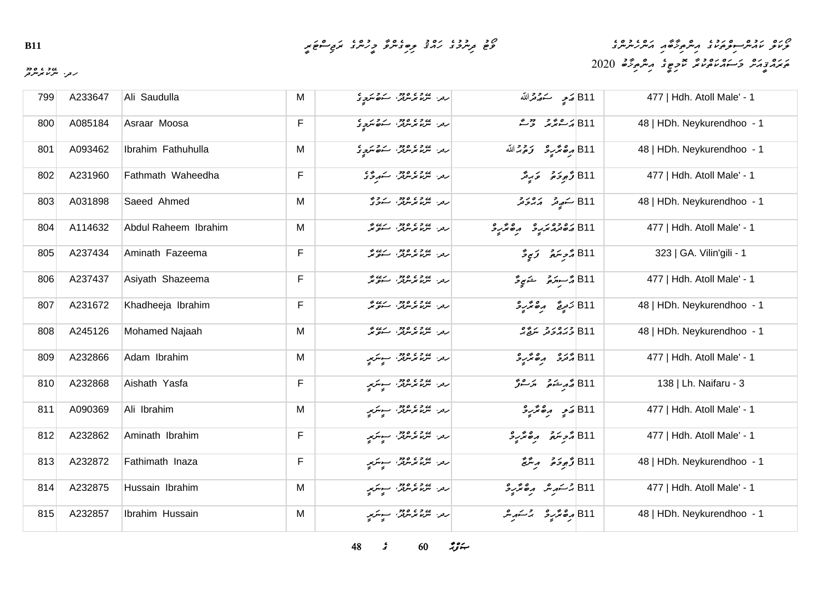*sCw7q7s5w7m< o<n9nOoAw7o< sCq;mAwBoEw7q<m; wBm;vB 2020<sup>, م</sup>وجدة المصرورة المجموعة المستورجة والم*جموعة والمجموعة والمجموعة والمجموعة والمجموعة والمجموعة والمجموعة

| 799 | A233647 | Ali Saudulla         | M | رد برد و ده در در د<br>رد سرد برسربر کشوشرو د       | B11 صَعِي سَتَصَعَّدُاللَّه                               | 477   Hdh. Atoll Male' - 1 |
|-----|---------|----------------------|---|-----------------------------------------------------|-----------------------------------------------------------|----------------------------|
| 800 | A085184 | Asraar Moosa         | F | رد به دره ده در در در د<br>رد شرد برسربر، سوه شرح د | B11 كەشقىقە ئەستە                                         | 48   HDh. Neykurendhoo - 1 |
| 801 | A093462 | Ibrahim Fathuhulla   | M | رد به دره ده در در در د<br>رد شرد برسربر، سوه شرح د | B11 م <i>وڭ ئۇرۇ بىقى</i> 1 كىلە                          | 48   HDh. Neykurendhoo - 1 |
| 802 | A231960 | Fathmath Waheedha    | F | رو. عروج و دو.<br>رو. شریع برسرفر، سکورنو و         | B11 <i>وُّجِ دَمْ</i> گَرِيمٌ                             | 477   Hdh. Atoll Male' - 1 |
| 803 | A031898 | Saeed Ahmed          | M | رو، عاده ۱۶۵۵.<br>رو، شرما برسربس، ساوری            | B11 سَمرٍیْر   ډیرونر                                     | 48   HDh. Neykurendhoo - 1 |
| 804 | A114632 | Abdul Raheem Ibrahim | M | ری بھی وہ مجھود ہوتے ہے۔<br>ری شریع مرسوبی السومی   | B11 בەمەمەر بور مەھرىرى                                   | 477   Hdh. Atoll Male' - 1 |
| 805 | A237434 | Aminath Fazeema      | F | رور، عدد ورود دردنده.<br>رور، شرید برسرفر، سنومجر   | B11  مَّرِسَمَۃُ کَیٖوَّ                                  | 323   GA. Vilin'gili - 1   |
| 806 | A237437 | Asiyath Shazeema     | F | رتر، شروع وود، ربرد بو<br>رتر، شروع شرسرتر، سنومر   | B11 م <i>ەسىبىرى ھەم</i> بىر                              | 477   Hdh. Atoll Male' - 1 |
| 807 | A231672 | Khadheeja Ibrahim    | F | رور، عدد ورود دردنده.<br>رور، شرید برسرفر، سنومجر   | B11  زَمرِيَّ ) رِصْمَّ رِوْ                              | 48   HDh. Neykurendhoo - 1 |
| 808 | A245126 | Mohamed Najaah       | M | رور، عدد ورود دردنده.<br>رور، شرید برسرفر، سنومجر   | B11 <i>وبروبري برق</i> ور                                 | 48   HDh. Neykurendhoo - 1 |
| 809 | A232866 | Adam Ibrahim         | M | رو. عربو و و و .<br>رو. عربو برسرتر، سیسرپر         | B11  المحرق المتحقية التي تحريب تحريب السياسية<br>المستوف | 477   Hdh. Atoll Male' - 1 |
| 810 | A232868 | Aishath Yasfa        | F | رو. عربو و و و .<br>رو. عربو برسرتر، سیسرپر         | B11 مَگْرِسْتَمْ مَرْسْرَتْرَ                             | 138   Lh. Naifaru - 3      |
| 811 | A090369 | Ali Ibrahim          | M | رو. ۶۶۵ و ۶۶۵ سومتریر                               | B11 <i>ړې د هغ</i> رب <sup>و</sup>                        | 477   Hdh. Atoll Male' - 1 |
| 812 | A232862 | Aminath Ibrahim      | F | رو. عدد وه وو.<br>رو. عربو برسرتر، سيسرير           | B11  مَّحِسَمُ مِهْتَرِ وُ                                | 477   Hdh. Atoll Male' - 1 |
| 813 | A232872 | Fathimath Inaza      | F | ری عدد و ده وه<br>ری شرح مرسوبی اسپوس               | B11 <i>وَّجوحَ</i> هُمَّ مِتَّتَمَّ                       | 48   HDh. Neykurendhoo - 1 |
| 814 | A232875 | Hussain Ibrahim      | M | رو. عدد و و و و .<br>رو. عربو برسرتر، سیسرپر        | B11 برُسَمبِ مَر مِرة مَرْرِدْ                            | 477   Hdh. Atoll Male' - 1 |
| 815 | A232857 | Ibrahim Hussain      | M | رو. عدد ۶۶۵ و.<br>دو. سرد برسرتر، سوسرپر            | B11 مەھەرىپ قىمىسى ئىسكىرىش                               | 48   HDh. Neykurendhoo - 1 |

*rgg*<br>مر<sub>قو</sub>، *سم ما بوسر ق*ر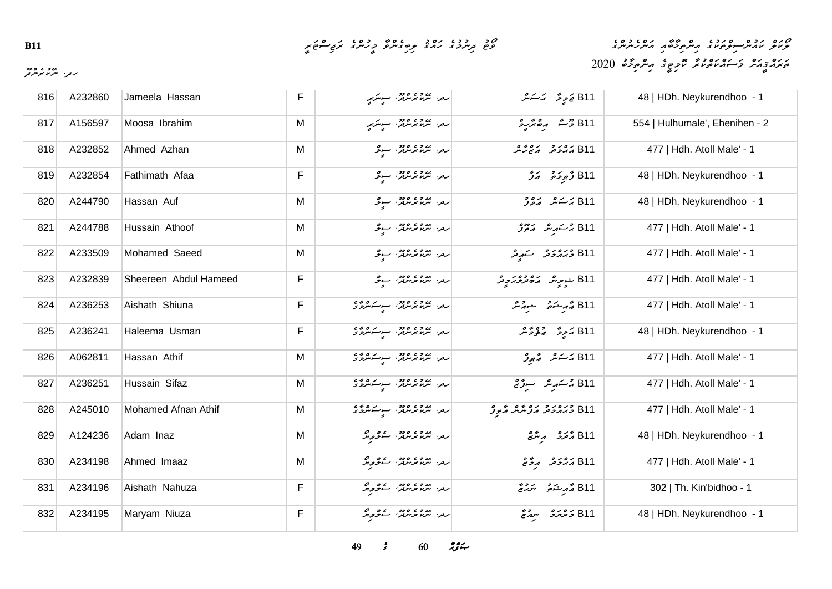*sCw7q7s5w7m< o<n9nOoAw7o< sCq;mAwBoEw7q<m; wBm;vB* م من المرة المرة المرة المرجع المرجع في المركبة 2020<br>مجم*د المريض المربوط المربع المرجع في المراجع المركبة* 

| 816 | A232860 | Jameela Hassan        | F           | رىر. شرە برىرىش. سوسىپر                                                | B11  ت <sub>ح</sub> ج بحر بمر شر شر        | 48   HDh. Neykurendhoo - 1     |
|-----|---------|-----------------------|-------------|------------------------------------------------------------------------|--------------------------------------------|--------------------------------|
| 817 | A156597 | Moosa Ibrahim         | M           | رىر. شرە برىرىش. سوسىپر                                                | B11 تۇنئە بەھ <i>ت</i> رىبى                | 554   Hulhumale', Ehenihen - 2 |
| 818 | A232852 | Ahmed Azhan           | M           | رىر. شرىر برود. سوڭ                                                    | B11 كەبرى قىر كەنگەر تەرەپلەر              | 477   Hdh. Atoll Male' - 1     |
| 819 | A232854 | Fathimath Afaa        | $\mathsf F$ | رو، سرما برسرو، سوتو                                                   | B11 <i>وُّجِ وَحُمَّةَ مَرَوُّ</i>         | 48   HDh. Neykurendhoo - 1     |
| 820 | A244790 | Hassan Auf            | M           | رو. بیره برمرو.<br>رو. مرد برمرو.                                      | B11 پرستر پروژ                             | 48   HDh. Neykurendhoo - 1     |
| 821 | A244788 | Hussain Athoof        | M           | رور، شر <i>وره ووه</i><br>رور، شر <i>و پر</i> شرفر، سوئر               | B11 برڪه مه صحوفر                          | 477   Hdh. Atoll Male' - 1     |
| 822 | A233509 | Mohamed Saeed         | M           | رو. سرما برسرو. سوی                                                    | B11 <i>\$22.25 مىن مى</i> ر                | 477   Hdh. Atoll Male' - 1     |
| 823 | A232839 | Sheereen Abdul Hameed | F           | رو، سرما برسوبی، سوبی                                                  | B11 خېرېنز پرېوروپورې چې <mark>B1</mark> 1 | 477   Hdh. Atoll Male' - 1     |
| 824 | A236253 | Aishath Shiuna        | F           | رو. مورد برود و در درد و د                                             | B11 مَ <i>ذْمِرْ حَدَّمَ</i> حَسِيرٌ مَّرَ | 477   Hdh. Atoll Male' - 1     |
| 825 | A236241 | Haleema Usman         | F           | ری می و د وجود است شور و د د                                           | B11 بَرْمٍوَ * مَنْ وَمَمْر                | 48   HDh. Neykurendhoo - 1     |
| 826 | A062811 | Hassan Athif          | M           | رو. م <i>وره ۱۶۶۵</i><br>رو. م <i>ورا بو</i> مبرتو، سوسک <i>مبرو</i> ی | B11 ئەسەنلەر م <i>ەبب</i> ۇ                | 477   Hdh. Atoll Male' - 1     |
| 827 | A236251 | Hussain Sifaz         | M           | رو، شرح عروه مسیر شوره در د                                            | B11 پرسٹمبریٹر سو <i>ڑ</i> یج              | 477   Hdh. Atoll Male' - 1     |
| 828 | A245010 | Mohamed Afnan Athif   | M           | رو، سرما بره ده در ۱۶۵۵<br>رو، سرما برسرفر، سوسکسرو و                  | B11 <i>دېم ده ده پره چې</i> و              | 477   Hdh. Atoll Male' - 1     |
| 829 | A124236 | Adam Inaz             | M           | رى شەم دەھەر مەھ ھە                                                    | B11 مَرْمَرْدَ مِتَّرَجْ                   | 48   HDh. Neykurendhoo - 1     |
| 830 | A234198 | Ahmed Imaaz           | M           | رى شەم دەھەر يەھ بەھ                                                   | B11 كەندى ھەرىجى چ                         | 477   Hdh. Atoll Male' - 1     |
| 831 | A234196 | Aishath Nahuza        | F           | رى شەم دەھەر مەھ ھە                                                    | B11 مَدْمِرِ حَسَنَ مَرَكَبَةً             | 302   Th. Kin'bidhoo - 1       |
| 832 | A234195 | Maryam Niuza          | F           | رى شەم دەھەر يەھ بەھ                                                   | B11   <i>5 بروگر مرم<sup>2</sup>ن</i> گر   | 48   HDh. Neykurendhoo - 1     |

*49 sC 60 nNw?mS*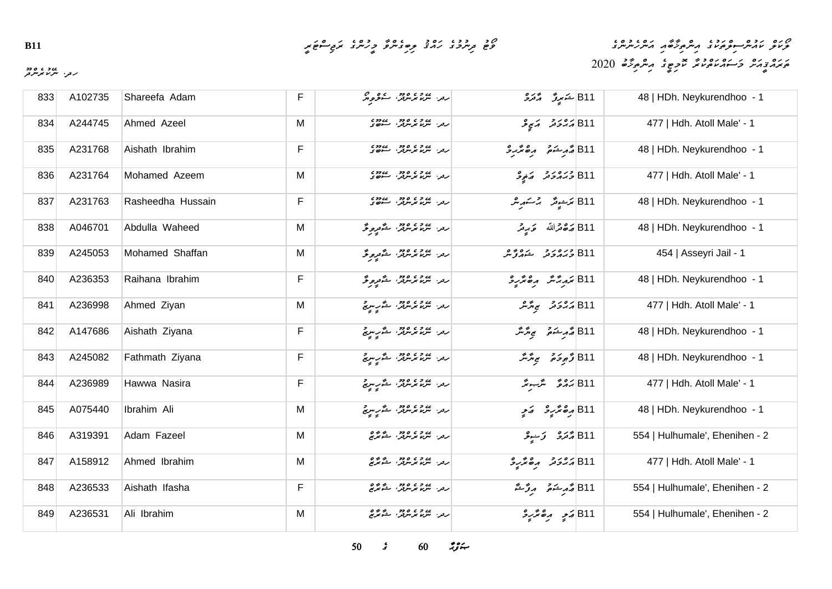*sCw7q7s5w7m< o<n9nOoAw7o< sCq;mAwBoEw7q<m; wBm;vB* م من المرة المرة المرة المرجع المرجع في المركبة 2020<br>مجم*د المريض المربوط المربع المرجع في المراجع المركبة* 

| 833 | A102735 | Shareefa Adam     | F | رىر. شرىم برسرىر، سەنۇبويىر                                 | B11 ڪمبرڙ گ <sup>و</sup> ترو           | 48   HDh. Neykurendhoo - 1     |
|-----|---------|-------------------|---|-------------------------------------------------------------|----------------------------------------|--------------------------------|
| 834 | A244745 | Ahmed Azeel       | M | رور، عدد ورود.<br>رور، ش <i>ریر بر</i> سربر، سو <i>ده ی</i> | B11   كەش <sup>ى</sup> كەلىم ئەسپى تىر | 477   Hdh. Atoll Male' - 1     |
| 835 | A231768 | Aishath Ibrahim   | F | ردر عدد و دود.<br>ردر شر <i>یر پرسر</i> تر، سو <i>ه</i> و   | B11 مَّ مِشَمَّ مِنْ مَّتَ بِرِيْحِ    | 48   HDh. Neykurendhoo - 1     |
| 836 | A231764 | Mohamed Azeem     | M | رور، عدد ورود، دود دوده<br>رور، سربر مرسوفر، سوده و         | B11 <i>وبروزيز مكف</i> ور              | 477   Hdh. Atoll Male' - 1     |
| 837 | A231763 | Rasheedha Hussain | F | رتر، شرح پر دوم در دی.<br>رتر، شریع مرسوتر، سوره ی          | B11 بَرَحْمِةً كَرَكْتَهِيْتُر         | 48   HDh. Neykurendhoo - 1     |
| 838 | A046701 | Abdulla Waheed    | M | رىر. شرىر برسرىر، ئەھرەر ئى                                 | B11 مَەھىراللە     مَ بِىتر            | 48   HDh. Neykurendhoo - 1     |
| 839 | A245053 | Mohamed Shaffan   | M |                                                             | B11 <i>جەمەدىر</i> شە <i>مۇ</i> تر     | 454   Asseyri Jail - 1         |
| 840 | A236353 | Raihana Ibrahim   | F | رىر. شەم برسرىر، ئىشمىرە ئى                                 | B11 ىزىرتىگە بەھ ئ <sup>ۇر</sup> 3     | 48   HDh. Neykurendhoo - 1     |
| 841 | A236998 | Ahmed Ziyan       | M | رو. ۶۶۵ مرموثر، ڪريس                                        | B11 كەبرى قىر سى ئارىس                 | 477   Hdh. Atoll Male' - 1     |
| 842 | A147686 | Aishath Ziyana    | F | رىر. شرىم برسرى مەشرىس                                      | B11 مەم ھۇس سى ئارىگە                  | 48   HDh. Neykurendhoo - 1     |
| 843 | A245082 | Fathmath Ziyana   | F | رىر. شرىر مەدەر. ھەرسرى                                     | B11 ۇ <sub>ج</sub> وڭ ئېرگىگە          | 48   HDh. Neykurendhoo - 1     |
| 844 | A236989 | Hawwa Nasira      | F | رىر. شرىم برسرى مەشرىس                                      | B11 بَرْدُوٌ سَمَّ بِرَ بَرُّ          | 477   Hdh. Atoll Male' - 1     |
| 845 | A075440 | Ibrahim Ali       | M | رىر. شرىر مەدەر. ھەرسرچ                                     | B11 <sub>م</sub> ەممەر تەرەپە          | 48   HDh. Neykurendhoo - 1     |
| 846 | A319391 | Adam Fazeel       | M |                                                             | B11 پژترو تخ سیده .                    | 554   Hulhumale', Ehenihen - 2 |
| 847 | A158912 | Ahmed Ibrahim     | M | رور، ۶۶۵ وج در ۱۶۶۵.<br>رور، شریع مرسوفر، شومریخ            | B11   دَيْرَى مَدْ مِنْ مِرْدِيْ       | 477   Hdh. Atoll Male' - 1     |
| 848 | A236533 | Aishath Ifasha    | F | رى بەدە 300 مەدە<br>رى ش تەرىپى ئىستى                       | B11 مَگْرِسْدَة گُرِرَّسَة ِ           | 554   Hulhumale', Ehenihen - 2 |
| 849 | A236531 | Ali Ibrahim       | M | رور، شروع ووو.<br>رور، شریر مرسرتر، ڪويريج                  | B11 <i>ھَ۔ م</i> ِ مُحَمَّدٍ مَحَ      | 554   Hulhumale', Ehenihen - 2 |

*rgg*<br>مر<sub>قو</sub>، *سم ما بوسر ق*ر

 $50$  *s*  $60$  *z* $3\frac{3}{5}$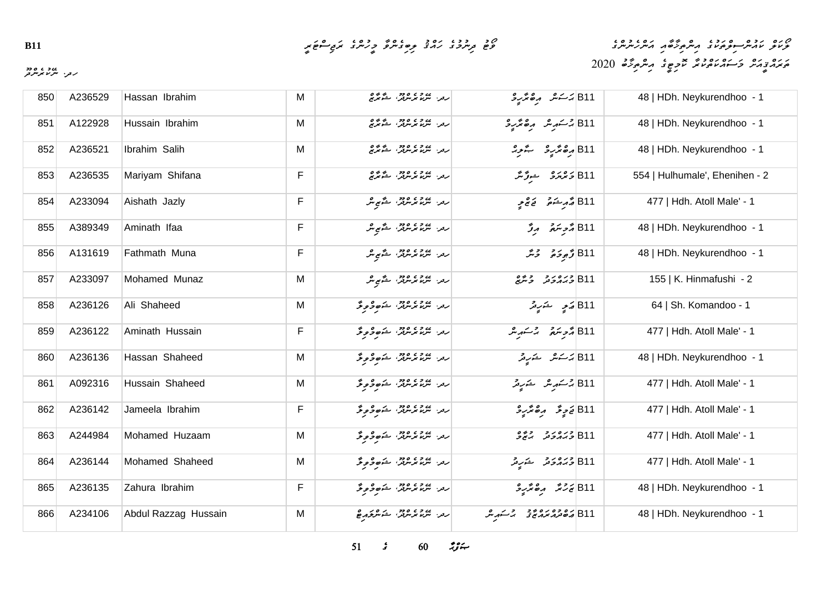*sCw7q7s5w7m< o<n9nOoAw7o< sCq;mAwBoEw7q<m; wBm;vB* م من المرة المرة المرة المرجع المرجع في المركبة 2020<br>مجم*د المريض المربوط المربع المرجع في المراجع المركبة* 

| <b>33 O L ILL</b><br>برفرء اسربم مرشرقر |  |
|-----------------------------------------|--|
|                                         |  |

| 850 | A236529 | Hassan Ibrahim       | M           | رو، شهر و و دو.<br>رو، شهر برس برابر، شهر برج | B11   يَرْسَسْ مِنْ مِرْسِرْ د                  | 48   HDh. Neykurendhoo - 1     |
|-----|---------|----------------------|-------------|-----------------------------------------------|-------------------------------------------------|--------------------------------|
| 851 | A122928 | Hussain Ibrahim      | M           |                                               | B11 برُسَمبر مَرْ مِرْهُ بَرْرِدْ               | 48   HDh. Neykurendhoo - 1     |
| 852 | A236521 | Ibrahim Salih        | M           |                                               | B11 رەئزى <sub>ر</sub> ۇ س <sup>ې</sup> رىر     | 48   HDh. Neykurendhoo - 1     |
| 853 | A236535 | Mariyam Shifana      | $\mathsf F$ | رى شەم بەرەمەس ئەم بەر                        | B11   <i>5 بىرتى ھۆتىگ</i>                      | 554   Hulhumale', Ehenihen - 2 |
| 854 | A233094 | Aishath Jazly        | F           | رىر. شرىر مەدەر. ئىش شەر                      | B11 مَگْرِسْتَمْ کَمْ مِجْ مِ                   | 477   Hdh. Atoll Male' - 1     |
| 855 | A389349 | Aminath Ifaa         | $\mathsf F$ | رىر. شرىر برەدى. ئىش ش                        | B11 مَّ مِتَمَّد مِرَّ                          | 48   HDh. Neykurendhoo - 1     |
| 856 | A131619 | Fathmath Muna        | F           | رىر. ش <i>ەھ 2005،</i> ھەسىر بىر              | B11 <i>ؤج</i> و <i>ح</i> ق قرش                  | 48   HDh. Neykurendhoo - 1     |
| 857 | A233097 | Mohamed Munaz        | M           | رىر. شرىر مەدەر. ئىش شەر                      | B11 <i>ڈیزون</i> وٹر کارندی                     | 155   K. Hinmafushi - 2        |
| 858 | A236126 | Ali Shaheed          | M           | رىر. شرىر مەدەر. شەھ ۋە ئ                     | B11  کی جو سکوپٹر                               | 64   Sh. Komandoo - 1          |
| 859 | A236122 | Aminath Hussain      | F           | رد. مرد برمزد. شخص و و گ                      | B11 مَجِسَعَةِ مِحْسَبِيقِ                      | 477   Hdh. Atoll Male' - 1     |
| 860 | A236136 | Hassan Shaheed       | M           | رد. شر برسربر، ڪوڻ وگر                        | B11   پرسترشر کے میں مقرر تھ                    | 48   HDh. Neykurendhoo - 1     |
| 861 | A092316 | Hussain Shaheed      | M           | رد. شر برسربر، ڪوڻ وگر                        | B11  پرسکه پنگه مشریقر                          | 477   Hdh. Atoll Male' - 1     |
| 862 | A236142 | Jameela Ibrahim      | F           | رى دە دە دەھ ئەھ ۋە ئە                        | B11  ق د پونژ - مرگ مرگ درگر                    | 477   Hdh. Atoll Male' - 1     |
| 863 | A244984 | Mohamed Huzaam       | M           | رى دە دە دەھ ئىھ ۋە ئە                        | B11 <i>ورەرو دې</i> و                           | 477   Hdh. Atoll Male' - 1     |
| 864 | A236144 | Mohamed Shaheed      | M           | رد. مرد برمزد. شکھ و و گ                      | B11 <i>وُبَرُمْ</i> دُوَمُرَ شَرِيْرُ           | 477   Hdh. Atoll Male' - 1     |
| 865 | A236135 | Zahura Ibrahim       | F           | رى شەد ، ەدە ئەھ ۋە ئ                         | B11 ىزىر مەمۇرو                                 | 48   HDh. Neykurendhoo - 1     |
| 866 | A234106 | Abdul Razzag Hussain | M           | رو. شرع مرسرين، ڪشريز ۾ ه                     | B11 <sub>م</sub> ەھ <i>قرە بىرە بۇ</i> تەرگىرىش | 48   HDh. Neykurendhoo - 1     |

 $51$  *s*  $60$  *n***<sub>s</sub>** $\frac{2}{5}$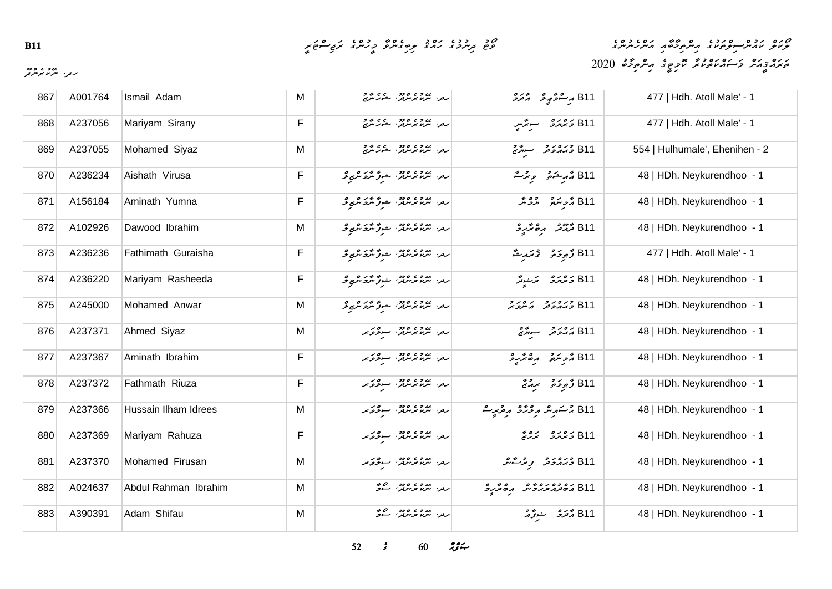*sCw7q7s5w7m< o<n9nOoAw7o< sCq;mAwBoEw7q<m; wBm;vB* م من المرة المرة المرة المرجع المرجع في المركبة 2020<br>مجم*د المريض المربوط المربع المرجع في المراجع المركبة* 

| 867 | A001764 | Ismail Adam          | M | رور، عربر مربور، عبد عبد و<br>روز، عربر مربورته، عشور مربع | B11 م سىۋە بۇ ھەرۋ                        | 477   Hdh. Atoll Male' - 1     |
|-----|---------|----------------------|---|------------------------------------------------------------|-------------------------------------------|--------------------------------|
| 868 | A237056 | Mariyam Sirany       | F | ري عدد ۽ ووڊ ڪري پر د<br>ري عرب عربي تي عربي               | B11 5عم <i>دد</i> و سومڈسی                | 477   Hdh. Atoll Male' - 1     |
| 869 | A237055 | Mohamed Siyaz        | M | رىر. شەم تەرەم.<br>رىن: شەم تەرىپەتەر، ئىشەر شىخ           | B11 دېرونو سه دي                          | 554   Hulhumale', Ehenihen - 2 |
| 870 | A236234 | Aishath Virusa       | F | رىر. شرىر مەدە. ھەرگەر شەھرىرى كە                          | B11 مَگْرِسْنَعْرِ وِيْرِسَّە             | 48   HDh. Neykurendhoo - 1     |
| 871 | A156184 | Aminath Yumna        | F | رى دەھ ھەر بۇ ئەرگەن ئور                                   | B11 مَّ مِسَع مَّ مَرْحَسَّ               | 48   HDh. Neykurendhoo - 1     |
| 872 | A102926 | Dawood Ibrahim       | M | رو. ۵۶۵۷ مرد ده. شونو شرح شرح و                            | B11 مَ <i>زْمَة م</i> ُ مُعَرَّرِ دُ      | 48   HDh. Neykurendhoo - 1     |
| 873 | A236236 | Fathimath Guraisha   | F | رو. مرد و و و دو. دو گرگر شرح و                            | B11 <i>وَّجِ دَمَّةَ تَحْمَدِ</i> حَمَّةَ | 477   Hdh. Atoll Male' - 1     |
| 874 | A236220 | Mariyam Rasheeda     | F | رو. مرد و و و دو. دو گرگر شرح و                            | B11  وَجْهَزَةُ - بَرَحْبِيْرٌ            | 48   HDh. Neykurendhoo - 1     |
| 875 | A245000 | Mohamed Anwar        | M | رىر. شرىر مرسرىن، ھوۋىترى شرىج ئى                          | B11 ديرونه په پرونډ                       | 48   HDh. Neykurendhoo - 1     |
| 876 | A237371 | Ahmed Siyaz          | M | رد. ۶۶۵ در ۲۵۰۰.<br>رد. ترد برمزش سونونو بر                | B11 كەبرى قىر سىزىتى بىر                  | 48   HDh. Neykurendhoo - 1     |
| 877 | A237367 | Aminath Ibrahim      | F | رد. ۶۶۵ در دو.<br>رد. ترد برمزد. سوتوکار                   | B11 مُتَّحِسَمُ مِنْ مُرْبِرْ و           | 48   HDh. Neykurendhoo - 1     |
| 878 | A237372 | Fathmath Riuza       | F | رد. ۶۶۵ در مربوری سوبرو بر                                 | B11 تَرْجِوحَة مُسِيرَةً مَنْ             | 48   HDh. Neykurendhoo - 1     |
| 879 | A237366 | Hussain Ilham Idrees | M | رد. ۶۶۵ در ۱۳۵۶.<br>رد. تر دیدبرتر، سودگاند                |                                           | 48   HDh. Neykurendhoo - 1     |
| 880 | A237369 | Mariyam Rahuza       | F | رد. نتزید برسود. سودگار                                    | B11 كابر برويج                            | 48   HDh. Neykurendhoo - 1     |
| 881 | A237370 | Mohamed Firusan      | M | رد. عربه برمزد. سودگار                                     | B11 دېرونر بېرشهر                         | 48   HDh. Neykurendhoo - 1     |
| 882 | A024637 | Abdul Rahman Ibrahim | M | رىر. شەم بەرەم مەم                                         | B11 ره ده ده ده شهره محمد ده محمد د       | 48   HDh. Neykurendhoo - 1     |
| 883 | A390391 | Adam Shifau          | M | رىر. شەم بەرەم مەم                                         | B11 مُرترد مورٌ مُ                        | 48   HDh. Neykurendhoo - 1     |

*rgg*<br>مر<sub>قو</sub>، *سم ما بوسر ق*ر

 $52$  *s*  $60$  *z* $3\frac{3}{5}$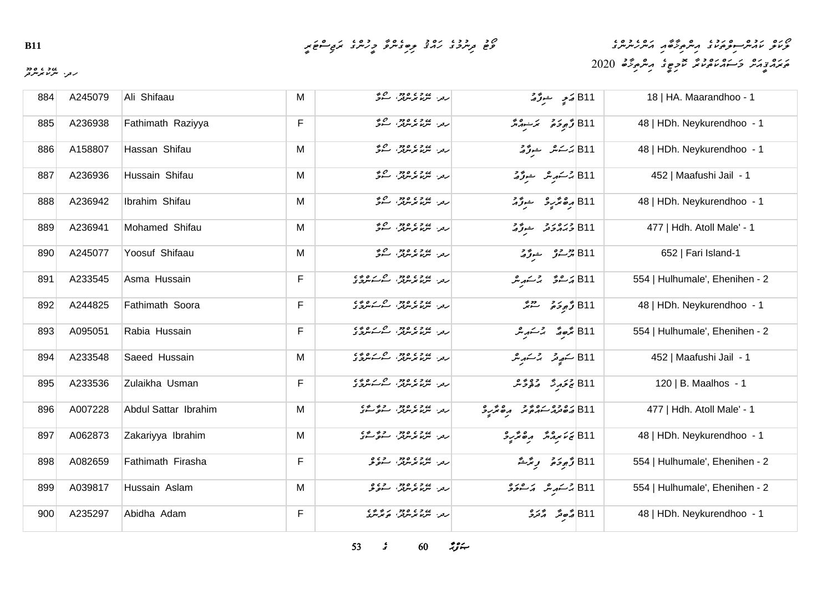*sCw7q7s5w7m< o<n9nOoAw7o< sCq;mAwBoEw7q<m; wBm;vB* م من المرة المرة المرة المرجع المرجع في المركبة 2020<br>مجم*د المريض المربوط المربع المرجع في المراجع المركبة* 

| <b>33 O L 3 UL</b> |                         |
|--------------------|-------------------------|
|                    | برفرد العربلا مرتعز فرا |
|                    |                         |

| 884 | A245079 | Ali Shifaau          | M           | ریں شر <i>یا بر سربی کے م</i> ج                           | B11  رَمِ ِ سُوَرَّرُ                          | 18   HA. Maarandhoo - 1        |
|-----|---------|----------------------|-------------|-----------------------------------------------------------|------------------------------------------------|--------------------------------|
| 885 | A236938 | Fathimath Raziyya    | $\mathsf F$ | رى بەد ، ەدە بەي                                          | B11 ۇ <sub>ج</sub> وڭ <sub>مۇ</sub> بەينىدە ئى | 48   HDh. Neykurendhoo - 1     |
| 886 | A158807 | Hassan Shifau        | M           | رى شەم بەھەر ھەت                                          | B11 بَرَسَسٌ سُوَرَّةٌ.                        | 48   HDh. Neykurendhoo - 1     |
| 887 | A236936 | Hussain Shifau       | M           | رو. عربر برسرو. همچ                                       | B11 برسکه شرگه شوگه                            | 452   Maafushi Jail - 1        |
| 888 | A236942 | Ibrahim Shifau       | M           | رى بەد ، ەدە بەي                                          | B11 مەھمگەر ھەمۇم                              | 48   HDh. Neykurendhoo - 1     |
| 889 | A236941 | Mohamed Shifau       | M           | رى بەد ، ەدە بەي                                          | B11 <i>3525 شوۋە</i>                           | 477   Hdh. Atoll Male' - 1     |
| 890 | A245077 | Yoosuf Shifaau       | M           | ریں سر دے وجود ہے کہ ج                                    | B11 پر کشور شوگر پر                            | 652   Fari Island-1            |
| 891 | A233545 | Asma Hussain         | F           | رىر. يورو دەھ كەسكەرگە ئ                                  | B11  كاشىق ئەسىرىتىر                           | 554   Hulhumale', Ehenihen - 2 |
| 892 | A244825 | Fathimath Soora      | $\mathsf F$ | رو، سرد برودو، ده در ۱۵ در ۱۵<br>رو، سرد برسرفر، سوستربری | B11 ۇ <sub>جو</sub> رۇ ھ                       | 48   HDh. Neykurendhoo - 1     |
| 893 | A095051 | Rabia Hussain        | F           | رى يەم دەھ ھەك ئەر                                        | B11 بَرْھ <i>وڈ بُرْسَورِیْر</i>               | 554   Hulhumale', Ehenihen - 2 |
| 894 | A233548 | Saeed Hussain        | M           | رى سىم دەھەر ھەر ئەھ دە                                   | B11  سَموِتْر کے سَمب <sup>ا</sup> ر           | 452   Maafushi Jail - 1        |
| 895 | A233536 | Zulaikha Usman       | $\mathsf F$ | در سره ده وده در ۱۵ ورو د<br>روز سره مرسرفر، کشور سرو د   | B11 يح تر پر پی چ چې شر                        | 120   B. Maalhos - 1           |
| 896 | A007228 | Abdul Sattar Ibrahim | M           | رو. سربر و دو. ده و و د<br>رو. سربر برسربر، سوگرسوی       | B11 رەمەرە سەھ ئەر مەھمىر ق                    | 477   Hdh. Atoll Male' - 1     |
| 897 | A062873 | Zakariyya Ibrahim    | M           | رى بەد ، ەەد - دە - دە<br>رى - سرىر بىر سرىي - سوڭ سۇر    | B11 ئ <i>ے ئىمبرمگە مەھگرى</i> 3               | 48   HDh. Neykurendhoo - 1     |
| 898 | A082659 | Fathimath Firasha    | F           | رد. ۶۵،۰۰۰ وج.<br>رد. ش پرسرټر، سور تر                    | B11 وَجِوَدَةُ وِيَرْشَ                        | 554   Hulhumale', Ehenihen - 2 |
| 899 | A039817 | Hussain Aslam        | M           |                                                           | B11 بڑے پہلا کا کا بھی تھا۔<br>ا               | 554   Hulhumale', Ehenihen - 2 |
| 900 | A235297 | Abidha Adam          | F           | رو. عدد ده در در ده.<br>رو. سربا برسرفر، می برسری         | B11 مُتَّصِعٌ مُحَمَّدٌ                        | 48   HDh. Neykurendhoo - 1     |

 $53$   $5$   $60$   $\frac{6}{50}$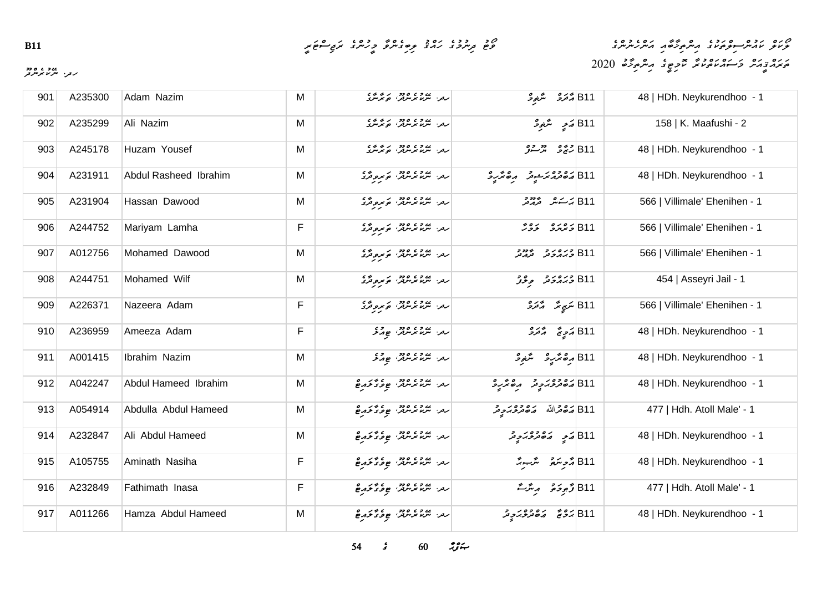*sCw7q7s5w7m< o<n9nOoAw7o< sCq;mAwBoEw7q<m; wBm;vB* م من المرة المرة المرة المرجع المرجع في المركبة 2020<br>مجم*د المريض المربوط المربع المرجع في المراجع المركبة* 

| 901 | A235300 | Adam Nazim            | M | رو. عود دو در دود.<br>رو. ش ترس سربر الله عرض                        | B11 مُرترد مُعَ د                                    | 48   HDh. Neykurendhoo - 1    |
|-----|---------|-----------------------|---|----------------------------------------------------------------------|------------------------------------------------------|-------------------------------|
| 902 | A235299 | Ali Nazim             | M | رو. عرو و و دو د و و و و<br>رو. شریا مرسوفر، م مرس                   | B11  رَمٍ سَمْوِرٌ                                   | 158   K. Maafushi - 2         |
| 903 | A245178 | Huzam Yousef          | M |                                                                      | B11 رُبِّيْ بِهِ مَرْتَبُو                           | 48   HDh. Neykurendhoo - 1    |
| 904 | A231911 | Abdul Rasheed Ibrahim | M | رو. ده و ده وده در در و در<br>رو. سرد برس و.                         | B11  مەھەرە مۇسومۇ بەھەتگەر 2                        | 48   HDh. Neykurendhoo - 1    |
| 905 | A231904 | Hassan Dawood         | M | رو. ده و ده ود .<br>رو. شر <i>ما برس ب</i> ر، ه <sub>و</sub> بره ترد | B11 پرسەش قرەرتىر                                    | 566   Villimale' Ehenihen - 1 |
| 906 | A244752 | Mariyam Lamha         | F | رو. به ده و ده د .<br>رو. شرح مرس و گروه و مرد                       | B11  دَيْرَيْرْ وَيْرَ وَيْر                         | 566   Villimale' Ehenihen - 1 |
| 907 | A012756 | Mohamed Dawood        | M | رو. عروج ۵۶۵ م.<br>رو. شریع مرس پس کو مربع فرو                       | B11 <i>ڈبزہ</i> دی میں میں<br>11 ڈ <i>بزہ</i> دی میں | 566   Villimale' Ehenihen - 1 |
| 908 | A244751 | Mohamed Wilf          | M | رو. عدد و ده در در در در در در ایران<br>رو. شرح مرس بر کم مرح فرد    | B11  <i>وَبَرُوْدَوْ وِوْ</i> زْ                     | 454   Asseyri Jail - 1        |
| 909 | A226371 | Nazeera Adam          | F | رو. ده و ده ود.<br>رو. شر <i>ما برس بل</i> کو بره تری                | B11  سَمِي تَمَد مَقْرَةَ .                          | 566   Villimale' Ehenihen - 1 |
| 910 | A236959 | Ameeza Adam           | F | ג <sup>נ</sup> גי ש <i>נו אייניקי פ</i> רב                           | B11 كەرچ گەترى                                       | 48   HDh. Neykurendhoo - 1    |
| 911 | A001415 | Ibrahim Nazim         | M | رور برده وده و و و و و د                                             | B11  مِرْحْمَّرِ وَ _ مَّهْرِ وَ                     | 48   HDh. Neykurendhoo - 1    |
| 912 | A042247 | Abdul Hameed Ibrahim  | M | رد. عدد عدد و عدد و                                                  | B11 בֿיפּיבּבּבְבַיב הַפּיבֿֿיַבַ                    | 48   HDh. Neykurendhoo - 1    |
| 913 | A054914 | Abdulla Abdul Hameed  | M | رد شرما برسرد المحور و در ه                                          | B11 رَصْوَلاً لله مَصْعَرْمَ رَوْمَرْ                | 477   Hdh. Atoll Male' - 1    |
| 914 | A232847 | Ali Abdul Hameed      | M | رو به ده ده ده ده در ه<br>رو سرد برس در ع و د څرم ه                  | B11 كەير بەھەرى <i>جەد</i> وتر                       | 48   HDh. Neykurendhoo - 1    |
| 915 | A105755 | Aminath Nasiha        | F | رد شرما برسرد المحور و در ه                                          | B11 مُرْمِسَمُ مُسْبِسُهُ                            | 48   HDh. Neykurendhoo - 1    |
| 916 | A232849 | Fathimath Inasa       | F | رو به ده ده ده ده در ه<br>رو سرد برس در ع و د څرم ه                  | B11 وَجِوحَةُ مِسَرَّتَهُ                            | 477   Hdh. Atoll Male' - 1    |
| 917 | A011266 | Hamza Abdul Hameed    | M | ردر مرد بر دود و عدد ده                                              | B11 يَرْوَجُ - مَرْهُ مَرْوَرَ رِمْرَ                | 48   HDh. Neykurendhoo - 1    |

 $54$  **s**  $60$  *i***<sub>s</sub>** $\frac{2}{5}$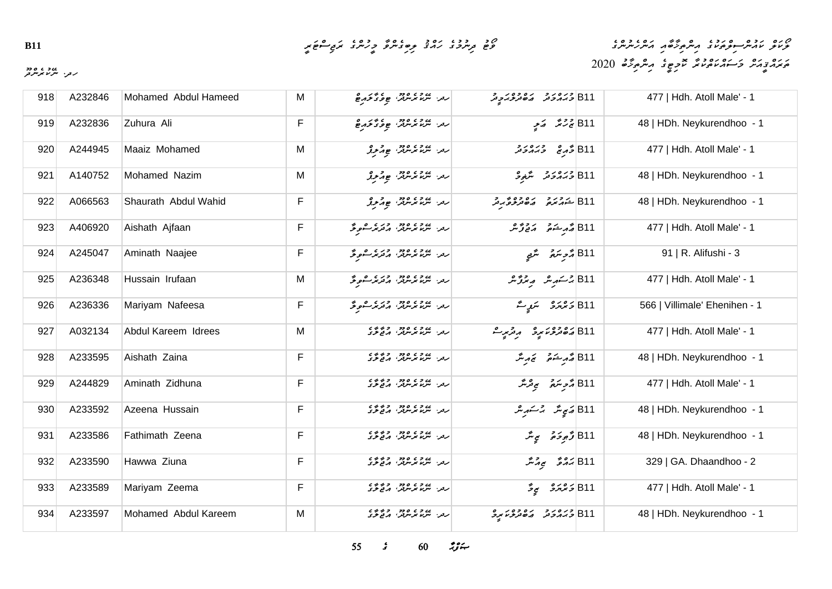*sCw7q7s5w7m< o<n9nOoAw7o< sCq;mAwBoEw7q<m; wBm;vB* م من المرة المرة المرة المرجع المرجع في المركبة 2020<br>مجم*د المريض المربوط المربع المرجع في المراجع المركبة* 

| 2206 |                     |
|------|---------------------|
|      | برفرء اسرتنا مرسرقر |
|      |                     |

| 918 | A232846 | Mohamed Abdul Hameed | м           | رور برد ودود ج و د مرد ع                                                | B11   <i>3 جەمگە قەھەمگە قەرى</i> رىيەتىر | 477   Hdh. Atoll Male' - 1    |
|-----|---------|----------------------|-------------|-------------------------------------------------------------------------|-------------------------------------------|-------------------------------|
| 919 | A232836 | Zuhura Ali           | F           | ردر سر مرسر در هموگر در ه                                               | B11  يح <sup>2</sup> پھر تھ پر            | 48   HDh. Neykurendhoo - 1    |
| 920 | A244945 | Maaiz Mohamed        | M           | رى شرىم برسرى ھەجو                                                      | B11 <i>ڈم</i> ی تح <i>د محمد ح</i> قر     | 477   Hdh. Atoll Male' - 1    |
| 921 | A140752 | Mohamed Nazim        | M           |                                                                         | B11 <i>وَبَرْدُوَنَوْ سُمْہِ</i> وْ       | 48   HDh. Neykurendhoo - 1    |
| 922 | A066563 | Shaurath Abdul Wahid | F           | رى شرىم برسرى ھەجمجە                                                    | B11 خەم <i>بىرە دە بەرە د</i>             | 48   HDh. Neykurendhoo - 1    |
| 923 | A406920 | Aishath Ajfaan       | $\mathsf F$ | رو سرد برده ور و د و شورد.<br>رو سرد برسرو از در در سورت                | B11 مُگْرِسْتَمْ مَگْرُسْ                 | 477   Hdh. Atoll Male' - 1    |
| 924 | A245047 | Aminath Naajee       | F           | رو. سرد برسود. وراه و و گر<br>رو. سرد برسود، دوبرسوم گر                 | B11 مَرْحِ سَمَعُ مَسْتِمِ                | 91   R. Alifushi - 3          |
| 925 | A236348 | Hussain Irufaan      | M           | ے وہ ہے وہ دورہ ہے۔<br>ری شریع بوسریں اولوبوسکونو                       | B11 پرستمبر شہ میٹرنگر                    | 477   Hdh. Atoll Male' - 1    |
| 926 | A236336 | Mariyam Nafeesa      | F           | رو. سره برس و در ۲ ه و مح                                               | B11  5 يُرْبَرُوْ - سَمْدِ تَتَّ          | 566   Villimale' Ehenihen - 1 |
| 927 | A032134 | Abdul Kareem Idrees  | M           | رور به دوه و دوره<br>رور شرد برس پر دور                                 | B11 كەھەر <i>ى كەيرى بەرتىرى</i> شە       | 477   Hdh. Atoll Male' - 1    |
| 928 | A233595 | Aishath Zaina        | $\mathsf F$ | رور عروج و و و و و و و<br>رور ش <i>رم بر</i> س پر ام فرو                | B11 مَگْرِسْتَعْرِ کَمَ مِنْدَ            | 48   HDh. Neykurendhoo - 1    |
| 929 | A244829 | Aminath Zidhuna      | $\mathsf F$ | رد. ۲۰۰۰ و ۲۰۰۰ و ۶۶<br>رد. سرد برسرد. برق <sub>ا</sub> خری             | B11 مَّ حِسَمَ مِیمَّد                    | 477   Hdh. Atoll Male' - 1    |
| 930 | A233592 | Azeena Hussain       | F           | رور به ده و ده و ده و د<br>رور شرد برس بر از فرو                        | B11 ەيپ ئىر بر شەمبەنلە                   | 48   HDh. Neykurendhoo - 1    |
| 931 | A233586 | Fathimath Zeena      | $\mathsf F$ | رور . عدد و برود .<br>رور . متورد بوسولتر . در ای نور                   | B11 <i>ؤودة</i> پ <sub>ې</sub> تر         | 48   HDh. Neykurendhoo - 1    |
| 932 | A233590 | Hawwa Ziuna          | F           | رد. ۲۰۰۰ و ۲۰۰۰ و ۶۶<br>رد. سرد برسرد. برق <sub>ا</sub> خری             | B11 بَرْدَةً بِ <sub>م</sub> ِرْتَد       | 329   GA. Dhaandhoo - 2       |
| 933 | A233589 | Mariyam Zeema        | $\mathsf F$ | رد. ۶۵ و ۶۵ و و ۶۵ و ۶<br>رد. ش <i>رم بر</i> سربر، م <sub>ر</sub> م فرو | B11   <i>5 بىمىۋ</i> ەبە ئ                | 477   Hdh. Atoll Male' - 1    |
| 934 | A233597 | Mohamed Abdul Kareem | M           | رد. ۶۵ و ۶۵ و و ۶۵ و ۶<br>رد. ش <i>رم بر</i> سربر، م <sub>ر</sub> م فرو | B11 <i>בגەرو رەوەرى</i> رە                | 48   HDh. Neykurendhoo - 1    |

 $55$   $5$   $60$   $\frac{6}{50}$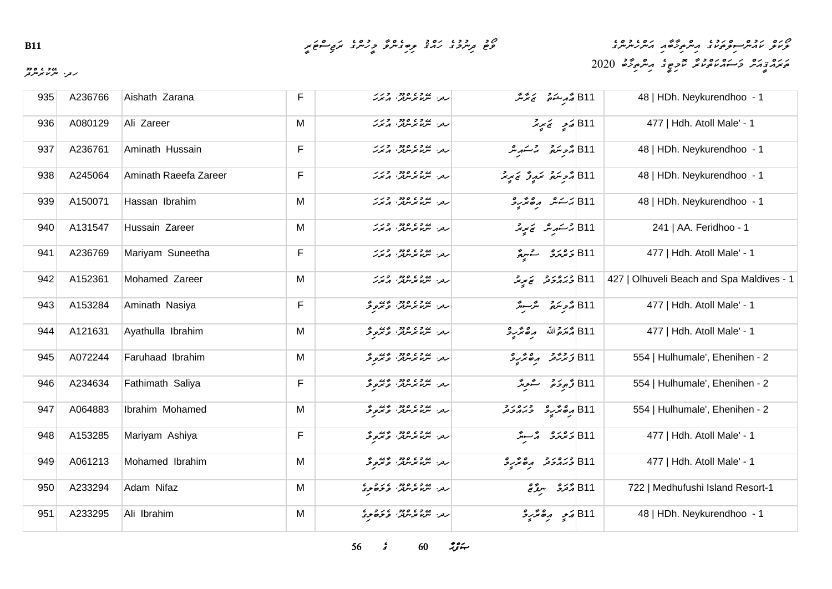*sCw7q7s5w7m< o<n9nOoAw7o< sCq;mAwBoEw7q<m; wBm;vB* م<sub>ك</sub>ره تورير ك*ر عدد مدديد بدو*ج مستقبل 2020<br>مستقبل المستقبل المستقبل المستقبل وسترين المستقبل المستقبل

48 | HDh. Neykurendhoo - 1

| מכני מרגים בכ<br>קב <sub>ני</sub> מ <i>רע א</i> פי <i>יר</i> בן |         |                       |   |                                                          |                                    |  |
|-----------------------------------------------------------------|---------|-----------------------|---|----------------------------------------------------------|------------------------------------|--|
| 935                                                             | A236766 | Aishath Zarana        | F | رد. شروع ودو و در د                                      | B11 مەم ئىق ئىم ئەشرىتىكە          |  |
| 936                                                             | A080129 | Ali Zareer            | M | ری می و ه مودد می و در د<br>ری مش مرسوبی از مرکز         | B11  رَمِ نَمَ بِرِيْرُ            |  |
| 937                                                             | A236761 | Aminath Hussain       | F | ری می و ده دود. د و در د<br>اری می می موسوفل او موثر     | B11  مَّحِسَمَةُ كَمَسَهُ مِسْ     |  |
| 938                                                             | A245064 | Aminath Raeefa Zareer | F | ری می و ی مود می و در د<br>ری مش <i>ها بو</i> سری از برگ | B11  مٌوِسَمَ مَهُرٍتٌ نَمَ مِهْدٌ |  |
| 939                                                             | A150071 | Hassan Ibrahim        | M | ری شروع وجود با در در باشد.<br>اری شرح مرسوفل از مرکز    | B11 ئەسەمەھەر ئەردە ئەسىر ئە       |  |

| 936 | A080129 | Ali Zareer            | M            |                                                                                              | B11  رَمِ بِمَ بِرَتْر                   | 477   Hdh. Atoll Male' - 1                |
|-----|---------|-----------------------|--------------|----------------------------------------------------------------------------------------------|------------------------------------------|-------------------------------------------|
| 937 | A236761 | Aminath Hussain       | F            | رور، شریع و دور و در د<br>روز، شریع مربوبی، در موثر                                          | B11 مُحرِسَمُ مِنْ مُسَهرِسْ             | 48   HDh. Neykurendhoo - 1                |
| 938 | A245064 | Aminath Raeefa Zareer | $\mathsf{F}$ | رتد به عام ۲۵۵ ور در<br>رتد شرما مرسوبش از مرکز                                              | B11 مَّ حِسَمَۃ سَمَدٍ تَی سِمَّہ        | 48   HDh. Neykurendhoo - 1                |
| 939 | A150071 | Hassan Ibrahim        | M            | ری به ده وی ور در در<br>ری ش ترسیس برگ                                                       | B11   يَرْسَسْ بِهِ مِنْ مِرْدِ وَ       | 48   HDh. Neykurendhoo - 1                |
| 940 | A131547 | Hussain Zareer        | M            | رو. عرو و و و در در<br>رو. ش <i>رما بر</i> سربر، بربرگ                                       | B11 پر شہر شہر ہے ہویٹر                  | 241   AA. Feridhoo - 1                    |
| 941 | A236769 | Mariyam Suneetha      | F            | رتد به عام ۲۵۵ ور در<br>رتد شرما مرسوبش از مرکز                                              | B11 كەندىرى شىرى <i>گ</i> ى              | 477   Hdh. Atoll Male' - 1                |
| 942 | A152361 | Mohamed Zareer        | M            | ری می وجود و در د<br>ری ش تر تر ترین                                                         | B11 <i>\$ بَرْدْ جَوَ بِيَ بِرِيْر</i> َ | 427   Olhuveli Beach and Spa Maldives - 1 |
| 943 | A153284 | Aminath Nasiya        | F            | رى مەد يەمەد مەيدى.<br>رى شرىي بىر سرتىر كەنترى بىر                                          | B11 مَّ مِ سَمَّ مَّ سَنَّةً             | 477   Hdh. Atoll Male' - 1                |
| 944 | A121631 | Ayathulla Ibrahim     | M            | رى ، ، <i>ە ە ە « ، » ، »</i><br>رى <sub>ر</sub> ، ئى <i>رىم بىرىرى</i> ، ئ <i>و بىرى بى</i> | B11 مُ مَعَ اللّه مِ صُغَّرِ فِي         | 477   Hdh. Atoll Male' - 1                |
| 945 | A072244 | Faruhaad Ibrahim      | M            | رى مەد ، ەدە سەر بۇ ئا                                                                       | B11 كەترىتىز بەھەترى <sub>ي</sub> ى      | 554   Hulhumale', Ehenihen - 2            |
| 946 | A234634 | Fathimath Saliya      | F            | رى ، ، <i>ە ە ە « ، » ، »</i><br>رى <sub>ر</sub> ، ئىزى <i>ر بىرى بىرى بى</i>                | B11 وَجِودَةُ مُصَغِيرٌ                  | 554   Hulhumale', Ehenihen - 2            |
| 947 | A064883 | Ibrahim Mohamed       | M            | رى ئەمەمەمەم ئەسمى ئە                                                                        | B11 مەھمگىرى ئەممەدىر                    | 554   Hulhumale', Ehenihen - 2            |
| 948 | A153285 | Mariyam Ashiya        | F            | رى ، ، <i>ە ە ە « ، » ، »</i><br>رى <sub>ر</sub> ، ئى <i>رىم بىرىرى</i> ، ئ <i>و بىرى بى</i> | B11 <i>ۈندۈ</i> ئەسەئە                   | 477   Hdh. Atoll Male' - 1                |
| 949 | A061213 | Mohamed Ibrahim       | M            | رى ئەمەمەمەم ئەسمى ئە                                                                        | B11 دبره در مقتربه                       | 477   Hdh. Atoll Male' - 1                |
| 950 | A233294 | Adam Nifaz            | M            | رو. عدد و ده در در د<br>رو. شرح مرسوفر، و <del>و ه</del> مور                                 | B11 مُرترد مِگْرَمْ م                    | 722   Medhufushi Island Resort-1          |
| 951 | A233295 | Ali Ibrahim           | M            | رو. مورد ورو در در د<br>رو. شرد برسربر، و <del>و ه</del> مور                                 | B11 <i>ھَ۔ م</i> ِ مُحَمَّدٍ مِنْ        | 48   HDh. Neykurendhoo - 1                |

 $56$  *s*  $60$  *if***<sub>i</sub>**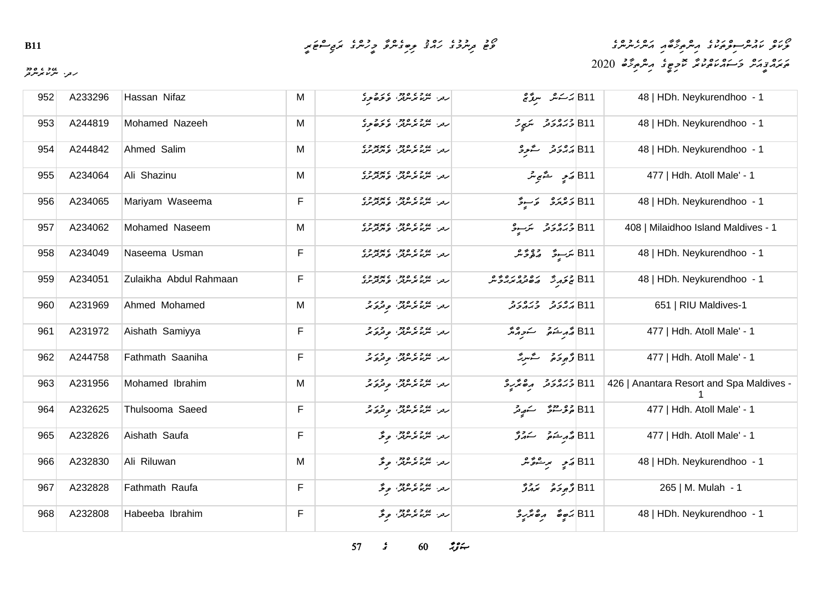*sCw7q7s5w7m< o<n9nOoAw7o< sCq;mAwBoEw7q<m; wBm;vB* م من المرة المرة المرة المرجع المرجع في المركبة 2020<br>مجم*د المريض المربوط المربع المرجع في المراجع المركبة* 

| 952 | A233296 | Hassan Nifaz           | M | رور عدد و دور در در د<br>رور شرما مرس برا و توص <sup>و</sup> ی                                                | B11   پرسترش سوریج                        | 48   HDh. Neykurendhoo - 1               |
|-----|---------|------------------------|---|---------------------------------------------------------------------------------------------------------------|-------------------------------------------|------------------------------------------|
| 953 | A244819 | Mohamed Nazeeh         | M | رو. سرد برو در در در د<br>رو. سرد برسربر، و <del>و ه و</del> د                                                | B11  <i>3223 تربي</i> تر                  | 48   HDh. Neykurendhoo - 1               |
| 954 | A244842 | Ahmed Salim            | M | ے وہ وہ وہ وہ دوہ<br>مرفر سریم موسوقر' و الرقوس                                                               | B11 كەردى ھەرىسى بەر                      | 48   HDh. Neykurendhoo - 1               |
| 955 | A234064 | Ali Shazinu            | M | د ده ده ده ده ده ده ده د<br>ردر شرد برسرتر، و برتربرد                                                         | B11 ضو گھي شر                             | 477   Hdh. Atoll Male' - 1               |
| 956 | A234065 | Mariyam Waseema        | F | د ده ده ده ده ده ده ده د<br>ردر شرد برسرتر، و برتربرد                                                         | B11 دَيْرْيْرْ - دَسِيرٌ                  | 48   HDh. Neykurendhoo - 1               |
| 957 | A234062 | Mohamed Naseem         | M |                                                                                                               | B11  <i>3223 مگرسو</i> د                  | 408   Milaidhoo Island Maldives - 1      |
| 958 | A234049 | Naseema Usman          | F | ر در ۲۶۵ ورو در ۲۶۵ ورو در ۲<br>روز شرما مرسوبس و در توسرو                                                    | B11 ىترىپوتى ھۇرتىر                       | 48   HDh. Neykurendhoo - 1               |
| 959 | A234051 | Zulaikha Abdul Rahmaan | F | ر در ده و ده ده ده ده و د<br>ردر سرد برسربر، و برتربری                                                        | B11 يُحَمِّدُ مَصْرَ مُدَمَّدَةٌ مَّرَ    | 48   HDh. Neykurendhoo - 1               |
| 960 | A231969 | Ahmed Mohamed          | M | ری عروج وجود او در د<br>ری عروج برس                                                                           | B11 ג' 22 - 22 - 23 AS                    | 651   RIU Maldives-1                     |
| 961 | A231972 | Aishath Samiyya        | F | رتر، شر <i>ما بر سود و د و</i><br>رتر، شر <i>ما بر</i> سرتر، م <sub>و</sub> ترو بر                            | B11 مَّەرِسْمَةْ سَوِرْدَةْ               | 477   Hdh. Atoll Male' - 1               |
| 962 | A244758 | Fathmath Saaniha       | F | ری عدد عدد در د<br>ری شرد برس و برو بر                                                                        | B11 رَّجِوحَة مُسَمَّسِدً                 | 477   Hdh. Atoll Male' - 1               |
| 963 | A231956 | Mohamed Ibrahim        | M | ری عدد و در در در در در در در در این در در در این در در در در در در در در در در در در دارد باشد که در دارای د | B11 <i>\$نەۋەتى م</i> ەھ <i>ت</i> رىۋ     | 426   Anantara Resort and Spa Maldives - |
| 964 | A232625 | Thulsooma Saeed        | F | ری عروج وجود و در د<br>ری ش <i>رد بر</i> سربل و ترویم                                                         | B11   <sub>جۇ</sub> مىشۇ سى <i>مەيى</i> ر | 477   Hdh. Atoll Male' - 1               |
| 965 | A232826 | Aishath Saufa          | F | رى مەد ، ەدە<br>رى شرىي شرىقرى بوڭر                                                                           | B11 مَگْرِسْتَمْ سَنْدُرٌ                 | 477   Hdh. Atoll Male' - 1               |
| 966 | A232830 | Ali Riluwan            | M | رىر. شرىم برسرىر، بەنگ                                                                                        | B11 كەمچە موشۇمىگە                        | 48   HDh. Neykurendhoo - 1               |
| 967 | A232828 | Fathmath Raufa         | F | رى مەد ، ەدە<br>رى شرىم بىرسەن ئ                                                                              | B11 وَجِعَة مَمَدَّرٌ                     | 265   M. Mulah - 1                       |
| 968 | A232808 | Habeeba Ibrahim        | F | رىر. شرىم برسرىر، بەنگ                                                                                        |                                           | 48   HDh. Neykurendhoo - 1               |

*rgg*<br>مر<sub>قو</sub>، *سم ما بوسر ق*ر

 $57$   $5$   $60$   $25$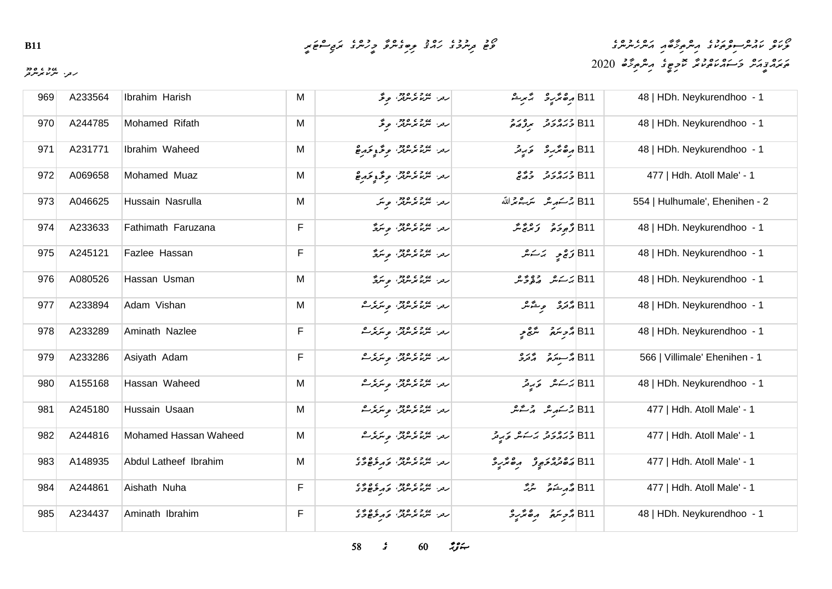*sCw7q7s5w7m< o<n9nOoAw7o< sCq;mAwBoEw7q<m; wBm;vB* م من المرة المرة المرة المرجع المرجع في المركبة 2020<br>مجم*د المريض المربوط المربع المرجع في المراجع المركبة* 

| 969 | A233564 | Ibrahim Harish        | M | رو. سرما برسرو. و تخ                                             | B11  مِرەڭرىرى    جُنْبِسْ                 | 48   HDh. Neykurendhoo - 1     |
|-----|---------|-----------------------|---|------------------------------------------------------------------|--------------------------------------------|--------------------------------|
| 970 | A244785 | Mohamed Rifath        | M | رىر. شرىم بر سرچر، برگى                                          | B11 <i>ڈبزون پودھ</i> و                    | 48   HDh. Neykurendhoo - 1     |
| 971 | A231771 | Ibrahim Waheed        | M | رىر. شرىر مەدەب ھەقەتمەھ                                         | B11 م <i>وڭ بگرى قى</i> رى <i>گ</i>        | 48   HDh. Neykurendhoo - 1     |
| 972 | A069658 | Mohamed Muaz          | M | رىن شرىر مەدەر مەنگە ئەرە                                        | B11 ديرورو دوه.                            | 477   Hdh. Atoll Male' - 1     |
| 973 | A046625 | Hussain Nasrulla      | M | ریں سرہ برسریں کو سک                                             | B11 بُرْسَهرٍ مَرْسُدْ مَرْسَاءَ مِرْاللّه | 554   Hulhumale', Ehenihen - 2 |
| 974 | A233633 | Fathimath Faruzana    | F | ری عدد وہ معرض کے سرچ                                            | B11 تَ <i>جِ حَقَّ تَرَبَّى مَّرَّ</i>     | 48   HDh. Neykurendhoo - 1     |
| 975 | A245121 | Fazlee Hassan         | F | ریں سر برسریں کو سکر گھر                                         | B11 توج پو پرسکر پر                        | 48   HDh. Neykurendhoo - 1     |
| 976 | A080526 | Hassan Usman          | M | ری مصروح وجع<br>ری سرما موسوفری کو سرچ                           | B11 ئەسەمبىر رەۋە ئىر                      | 48   HDh. Neykurendhoo - 1     |
| 977 | A233894 | Adam Vishan           | M | ری می و ده وو.<br>ری شرح مرس ترک او سرمر ک                       | B11 ۾َترَو <sub>صِن</sub> َدَسْ            | 48   HDh. Neykurendhoo - 1     |
| 978 | A233289 | Aminath Nazlee        | F | رىر. شرىم برىيوتر، ئۆسكەت ھ                                      | B11 مَرْحِسَمَۃُ سَمَّعْ مِ                | 48   HDh. Neykurendhoo - 1     |
| 979 | A233286 | Asiyath Adam          | F | رىر. شرىم برىدى ئەسكەت ھەر ئە                                    | B11 تەسى <i>ر قىرى</i> مىتى ئى             | 566   Villimale' Ehenihen - 1  |
| 980 | A155168 | Hassan Waheed         | M | رىر. شرە ئەمەدە بەيدىرگ                                          | B11  پزشتر    توپیتر                       | 48   HDh. Neykurendhoo - 1     |
| 981 | A245180 | Hussain Usaan         | M | رىر. شرىر برەرد. بولىرىمەت                                       | B11 پر شهر شهر محمد المراسی                | 477   Hdh. Atoll Male' - 1     |
| 982 | A244816 | Mohamed Hassan Waheed | M | رىر. شرە ئەمەدە بەيدىرگ                                          | B11 <i>وَرَووو برَسَسٌ وَبِ</i> يتَر       | 477   Hdh. Atoll Male' - 1     |
| 983 | A148935 | Abdul Latheef Ibrahim | M | رو. ده و ده وده از کار و ده و د<br>رو. شرد برسرفر، نو پر خرج و د | B11 كەھەر كەمۇر بەھەر بەر                  | 477   Hdh. Atoll Male' - 1     |
| 984 | A244861 | Aishath Nuha          | F | رو. ده ده ده در ۶۵۵۰<br>رو. سرد برسربر، نوم ترکافری              | B11 مەم ئىقىمە ئىم ئىر                     | 477   Hdh. Atoll Male' - 1     |
| 985 | A234437 | Aminath Ibrahim       | F | رو. ده و ده وده از و و و ده و<br>رو. سرد برسربو، نو بر و بورو د  | B11  مُتَرِسَعُ مِنْ مُرْبِرْ              | 48   HDh. Neykurendhoo - 1     |

*rgg*<br>مر<sub>قو</sub>، *سم ما بوسر ق*ر

 $58$  *s* 60 *n***<sub>3</sub>** *s*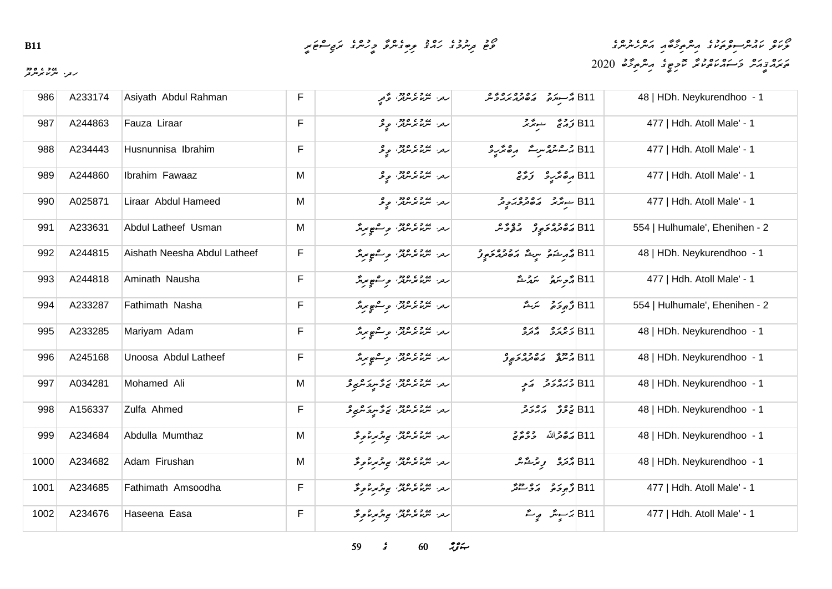*sCw7q7s5w7m< o<n9nOoAw7o< sCq;mAwBoEw7q<m; wBm;vB* م من المرة المرة المرة المرجع المرجع في المركبة 2020<br>مجم*د المريض المربوط المربع المرجع في المراجع المركبة* 

|  | <b>33 O L 3 UL</b> |                     |
|--|--------------------|---------------------|
|  |                    | برفرء اسرتنا مرسرقر |

| 986  | A233174 | Asiyath Abdul Rahman         | F           | ری و و و وو<br>ری شرح مرس پس او گویر                                  |                                                              | 48   HDh. Neykurendhoo - 1     |
|------|---------|------------------------------|-------------|-----------------------------------------------------------------------|--------------------------------------------------------------|--------------------------------|
| 987  | A244863 | Fauza Liraar                 | F           | رىر. شرىر مەدەر بولۇ                                                  | B11 زَرْجٌ سَعَرَ بَرْ                                       | 477   Hdh. Atoll Male' - 1     |
| 988  | A234443 | Husnunnisa Ibrahim           | F           | ری دی وی وجو<br>ری شرح مرس پر و بی                                    | B11 برُـــوْمَرْمُ مِنْ مِنْ مِنْ بِرِدْ                     | 477   Hdh. Atoll Male' - 1     |
| 989  | A244860 | Ibrahim Fawaaz               | M           | رى ، ، ، ، ، ە ەو                                                     | B11 مەھەر بۇ ئۇقۇم                                           | 477   Hdh. Atoll Male' - 1     |
| 990  | A025871 | Liraar Abdul Hameed          | M           |                                                                       | B11 سىرتمە ھەمرى <i>رى</i> رىتىر                             | 477   Hdh. Atoll Male' - 1     |
| 991  | A233631 | Abdul Latheef Usman          | M           | رد. مرد بر دود. و گوهیر                                               | B11 كەھەر كەمبۇ ھەم ئەر                                      | 554   Hulhumale', Ehenihen - 2 |
| 992  | A244815 | Aishath Neesha Abdul Latheef | F           | رد. مرد بر دود. و شوم برگر                                            | B11 مُستَوَمَّ سِ مُصْرَمَة مُعْرَمَةً مِنْ الْمَسْرَمَةِ وَ | 48   HDh. Neykurendhoo - 1     |
| 993  | A244818 | Aminath Nausha               | F           | رد. شر، برسرد. و مشیع بر گر                                           | B11 أَمَّ مِسَمَّدٍ مَسَمَّدٍ شَمَّ                          | 477   Hdh. Atoll Male' - 1     |
| 994  | A233287 | Fathimath Nasha              | F           | رد. عربه در دور<br>رد. شربه مرسرتر، و کوچ مرس                         | B11 <i>وَّجِ دَمَّة</i> سَرَسَّة                             | 554   Hulhumale', Ehenihen - 2 |
| 995  | A233285 | Mariyam Adam                 | F           | رد. برده در دود.<br>رد. شر، برسربر، و کوه بروگر                       | B11 كەبىر بۇ ئەگەر ئە                                        | 48   HDh. Neykurendhoo - 1     |
| 996  | A245168 | Unoosa Abdul Latheef         | $\mathsf F$ | رد. شر اس دود. و گوه بر اگر                                           | B11 كەنتىق مەھىر كېيىتى ئى                                   | 48   HDh. Neykurendhoo - 1     |
| 997  | A034281 | Mohamed Ali                  | M           | رى سرە مەدە بە ئەسرى ھى ئو                                            | B11 <i>5225 مَ</i> حِ                                        | 48   HDh. Neykurendhoo - 1     |
| 998  | A156337 | Zulfa Ahmed                  | F           | رى سرە مەدە ئەھرىكى ئىس ئىس ئىس                                       | B11 يحوثو مرارور و                                           | 48   HDh. Neykurendhoo - 1     |
| 999  | A234684 | Abdulla Mumthaz              | M           | رد. ۶۶۵ ده. پرترمزمونی                                                | B11  رَصْوَراللّه وَوَصْ                                     | 48   HDh. Neykurendhoo - 1     |
| 1000 | A234682 | Adam Firushan                | M           | رد. عربر دود. برگریزیم و بخ                                           | B11  پژنر\$ ب <sub>و</sub> یژینڈیز                           | 48   HDh. Neykurendhoo - 1     |
| 1001 | A234685 | Fathimath Amsoodha           | $\mathsf F$ | رو. 2000 وه.<br>رو. شر <i>يا برس</i> رير، ب <sub>ح</sub> بر بريا و بح | B11 ۇ <sub>ج</sub> وخ <sub>ە</sub> مۇسىمۇ                    | 477   Hdh. Atoll Male' - 1     |
| 1002 | A234676 | Haseena Easa                 | F           | رد. ۶۶۵ ورود به در در دیگر                                            | B11 بزمیٹر پریڈ<br>ا                                         | 477   Hdh. Atoll Male' - 1     |

 $59$  *s*  $60$  *n***<sub>3</sub>**  $\frac{2}{3}$